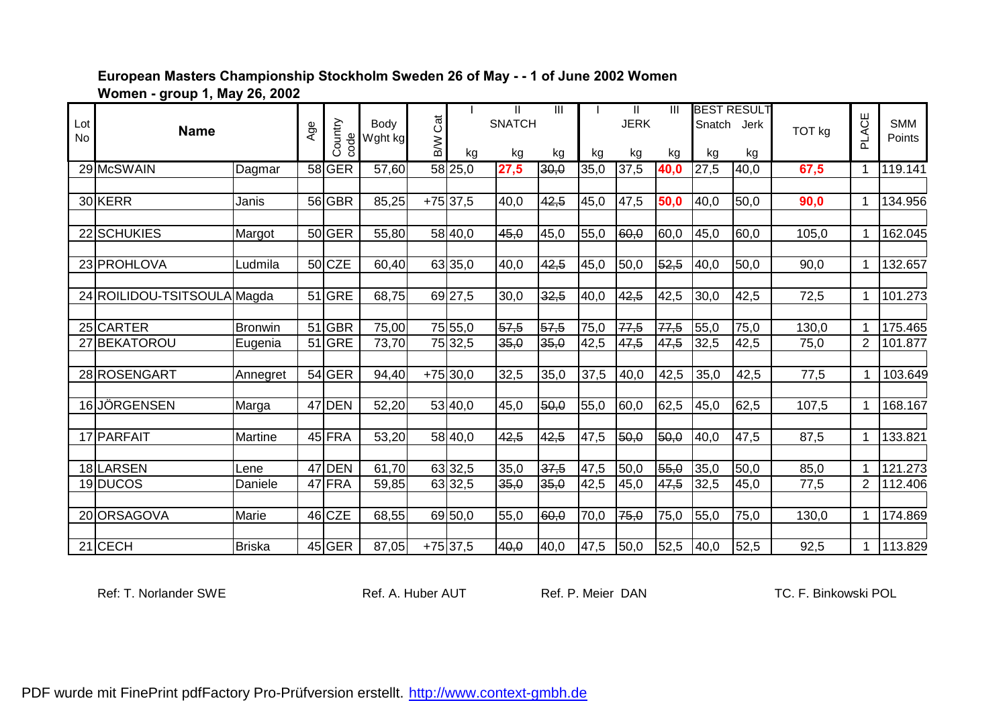**Women - group 1, May 26, 2002**

|                 |                             |               |     |          |         |          |            | $\mathbf{H}$  | $\mathbf{III}$ |      | $\mathbf{II}$ | $\mathbf{III}$ |        | <b>BEST RESULT</b> |        |                |            |
|-----------------|-----------------------------|---------------|-----|----------|---------|----------|------------|---------------|----------------|------|---------------|----------------|--------|--------------------|--------|----------------|------------|
| Lot             | <b>Name</b>                 |               | Age | Country  | Body    | Cat      |            | <b>SNATCH</b> |                |      | <b>JERK</b>   |                | Snatch | Jerk               | TOT kg | PLACE          | <b>SMM</b> |
| <b>No</b>       |                             |               |     | code     | Wght kg | <b>M</b> |            |               |                |      |               |                |        |                    |        |                | Points     |
|                 |                             |               |     |          |         |          | kg         | kg            | kg             | kg   | kg            | kg             | kg     | kg                 |        |                |            |
|                 | 29 McSWAIN                  | Dagmar        |     | 58 GER   | 57,60   |          | 58 25,0    | 27,5          | 30,0           | 35,0 | 37,5          | 40,0           | 27,5   | 40,0               | 67,5   |                | 119.141    |
|                 |                             |               |     |          |         |          |            |               |                |      |               |                |        |                    |        |                |            |
|                 | 30 KERR                     | Janis         |     | 56 GBR   | 85,25   |          | $+75$ 37,5 | 40,0          | 42,5           | 45,0 | 47,5          | 50,0           | 40,0   | 50,0               | 90,0   |                | 134.956    |
|                 |                             |               |     |          |         |          |            |               |                |      |               |                |        |                    |        |                |            |
|                 | 22 SCHUKIES                 | Margot        |     | 50 GER   | 55,80   |          | 58 40,0    | 45,0          | 45,0           | 55,0 | 60,0          | 60,0           | 45,0   | 60,0               | 105,0  |                | 162.045    |
|                 |                             |               |     |          |         |          |            |               |                |      |               |                |        |                    |        |                |            |
|                 | 23 PROHLOVA                 | Ludmila       |     | $50$ CZE | 60,40   |          | 63 35,0    | 40,0          | 42,5           | 45,0 | 50,0          | 52,5           | 40,0   | 50,0               | 90,0   |                | 132.657    |
|                 |                             |               |     |          |         |          |            |               |                |      |               |                |        |                    |        |                |            |
|                 | 24 ROILIDOU-TSITSOULA Magda |               |     | $51$ GRE | 68,75   |          | 69 27,5    | 30,0          | 32,5           | 40,0 | 42,5          | 42,5           | 30,0   | 42,5               | 72,5   |                | 101.273    |
|                 |                             |               |     |          |         |          |            |               |                |      |               |                |        |                    |        |                |            |
|                 | 25 CARTER                   | Bronwin       |     | 51 GBR   | 75,00   |          | 75 55,0    | 57,5          | 57,5           | 75,0 | 77,5          | 77,5           | 55,0   | 75,0               | 130,0  |                | 175.465    |
|                 | BEKATOROU                   | Eugenia       |     | 51 GRE   | 73,70   |          | 75 32,5    | 35,0          | 35,0           | 42,5 | 47,5          | 47,5           | 32,5   | 42,5               | 75,0   | $\overline{2}$ | 101.877    |
|                 |                             |               |     |          |         |          |            |               |                |      |               |                |        |                    |        |                |            |
|                 | 28 ROSENGART                | Annegret      |     | $54$ GER | 94,40   |          | $+75$ 30,0 | 32,5          | 35,0           | 37,5 | 40,0          | 42,5           | 35,0   | 42,5               | 77,5   |                | 103.649    |
|                 |                             |               |     |          |         |          |            |               |                |      |               |                |        |                    |        |                |            |
| 16 <sup>l</sup> | JÖRGENSEN                   | Marga         |     | 47 DEN   | 52,20   |          | 53 40,0    | 45,0          | 50,0           | 55,0 | 60,0          | 62,5           | 45,0   | 62,5               | 107,5  |                | 168.167    |
|                 | 17 PARFAIT                  | Martine       |     | 45 FRA   | 53,20   |          | 58 40,0    | 42,5          | 42,5           | 47,5 | 50,0          | 50,0           | 40,0   | 47,5               | 87,5   |                | 133.821    |
|                 |                             |               |     |          |         |          |            |               |                |      |               |                |        |                    |        |                |            |
|                 | 18 LARSEN                   | Lene          |     | 47 DEN   | 61,70   |          | 63 32,5    | 35,0          | 37,5           | 47,5 | 50,0          | 55,0           | 35,0   | 50,0               | 85,0   | 1              | 121.273    |
|                 | 19 DUCOS                    | Daniele       |     | 47 FRA   | 59,85   |          | 63 32,5    | 35,0          | 35,0           | 42,5 | 45,0          | 47,5           | 32,5   | 45,0               | 77,5   | $\overline{2}$ | 112.406    |
|                 |                             |               |     |          |         |          |            |               |                |      |               |                |        |                    |        |                |            |
|                 | 20 ORSAGOVA                 | Marie         |     | 46 CZE   | 68,55   |          | 69 50,0    | 55,0          | 60,0           | 70,0 | 75,0          | 75,0           | 55,0   | 75,0               | 130,0  |                | 174.869    |
|                 |                             |               |     |          |         |          |            |               |                |      |               |                |        |                    |        |                |            |
|                 | 21 CECH                     | <b>Briska</b> |     | $45$ GER | 87,05   |          | $+75$ 37,5 | 40,0          | 40,0           | 47,5 | 50,0          | 52,5           | 40,0   | 52,5               | 92,5   |                | 113.829    |

Ref: T. Norlander SWE **Ref. A. Huber AUT** Ref. P. Meier DAN TC. F. Binkowski POL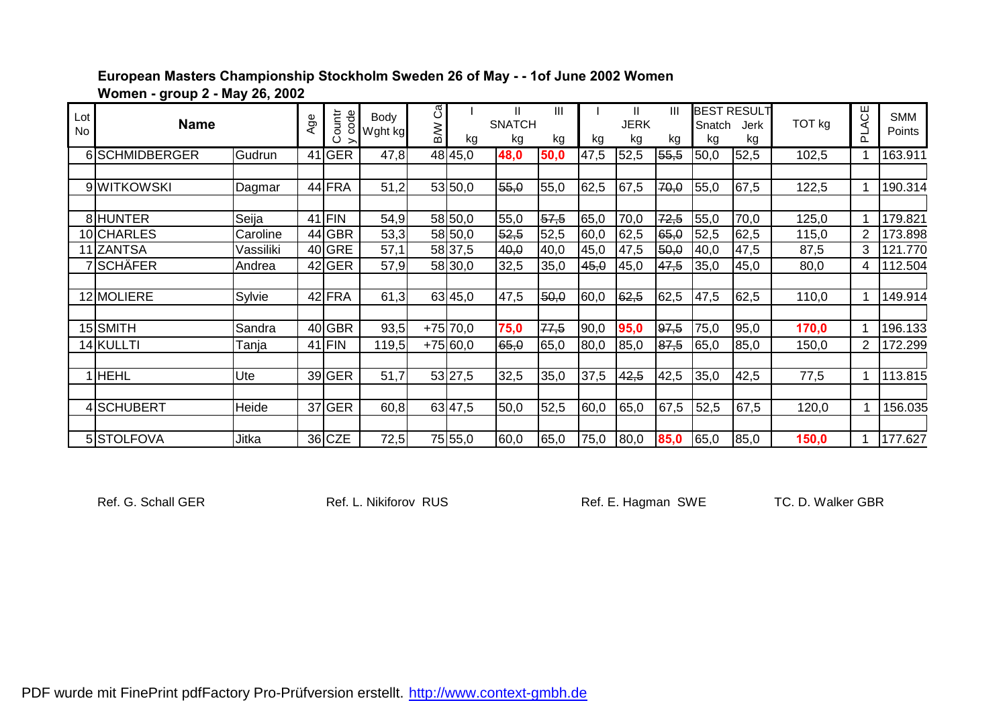**European Masters Championship Stockholm Sweden 26 of May - - 1of June 2002 Women** 

**Women - group 2 - May 26, 2002**

| Lot<br>No | <b>Name</b>    |           | Age | code<br>inuo: | Body<br>Wght kg | ී<br>B/W | kg         | Ш<br><b>SNATCH</b><br>kg | Ш<br>kg | kg   | <b>JERK</b><br>kg | Ш<br>kg | Snatch<br>kg | <b>BEST RESULT</b><br>Jerk<br>kg | TOT kg | PLACE          | <b>SMM</b><br><b>Points</b> |
|-----------|----------------|-----------|-----|---------------|-----------------|----------|------------|--------------------------|---------|------|-------------------|---------|--------------|----------------------------------|--------|----------------|-----------------------------|
|           | 6 SCHMIDBERGER | Gudrun    |     | 41 GER        | 47,8            |          | 48 45,0    | 48,0                     | 50,0    | 47,5 | 52,5              | 55,5    | 50,0         | 52,5                             | 102,5  |                | 163.911                     |
|           |                |           |     |               |                 |          |            |                          |         |      |                   |         |              |                                  |        |                |                             |
|           | 9 WITKOWSKI    | Dagmar    |     | 44 FRA        | 51,2            |          | 53 50,0    | 55,0                     | 55,0    | 62,5 | 67,5              | 70,0    | 55,0         | 67,5                             | 122,5  |                | 190.314                     |
|           | 8 HUNTER       | Seija     |     | $41$ FIN      | 54,9            |          | 58 50,0    | 55,0                     | 57,5    | 65,0 | 70,0              | 72,5    | 55,0         | 70,0                             | 125,0  |                | 179.821                     |
|           | 10 CHARLES     | Caroline  |     | 44 GBR        | 53,3            |          | 58 50,0    | 52,5                     | 52,5    | 60,0 | 62,5              | 65,0    | 52,5         | 62,5                             | 115,0  | 2              | 173.898                     |
|           | 11 ZANTSA      | Vassiliki |     | $40$ GRE      | 57,1            |          | 58 37,5    | 40,0                     | 40,0    | 45,0 | 47,5              | 50,0    | 40,0         | 47,5                             | 87,5   | 3              | 121.770                     |
|           | 7 SCHÄFER      | Andrea    |     | $42$ GER      | 57,9            |          | 58 30,0    | 32,5                     | 35,0    | 45,0 | 45,0              | 47,5    | 35,0         | 45,0                             | 80,0   | 4              | 112.504                     |
|           |                |           |     |               |                 |          |            |                          |         |      |                   |         |              |                                  |        |                |                             |
|           | 12 MOLIERE     | Sylvie    |     | 42 FRA        | 61,3            |          | 63 45,0    | 47,5                     | 50,0    | 60,0 | 62,5              | 62,5    | 47,5         | 62,5                             | 110,0  |                | 149.914                     |
|           |                |           |     |               |                 |          |            |                          |         |      |                   |         |              |                                  |        |                |                             |
|           | 15 SMITH       | Sandra    |     | $40$ GBR      | 93,5            |          | $+75$ 70,0 | 75,0                     | 77,5    | 90,0 | 95,0              | 97,5    | 75,0         | 95,0                             | 170,0  |                | 196.133                     |
|           | 14 KULLTI      | Tanja     |     | $41$ FIN      | 119,5           |          | $+75 60,0$ | 65,0                     | 65,0    | 80,0 | 85,0              | 87,5    | 65,0         | 85,0                             | 150,0  | $\overline{2}$ | 172.299                     |
|           |                |           |     |               |                 |          |            |                          |         |      |                   |         |              |                                  |        |                |                             |
|           | <b>HEHL</b>    | Ute       |     | $39$ GER      | 51,7            |          | 53 27,5    | 32,5                     | 35,0    | 37,5 | 42,5              | 42,5    | 35,0         | 42,5                             | 77,5   |                | 113.815                     |
|           |                |           |     |               |                 |          |            |                          |         |      |                   |         |              |                                  |        |                |                             |
|           | 4 SCHUBERT     | Heide     |     | 37 GER        | 60,8            |          | 63 47,5    | 50,0                     | 52,5    | 60,0 | 65,0              | 67,5    | 52,5         | 67,5                             | 120,0  |                | 156.035                     |
|           |                |           |     |               |                 |          |            |                          |         |      |                   |         |              |                                  |        |                |                             |
|           | 5STOLFOVA      | Jitka     |     | 36 CZE        | 72,5            |          | 75 55,0    | 60,0                     | 65,0    | 75,0 | 80,0              | 85,0    | 65,0         | 85,0                             | 150,0  |                | 177.627                     |

Ref. G. Schall GER **Ref. L. Nikiforov RUS** Ref. E. Hagman SWE TC. D. Walker GBR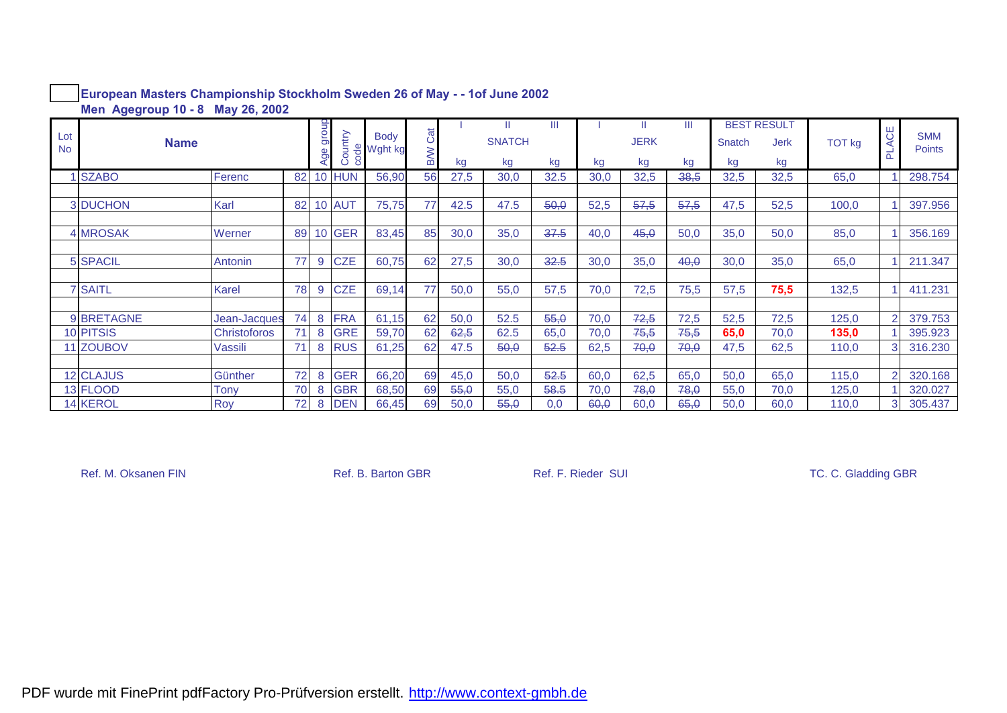|                  |                  |                     |    | $\overline{5}$ |               |                                     |     |      | -H            | Ш    |      |             | Ш       |        | <b>BEST RESULT</b> |        |                |                             |
|------------------|------------------|---------------------|----|----------------|---------------|-------------------------------------|-----|------|---------------|------|------|-------------|---------|--------|--------------------|--------|----------------|-----------------------------|
| Lot<br><b>No</b> | <b>Name</b>      |                     |    | ౚ<br>ട്ട       | ountry:       | <b>Body</b><br><b>&amp;</b> Wght kg | Cat |      | <b>SNATCH</b> |      |      | <b>JERK</b> |         | Snatch | <b>Jerk</b>        | TOT kg | ACE<br>군       | <b>SMM</b><br><b>Points</b> |
|                  |                  |                     |    |                | ē             |                                     | WB  | kg   | kg            | kg   | kg   | kg          | kg      | kg     | kg                 |        |                |                             |
|                  | <b>SZABO</b>     | Ferenc              | 82 |                | <b>HUN</b>    | 56,90                               | 56  | 27,5 | 30,0          | 32.5 | 30,0 | 32,5        | $-38,5$ | 32,5   | 32,5               | 65,0   |                | 298.754                     |
|                  |                  |                     |    |                |               |                                     |     |      |               |      |      |             |         |        |                    |        |                |                             |
|                  | 3 DUCHON         | Karl                | 82 |                | <b>10 AUT</b> | 75,75                               | 77  | 42.5 | 47.5          | 50,0 | 52,5 | 57,5        | 57,5    | 47,5   | 52,5               | 100,0  |                | 397.956                     |
|                  |                  |                     |    |                |               |                                     |     |      |               |      |      |             |         |        |                    |        |                |                             |
|                  | <b>4 MROSAK</b>  | Werner              | 89 | 10             | <b>GER</b>    | 83,45                               | 85  | 30,0 | 35,0          | 37.5 | 40,0 | 45,0        | 50,0    | 35,0   | 50,0               | 85,0   |                | 356.169                     |
|                  |                  |                     |    |                |               |                                     |     |      |               |      |      |             |         |        |                    |        |                |                             |
|                  | <b>5 SPACIL</b>  | Antonin             | 77 | 9              | <b>CZE</b>    | 60,75                               | 62  | 27,5 | 30,0          | 32.5 | 30,0 | 35,0        | 40,0    | 30,0   | 35,0               | 65,0   |                | 211.347                     |
|                  |                  |                     |    |                |               |                                     |     |      |               |      |      |             |         |        |                    |        |                |                             |
|                  | <b>7 SAITL</b>   | Karel               | 78 | 9              | <b>CZE</b>    | 69,14                               | 77  | 50,0 | 55,0          | 57,5 | 70,0 | 72,5        | 75,5    | 57,5   | 75,5               | 132,5  |                | 411.231                     |
|                  |                  |                     |    |                |               |                                     |     |      |               |      |      |             |         |        |                    |        |                |                             |
|                  | 9 BRETAGNE       | Jean-Jacques        | 74 | 8              | <b>FRA</b>    | 61,15                               | 62  | 50,0 | 52.5          | 55,0 | 70,0 | 72,5        | 72,5    | 52,5   | 72,5               | 125,0  |                | 379.753                     |
|                  | <b>10 PITSIS</b> | <b>Christoforos</b> |    | 8              | <b>GRE</b>    | 59,70                               | 62  | 62,5 | 62.5          | 65,0 | 70,0 | 75,5        | 75,5    | 65,0   | 70,0               | 135,0  |                | 395.923                     |
|                  | 11 ZOUBOV        | Vassili             | 71 | 8              | <b>RUS</b>    | 61,25                               | 62  | 47.5 | 50,0          | 52.5 | 62,5 | 70,0        | 70,0    | 47,5   | 62,5               | 110,0  | 3              | 316.230                     |
|                  |                  |                     |    |                |               |                                     |     |      |               |      |      |             |         |        |                    |        |                |                             |
|                  | <b>12 CLAJUS</b> | Günther             | 72 | 8              | <b>GER</b>    | 66,20                               | 69  | 45,0 | 50,0          | 52.5 | 60,0 | 62,5        | 65,0    | 50,0   | 65,0               | 115,0  |                | 320.168                     |
|                  | 13 FLOOD         | Tony                | 70 | 8              | <b>GBR</b>    | 68,50                               | 69  | 55,0 | 55,0          | 58.5 | 70,0 | 78,0        | 78,0    | 55,0   | 70,0               | 125,0  |                | 320.027                     |
|                  | <b>14 KEROL</b>  | Roy                 | 72 | 8              | <b>DEN</b>    | 66,45                               | 69  | 50,0 | 55,0          | 0,0  | 60,0 | 60,0        | 65,0    | 50,0   | 60,0               | 110,0  | 3 <sup>1</sup> | 305.437                     |

#### **European Masters Championship Stockholm Sweden 26 of May - - 1of June 2002 Men Agegroup 10 - 8 May 26, 2002**

Ref. M. Oksanen FIN Ref. B. Barton GBR Ref. F. Rieder SUI Ref. F. Rieder SUI TC. C. Gladding GBR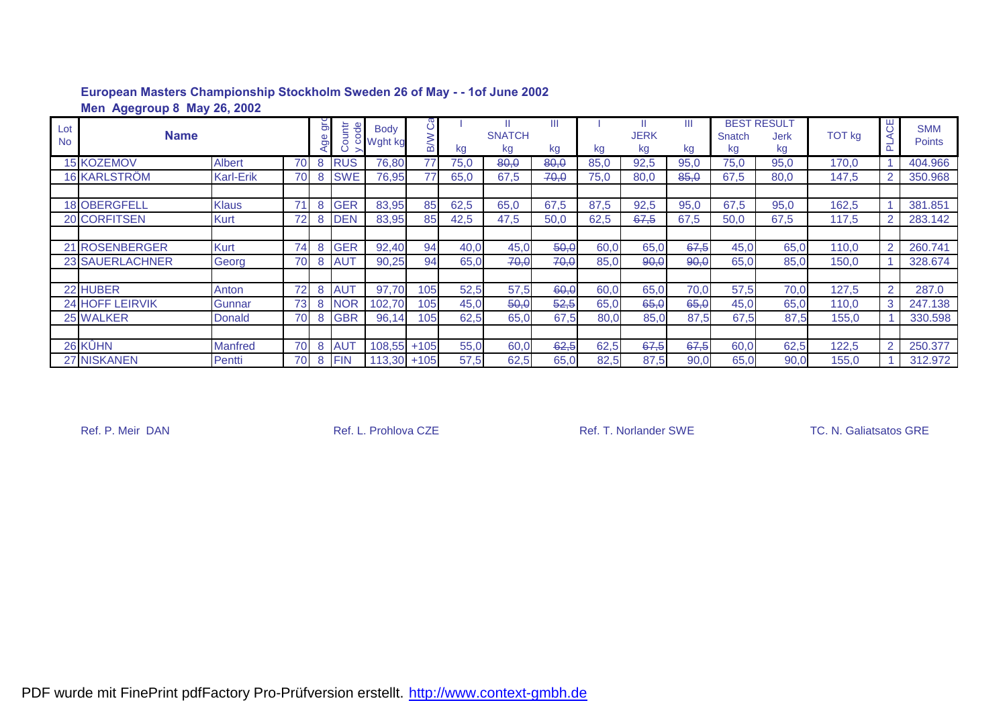|                  | Men Agegroup 8 May 26, 2002 |                  |    |         |                         |                                 |        |      |                     |         |      |            |      |              |                                         |        |                |                      |
|------------------|-----------------------------|------------------|----|---------|-------------------------|---------------------------------|--------|------|---------------------|---------|------|------------|------|--------------|-----------------------------------------|--------|----------------|----------------------|
| Lot<br><b>No</b> | <b>Name</b>                 |                  |    | Ξ<br>ರಾ | ountr<br>$\overline{e}$ | <b>Body</b><br><b>○ Wght kg</b> |        | kg   | <b>SNATCH</b><br>kg | Ш<br>kg | kg   | JERK<br>kg | kg   | Snatch<br>kg | <b>BEST RESULT</b><br><b>Jerk</b><br>kg | TOT kg | UΗ<br>$\Omega$ | <b>SMM</b><br>Points |
|                  | <b>15 KOZEMOV</b>           | <b>Albert</b>    | 70 | 8       | <b>RUS</b>              | 76,80                           | 77     | 75,0 | 80,0                | 80,0    | 85.0 | 92,5       | 95,0 | 75,0         | 95,0                                    | 170.0  |                | 404.966              |
|                  | <b>16 KARLSTRÖM</b>         | <b>Karl-Erik</b> | 70 | 8       | <b>SWE</b>              | 76,95                           | 77     | 65,0 | 67,5                | 70,0    | 75,0 | 80,0       | 85,0 | 67,5         | 80,0                                    | 147,5  |                | 350.968              |
|                  |                             |                  |    |         |                         |                                 |        |      |                     |         |      |            |      |              |                                         |        |                |                      |
|                  | <b>18 OBERGFELL</b>         | <b>Klaus</b>     | 71 | 8       | <b>GER</b>              | 83,95                           | 85     | 62,5 | 65,0                | 67,5    | 87,5 | 92,5       | 95,0 | 67,5         | 95,0                                    | 162,5  |                | 381.851              |
|                  | 20 CORFITSEN                | <b>Kurt</b>      | 72 | 8       | <b>DEN</b>              | 83,95                           | 85     | 42,5 | 47,5                | 50,0    | 62,5 | 67.5       | 67,5 | 50,0         | 67.5                                    | 117,5  |                | 283.142              |
|                  |                             |                  |    |         |                         |                                 |        |      |                     |         |      |            |      |              |                                         |        |                |                      |
|                  | 21 ROSENBERGER              | <b>Kurt</b>      | 74 | 8       | <b>GER</b>              | 92,40                           | 94     | 40,0 | 45,0                | 50,0    | 60,0 | 65,0       | 67,5 | 45,0         | 65,0                                    | 110,0  |                | 260.741              |
|                  | 23 SAUERLACHNER             | Georg            | 70 | 8       | <b>AUT</b>              | 90,25                           | 94     | 65,0 | 70,0                | 70,0    | 85,0 | 90,0       | 90,0 | 65,0         | 85,0                                    | 150,0  |                | 328.674              |
|                  |                             |                  |    |         |                         |                                 |        |      |                     |         |      |            |      |              |                                         |        |                |                      |
|                  | 22 HUBER                    | Anton            | 72 | 8       | <b>AUT</b>              | 97.70                           | 105    | 52,5 | 57,5                | 60,0    | 60,0 | 65,0       | 70,0 | 57,5         | 70,0                                    | 127,5  | $\mathcal{P}$  | 287.0                |
|                  | <b>24 HOFF LEIRVIK</b>      | Gunnar           | 73 | 8       | <b>NOR</b>              | 102,70                          | 105    | 45,0 | 50,0                | 52,5    | 65,0 | 65,0       | 65,0 | 45,0         | 65.0                                    | 110,0  | 3              | 247.138              |
|                  | 25 WALKER                   | <b>Donald</b>    | 70 | 8       | <b>GBR</b>              | 96,14                           | 105    | 62,5 | 65,0                | 67,5    | 80,0 | 85,0       | 87,5 | 67,5         | 87,5                                    | 155,0  |                | 330.598              |
|                  |                             |                  |    |         |                         |                                 |        |      |                     |         |      |            |      |              |                                         |        |                |                      |
|                  | 26 KÛHN                     | <b>Manfred</b>   | 70 | 8       | <b>AUT</b>              | 108,55                          | $+105$ | 55,0 | 60,0                | 62,5    | 62,5 | 67,5       | 67,5 | 60,0         | 62,5                                    | 122,5  | $\overline{2}$ | 250.377              |
|                  | <b>27 NISKANEN</b>          | Pentti           | 70 | 8       | <b>FIN</b>              | $113,30 + 105$                  |        | 57,5 | 62,5                | 65,0    | 82,5 | 87,5       | 90,0 | 65,0         | 90,0                                    | 155,0  |                | 312.972              |

#### **European Masters Championship Stockholm Sweden 26 of May - - 1of June 2002 Men Agegroup 8 May 26, 2002**

Ref. P. Meir DAN Ref. L. Prohlova CZE Ref. T. Norlander SWE TC. N. Galiatsatos GRE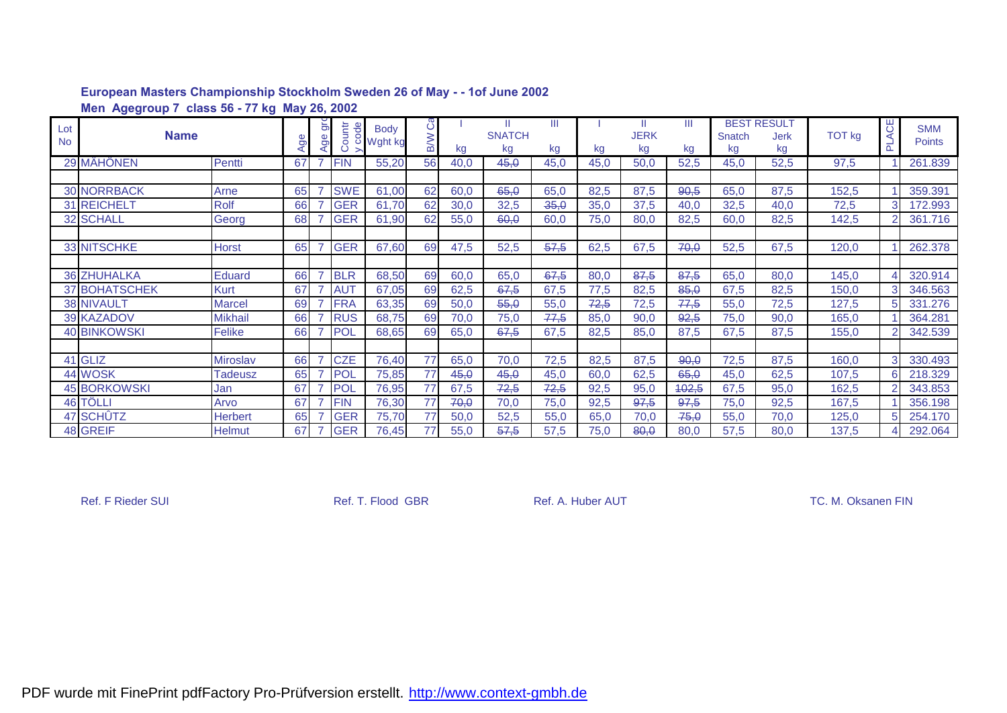|                  | Men Agegroup 7 class 56 - 77 kg May 26, 2002 |                 |    |                       |            |               |                  |      |                          |         |      |                   |         |              |                                         |        |          |                             |
|------------------|----------------------------------------------|-----------------|----|-----------------------|------------|---------------|------------------|------|--------------------------|---------|------|-------------------|---------|--------------|-----------------------------------------|--------|----------|-----------------------------|
| Lot<br><b>No</b> | <b>Name</b>                                  |                 | Ąσ | $\overline{5}$<br>Age | ountr      | ed<br>Mght kg | ပဳ<br><b>B/W</b> | kg   | Ш<br><b>SNATCH</b><br>kg | Ш<br>kg | kg   | <b>JERK</b><br>kg | Ш<br>kg | Snatch<br>kg | <b>BEST RESULT</b><br><b>Jerk</b><br>kg | TOT kg | ACE<br>군 | <b>SMM</b><br><b>Points</b> |
|                  | 29 MÄHÖNEN                                   | Pentti          | 67 |                       | <b>FIN</b> | 55,20         | 56               | 40,0 | 45,0                     | 45,0    | 45,0 | 50,0              | 52,5    | 45,0         | 52,5                                    | 97,5   |          | 261.839                     |
|                  |                                              |                 |    |                       |            |               |                  |      |                          |         |      |                   |         |              |                                         |        |          |                             |
|                  | <b>30 NORRBACK</b>                           | Arne            | 65 |                       | <b>SWE</b> | 61,00         | 62               | 60,0 | 65,0                     | 65,0    | 82,5 | 87,5              | 90,5    | 65,0         | 87,5                                    | 152,5  |          | 359.391                     |
|                  | <b>31 REICHELT</b>                           | <b>Rolf</b>     | 66 |                       | <b>GER</b> | 61,70         | 62               | 30,0 | 32,5                     | 35,0    | 35,0 | 37,5              | 40,0    | 32,5         | 40,0                                    | 72,5   |          | 172.993                     |
|                  | <b>32 SCHALL</b>                             | Georg           | 68 |                       | <b>GER</b> | 61,90         | 62               | 55,0 | 60,0                     | 60,0    | 75,0 | 80,0              | 82,5    | 60,0         | 82,5                                    | 142,5  |          | 361.716                     |
|                  |                                              |                 |    |                       |            |               |                  |      |                          |         |      |                   |         |              |                                         |        |          |                             |
|                  | <b>33 NITSCHKE</b>                           | <b>Horst</b>    | 65 |                       | <b>GER</b> | 67,60         | 69               | 47,5 | 52,5                     | 57,5    | 62,5 | 67,5              | 70,0    | 52,5         | 67,5                                    | 120,0  |          | 262.378                     |
|                  |                                              |                 |    |                       |            |               |                  |      |                          |         |      |                   |         |              |                                         |        |          |                             |
|                  | <b>36 ZHUHALKA</b>                           | <b>Eduard</b>   | 66 |                       | <b>BLR</b> | 68,50         | 69               | 60,0 | 65,0                     | 67,5    | 80,0 | 87,5              | 87,5    | 65,0         | 80,0                                    | 145,0  |          | 320.914                     |
|                  | 37 BOHATSCHEK                                | <b>Kurt</b>     | 67 |                       | <b>AUT</b> | 67,05         | 69               | 62,5 | 67,5                     | 67,5    | 77,5 | 82,5              | 85,0    | 67,5         | 82,5                                    | 150,0  |          | 346.563                     |
|                  | <b>38 NIVAULT</b>                            | Marcel          | 69 |                       | <b>FRA</b> | 63,35         | 69               | 50,0 | 55,0                     | 55,0    | 72,5 | 72,5              | 77,5    | 55,0         | 72,5                                    | 127,5  |          | 331.276                     |
|                  | <b>39 KAZADOV</b>                            | <b>Mikhail</b>  | 66 |                       | <b>RUS</b> | 68,75         | 69               | 70,0 | 75,0                     | 77,5    | 85,0 | 90,0              | 92,5    | 75,0         | 90,0                                    | 165,0  |          | 364.281                     |
|                  | <b>40 BINKOWSKI</b>                          | Felike          | 66 |                       | POL        | 68,65         | 69               | 65,0 | 67,5                     | 67,5    | 82,5 | 85,0              | 87,5    | 67,5         | 87,5                                    | 155,0  |          | 342.539                     |
|                  |                                              |                 |    |                       |            |               |                  |      |                          |         |      |                   |         |              |                                         |        |          |                             |
|                  | 41 GLIZ                                      | <b>Miroslav</b> | 66 |                       | <b>CZE</b> | 76,40         | 77               | 65,0 | 70,0                     | 72,5    | 82,5 | 87,5              | 90,0    | 72,5         | 87,5                                    | 160,0  |          | 330.493                     |
|                  | 44 WOSK                                      | Tadeusz         | 65 |                       | <b>POL</b> | 75,85         | 77               | 45,0 | 45,0                     | 45,0    | 60,0 | 62,5              | 65,0    | 45,0         | 62,5                                    | 107,5  | 6        | 218.329                     |
|                  | <b>45 BORKOWSKI</b>                          | Jan             | 67 |                       | POL        | 76,95         | 77               | 67,5 | 72,5                     | 72,5    | 92,5 | 95,0              | 402,5   | 67,5         | 95,0                                    | 162,5  |          | 343.853                     |
|                  | 46 TÖLLI                                     | Arvo            | 67 |                       | <b>FIN</b> | 76,30         | 77               | 70,0 | 70,0                     | 75,0    | 92,5 | 97,5              | 97,5    | 75,0         | 92,5                                    | 167,5  |          | 356.198                     |
|                  | 47 SCHÛTZ                                    | <b>Herbert</b>  | 65 |                       | <b>GER</b> | 75,70         | 77               | 50,0 | 52,5                     | 55,0    | 65,0 | 70,0              | 75,0    | 55,0         | 70,0                                    | 125,0  |          | 254.170                     |
|                  | 48 GREIF                                     | <b>Helmut</b>   | 67 |                       | <b>GER</b> | 76,45         | 77               | 55,0 | 57,5                     | 57,5    | 75,0 | 80,0              | 80,0    | 57,5         | 80,0                                    | 137,5  |          | 292.064                     |

Ref. F Rieder SUI **Ref. T. Flood GBR** Ref. A. Huber AUT **Ref. A. Huber AUT** TC. M. Oksanen FIN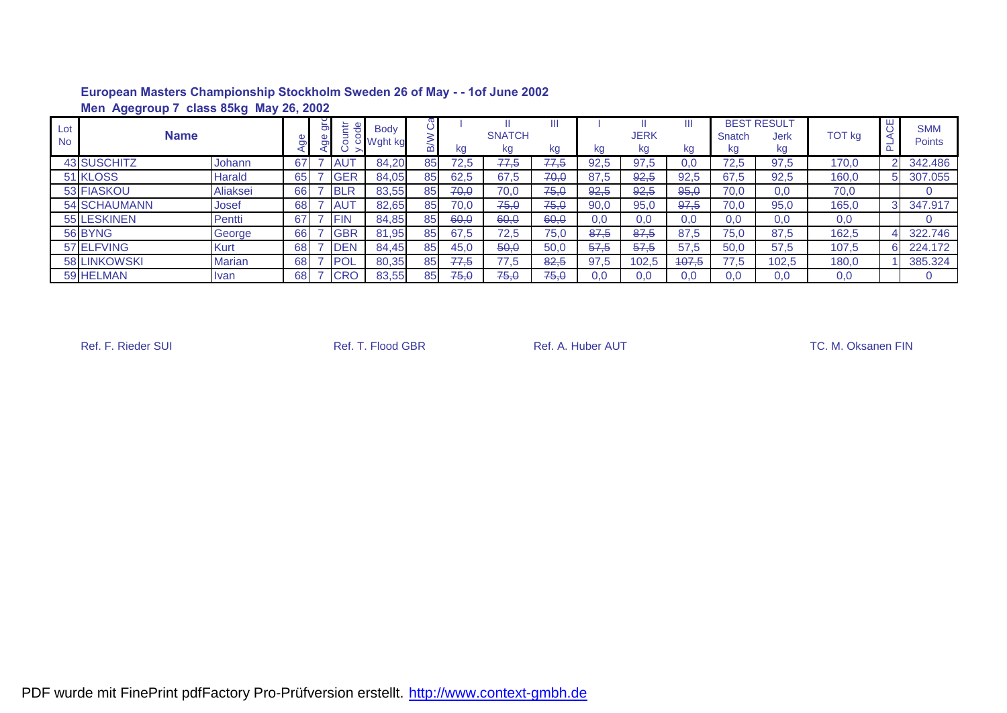|                  | Men Agegroup 7 class 85kg May 26, 2002 |               |    |   |            |                          |    |      |                     |         |      |                   |         |              |                                  |               |    |                             |
|------------------|----------------------------------------|---------------|----|---|------------|--------------------------|----|------|---------------------|---------|------|-------------------|---------|--------------|----------------------------------|---------------|----|-----------------------------|
| Lot<br><b>No</b> | <b>Name</b>                            |               |    | ă | 县<br>ā     | <b>Body</b><br>ರ Wght kg |    | kg   | <b>SNATCH</b><br>kg | Ш<br>kg | kg   | <b>JERK</b><br>kg | Ш<br>kg | Snatch<br>kg | <b>BEST RESULT</b><br>Jerk<br>kg | <b>TOT kg</b> | ЯO | <b>SMM</b><br><b>Points</b> |
|                  | <b>43 SUSCHITZ</b>                     | Johann        | 67 |   | <b>AU</b>  | 84,20                    | 85 | 72,5 | 77,5                | 77,5    | 92.5 | 97.5              | 0.0     | 72,5         | 97,5                             | 170,0         |    | 342.486                     |
|                  | 51 KLOSS                               | Harald        | 65 |   | <b>GER</b> | 84,05                    | 85 | 62,5 | 67,5                | 70,0    | 87,5 | 92,5              | 92,5    | 67,5         | 92,5                             | 160.0         | 5. | 307.055                     |
|                  | 53 FIASKOU                             | Aliaksei      | 66 |   | <b>BLR</b> | 83,55                    | 85 | 70,0 | 70,0                | 75,0    | 92,5 | 92,5              | 95,0    | 70.0         | 0.0                              | 70,0          |    |                             |
|                  | <b>54 SCHAUMANN</b>                    | Josef         | 68 |   | <b>AUT</b> | 82,65                    | 85 | 70,0 | 75,0                | 75,0    | 90.0 | 95,0              | 97,5    | 70,0         | 95,0                             | 165,0         | 3  | 347.917                     |
|                  | <b>55 LESKINEN</b>                     | Pentti        | 67 |   | <b>FIN</b> | 84,85                    | 85 | 60,0 | 60,0                | 60,0    | 0.0  | 0.0               | 0,0     | 0.0          | 0,0                              | 0,0           |    |                             |
|                  | 56 BYNG                                | George        | 66 |   | <b>GBR</b> | 81,95                    | 85 | 67.5 | 72,5                | 75,0    | 87.5 | 87.5              | 87.5    | 75,0         | 87,5                             | 162,5         |    | 322.746                     |
|                  | 57 ELFVING                             | Kurt          | 68 |   | <b>DEN</b> | 84.45                    | 85 | 45,0 | 50,0                | 50,0    | 57,5 | 57,5              | 57,5    | 50,0         | 57,5                             | 107,5         |    | 224.172                     |
|                  | <b>58 LINKOWSKI</b>                    | <b>Marian</b> | 68 |   | POI        | 80,35                    | 85 | 77.5 | 77,5                | 82,5    | 97.5 | 102.5             | 407,5   | 77.5         | 102.5                            | 180,0         |    | 385.324                     |
|                  | 59 HELMAN                              | Ivan          | 68 |   | <b>CRO</b> | 83,55                    | 85 | 75,0 | 75,0                | 75,0    | 0,0  | 0.0               | 0,0     | 0,0          | 0,0                              | 0,0           |    |                             |

Ref. F. Rieder SUI **Ref. T. Flood GBR** Ref. A. Huber AUT **Ref. A. Huber AUT** TC. M. Oksanen FIN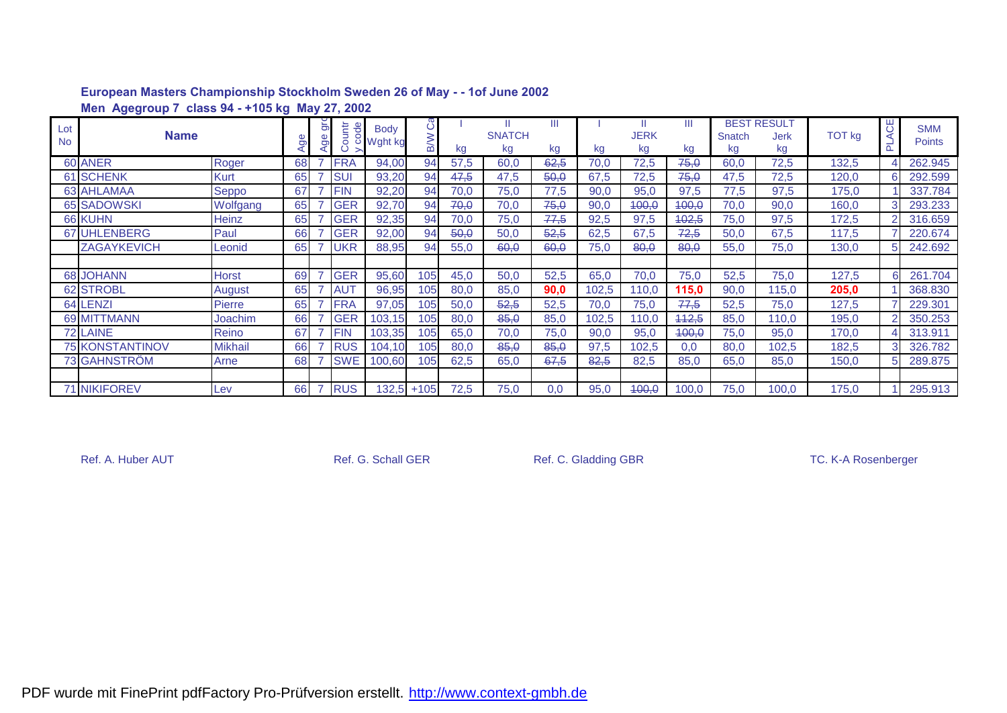|                  | Men Agegroup 7 class 94 - +105 kg May 27, 2002 |                |    |            |                                                                                                                                                                                                                                                                                                                     |                  |      |                          |         |       |                   |         |              |                                  |        |         |                             |
|------------------|------------------------------------------------|----------------|----|------------|---------------------------------------------------------------------------------------------------------------------------------------------------------------------------------------------------------------------------------------------------------------------------------------------------------------------|------------------|------|--------------------------|---------|-------|-------------------|---------|--------------|----------------------------------|--------|---------|-----------------------------|
| Lot<br><b>No</b> | <b>Name</b>                                    |                | შe |            | $\frac{1}{2}$ $\frac{1}{2}$ $\frac{1}{2}$ $\frac{1}{2}$ $\frac{1}{2}$ $\frac{1}{2}$ $\frac{1}{2}$ $\frac{1}{2}$ $\frac{1}{2}$ $\frac{1}{2}$ $\frac{1}{2}$ $\frac{1}{2}$ $\frac{1}{2}$ $\frac{1}{2}$ $\frac{1}{2}$ $\frac{1}{2}$ $\frac{1}{2}$ $\frac{1}{2}$ $\frac{1}{2}$ $\frac{1}{2}$ $\frac{1}{2}$ $\frac{1}{2}$ | ပိ<br><b>B/W</b> | kg   | Ш<br><b>SNATCH</b><br>kg | Ш<br>kg | kg    | <b>JERK</b><br>kg | Ш<br>kg | Snatch<br>kg | <b>BEST RESULT</b><br>Jerk<br>kg | TOT kg | UΗ<br>⋖ | <b>SMM</b><br><b>Points</b> |
|                  | 60 ANER                                        | Roger          | 68 | <b>FRA</b> | 94,00                                                                                                                                                                                                                                                                                                               | 94               | 57,5 | 60,0                     | 62,5    | 70,0  | 72,5              | 75,0    | 60,0         | 72,5                             | 132,5  |         | 262.945                     |
|                  | <b>61 SCHENK</b>                               | Kurt           | 65 | <b>SUI</b> | 93,20                                                                                                                                                                                                                                                                                                               | 94               | 47,5 | 47,5                     | 50,0    | 67,5  | 72,5              | 75,0    | 47,5         | 72,5                             | 120,0  |         | 292.599                     |
|                  | <b>63 AHLAMAA</b>                              | Seppo          | 67 | <b>FIN</b> | 92,20                                                                                                                                                                                                                                                                                                               | 94               | 70,0 | 75,0                     | 77,5    | 90,0  | 95,0              | 97,5    | 77,5         | 97,5                             | 175,0  |         | 337.784                     |
|                  | <b>65 SADOWSKI</b>                             | Wolfgang       | 65 | <b>GER</b> | 92,70                                                                                                                                                                                                                                                                                                               | 94               | 70,0 | 70,0                     | 75,0    | 90,0  | 400,0             | 400,0   | 70,0         | 90,0                             | 160,0  | 3       | 293.233                     |
|                  | 66 KUHN                                        | Heinz          | 65 | <b>GER</b> | 92,35                                                                                                                                                                                                                                                                                                               | 94               | 70,0 | 75,0                     | 77,5    | 92,5  | 97,5              | 402,5   | 75,0         | 97,5                             | 172,5  |         | 316.659                     |
|                  | 67 UHLENBERG                                   | Paul           | 66 | <b>GER</b> | 92,00                                                                                                                                                                                                                                                                                                               | 94               | 50,0 | 50,0                     | 52,5    | 62,5  | 67,5              | 72,5    | 50,0         | 67,5                             | 117,5  |         | 220.674                     |
|                  | <b>ZAGAYKEVICH</b>                             | Leonid         | 65 | UKR        | 88,95                                                                                                                                                                                                                                                                                                               | 94               | 55,0 | 60,0                     | 60,0    | 75,0  | 80,0              | 80,0    | 55,0         | 75,0                             | 130,0  |         | 242.692                     |
|                  |                                                |                |    |            |                                                                                                                                                                                                                                                                                                                     |                  |      |                          |         |       |                   |         |              |                                  |        |         |                             |
|                  | <b>68 JOHANN</b>                               | <b>Horst</b>   | 69 | <b>GER</b> | 95,60                                                                                                                                                                                                                                                                                                               | 105              | 45,0 | 50,0                     | 52,5    | 65,0  | 70,0              | 75,0    | 52,5         | 75,0                             | 127,5  | 6       | 261.704                     |
|                  | <b>62 STROBL</b>                               | August         | 65 | <b>AUT</b> | 96,95                                                                                                                                                                                                                                                                                                               | 105              | 80,0 | 85,0                     | 90,0    | 102,5 | 110,0             | 115,0   | 90,0         | 115,0                            | 205,0  |         | 368.830                     |
|                  | 64 LENZI                                       | Pierre         | 65 | <b>FRA</b> | 97,05                                                                                                                                                                                                                                                                                                               | 105              | 50,0 | 52,5                     | 52,5    | 70,0  | 75,0              | 77.5    | 52,5         | 75,0                             | 127,5  |         | 229.301                     |
|                  | 69 MITTMANN                                    | Joachim        | 66 | <b>GER</b> | 103,15                                                                                                                                                                                                                                                                                                              | 105              | 80,0 | 85,0                     | 85,0    | 102,5 | 110.0             | 442,5   | 85,0         | 110,0                            | 195,0  |         | 350.253                     |
|                  | 72 LAINE                                       | Reino          | 67 | <b>FIN</b> | 103,35                                                                                                                                                                                                                                                                                                              | 105              | 65,0 | 70,0                     | 75,0    | 90,0  | 95,0              | 400,0   | 75,0         | 95,0                             | 170,0  |         | 313.911                     |
|                  | <b>75 KONSTANTINOV</b>                         | <b>Mikhail</b> | 66 | <b>RUS</b> | 104,10                                                                                                                                                                                                                                                                                                              | 105              | 80,0 | 85,0                     | 85,0    | 97,5  | 102,5             | 0,0     | 80,0         | 102,5                            | 182,5  |         | 326.782                     |
|                  | 73 GAHNSTRÖM                                   | Arne           | 68 | <b>SWE</b> | 100,60                                                                                                                                                                                                                                                                                                              | 105              | 62,5 | 65,0                     | 67,5    | 82,5  | 82,5              | 85,0    | 65,0         | 85,0                             | 150,0  | 5       | 289.875                     |
|                  |                                                |                |    |            |                                                                                                                                                                                                                                                                                                                     |                  |      |                          |         |       |                   |         |              |                                  |        |         |                             |
|                  | <b>71 NIKIFOREV</b>                            | Lev            | 66 | <b>RUS</b> | 132,5                                                                                                                                                                                                                                                                                                               | $+105$           | 72,5 | 75,0                     | 0,0     | 95,0  | 400,0             | 100,0   | 75,0         | 100,0                            | 175,0  |         | 295.913                     |

Ref. A. Huber AUT **Ref. G. Schall GER** Ref. C. Gladding GBR TC. K-A Rosenberger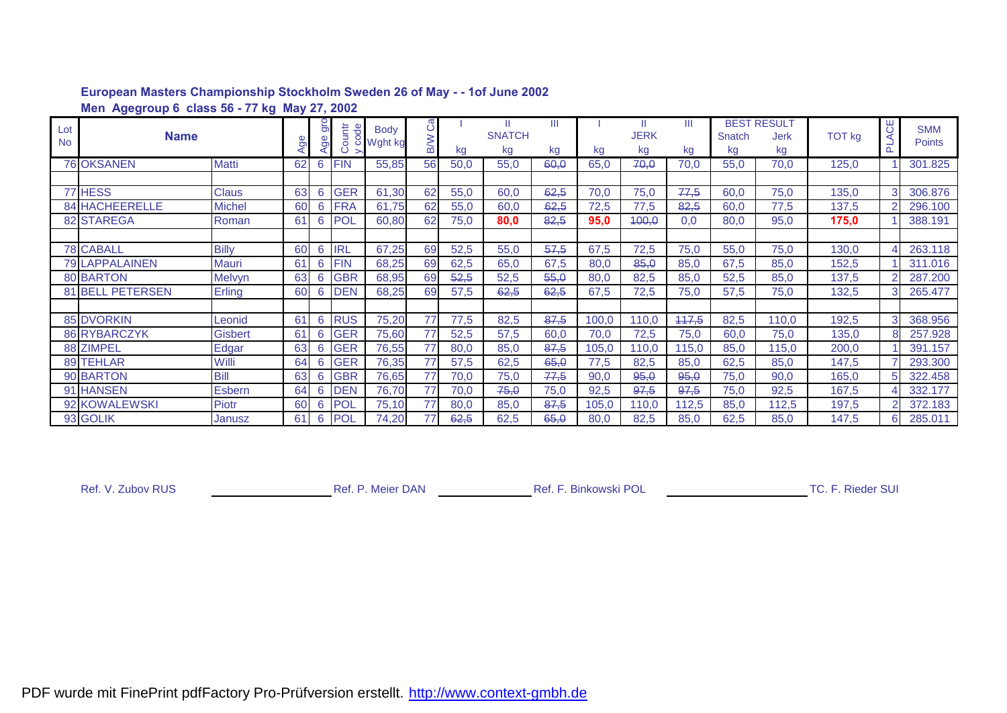|                  | Men Agegroup 6 class 56 - 77 kg May 27, 2002 |                |    |                      |            |                     |                  |      |                           |         |       |                        |         |              |                                         |        |          |                             |
|------------------|----------------------------------------------|----------------|----|----------------------|------------|---------------------|------------------|------|---------------------------|---------|-------|------------------------|---------|--------------|-----------------------------------------|--------|----------|-----------------------------|
| Lot<br><b>No</b> | <b>Name</b>                                  |                | ರಾ | $\overline{5}$<br>ge | ountr      | e Body<br>C Wght kg | Ĉã<br><b>B/W</b> | kg   | H.<br><b>SNATCH</b><br>kg | Ш<br>kg | kg    | Ш<br><b>JERK</b><br>kg | Ш<br>kg | Snatch<br>kg | <b>BEST RESULT</b><br><b>Jerk</b><br>kg | TOT kg | ACE<br>군 | <b>SMM</b><br><b>Points</b> |
|                  | <b>76 OKSANEN</b>                            | Matti          | 62 | 6                    | <b>FIN</b> | 55,85               | 56               | 50,0 | 55,0                      | 60,0    | 65,0  | 70,0                   | 70,0    | 55,0         | 70,0                                    | 125,0  |          | 301.825                     |
|                  |                                              |                |    |                      |            |                     |                  |      |                           |         |       |                        |         |              |                                         |        |          |                             |
|                  | 77 HESS                                      | <b>Claus</b>   | 63 | 6                    | <b>GER</b> | 61,30               | 62               | 55,0 | 60,0                      | 62,5    | 70,0  | 75,0                   | 77,5    | 60,0         | 75,0                                    | 135,0  |          | 306.876                     |
|                  | 84 HACHEERELLE                               | <b>Michel</b>  | 60 | 6                    | <b>FRA</b> | 61,75               | 62               | 55,0 | 60,0                      | 62,5    | 72,5  | 77,5                   | 82,5    | 60,0         | 77,5                                    | 137,5  |          | 296.100                     |
|                  | 82 STAREGA                                   | Roman          | 61 | 6                    | <b>POL</b> | 60,80               | 62               | 75,0 | 80,0                      | 82,5    | 95,0  | 400,0                  | 0,0     | 80,0         | 95,0                                    | 175,0  |          | 388.191                     |
|                  |                                              |                |    |                      |            |                     |                  |      |                           |         |       |                        |         |              |                                         |        |          |                             |
|                  | <b>78 CABALL</b>                             | <b>Billy</b>   | 60 | 6                    | <b>IRL</b> | 67,25               | 69               | 52,5 | 55,0                      | 57,5    | 67,5  | 72,5                   | 75,0    | 55,0         | 75,0                                    | 130,0  |          | 263.118                     |
|                  | <b>79 LAPPALAINEN</b>                        | Mauri          | 61 | 6                    | <b>FIN</b> | 68,25               | 69               | 62,5 | 65,0                      | 67,5    | 80,0  | 85,0                   | 85,0    | 67,5         | 85,0                                    | 152,5  |          | 311.016                     |
|                  | <b>80 BARTON</b>                             | <b>Melvyn</b>  | 63 | 6                    | <b>GBR</b> | 68,95               | 69               | 52,5 | 52,5                      | 55,0    | 80,0  | 82,5                   | 85,0    | 52,5         | 85,0                                    | 137,5  |          | 287.200                     |
|                  | 81 BELL PETERSEN                             | Erling         | 60 | 6                    | <b>DEN</b> | 68,25               | 69               | 57,5 | 62,5                      | 62,5    | 67,5  | 72,5                   | 75,0    | 57,5         | 75,0                                    | 132,5  | 3        | 265.477                     |
|                  |                                              |                |    |                      |            |                     |                  |      |                           |         |       |                        |         |              |                                         |        |          |                             |
|                  | <b>85 DVORKIN</b>                            | Leonid         | 61 | 6                    | <b>RUS</b> | 75,20               | 77               | 77,5 | 82,5                      | 87,5    | 100,0 | 110,0                  | 447,5   | 82,5         | 110,0                                   | 192,5  | 3        | 368.956                     |
|                  | <b>86 RYBARCZYK</b>                          | <b>Gisbert</b> | 61 | 6                    | <b>GER</b> | 75,60               | 77               | 52,5 | 57,5                      | 60,0    | 70,0  | 72,5                   | 75,0    | 60,0         | 75,0                                    | 135,0  |          | 257.928                     |
|                  | 88 ZIMPEL                                    | Edgar          | 63 | 6                    | <b>GER</b> | 76,55               | 77               | 80,0 | 85,0                      | 87,5    | 105,0 | 110,0                  | 115,0   | 85,0         | 115,0                                   | 200,0  |          | 391.157                     |
|                  | 89 TEHLAR                                    | Willi          | 64 | 6                    | <b>GER</b> | 76,35               | 77               | 57,5 | 62,5                      | 65,0    | 77,5  | 82,5                   | 85,0    | 62,5         | 85,0                                    | 147,5  |          | 293.300                     |
|                  | 90 BARTON                                    | Bill           | 63 | 6                    | <b>GBR</b> | 76,65               | 77               | 70,0 | 75,0                      | 77,5    | 90,0  | 95,0                   | 95,0    | 75,0         | 90,0                                    | 165,0  |          | 322.458                     |
|                  | 91 HANSEN                                    | <b>Esbern</b>  | 64 | 6                    | <b>DEN</b> | 76,70               | 77               | 70,0 | 75,0                      | 75,0    | 92,5  | 97,5                   | 97,5    | 75,0         | 92,5                                    | 167,5  |          | 332.177                     |
|                  | 92 KOWALEWSKI                                | Piotr          | 60 | 6                    | <b>POL</b> | 75,10               | 77               | 80,0 | 85,0                      | 87,5    | 105,0 | 110,0                  | 112,5   | 85,0         | 112,5                                   | 197,5  |          | 372.183                     |
|                  | 93 GOLIK                                     | Janusz         | 61 | 6                    | <b>POL</b> | 74,20               | 77               | 62,5 | 62,5                      | 65,0    | 80,0  | 82,5                   | 85,0    | 62,5         | 85,0                                    | 147,5  |          | 285.011                     |

Ref. V. Zubov RUS
Ref. V. Zubov RUS
Ref. P. Meier DAN
Ref. F. Binkowski POL
Ref. V. Zubov RUS
Ref. V. Zubov RUS
Ref. Rieder SUI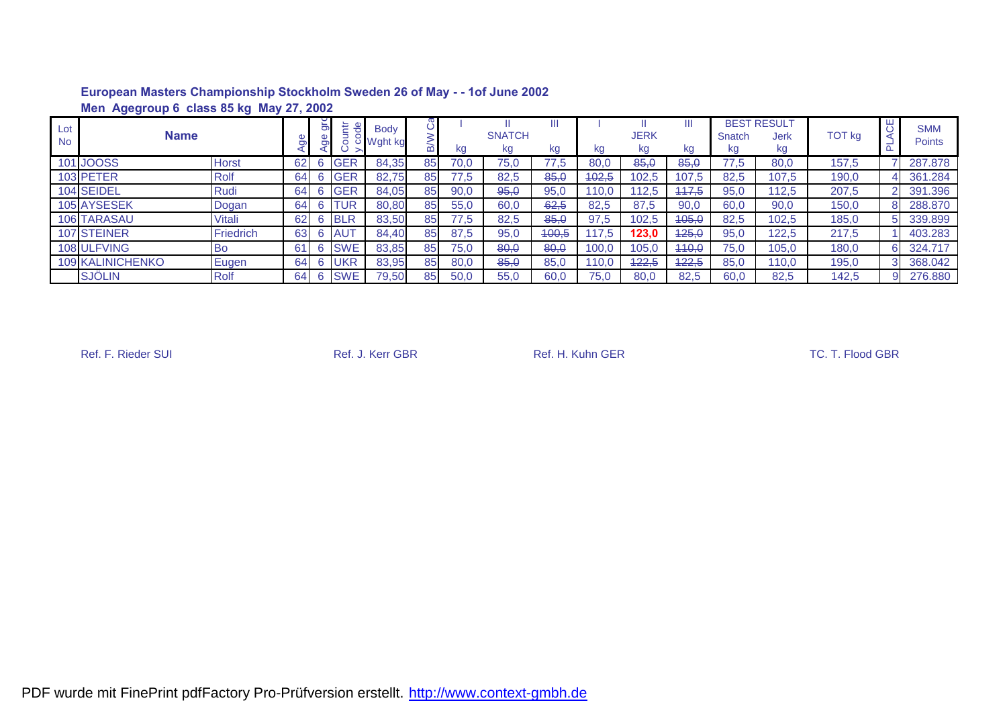|                  | Men Agegroup 6 class 85 kg May 27, 2002 |              |    |        |            |                          |    |      |                     |       |       |                   |         |              |                                  |               |    |                             |
|------------------|-----------------------------------------|--------------|----|--------|------------|--------------------------|----|------|---------------------|-------|-------|-------------------|---------|--------------|----------------------------------|---------------|----|-----------------------------|
| Lot<br><b>No</b> | <b>Name</b>                             |              |    | ី<br>ច | Ħ.         | <b>Body</b><br>Wght kg ا |    | kg   | <b>SNATCH</b><br>kg | kg    | kg    | <b>JERK</b><br>kg | Ш<br>kg | Snatch<br>kg | <b>BEST RESULT</b><br>Jerk<br>kg | <b>TOT kg</b> | 5  | <b>SMM</b><br><b>Points</b> |
|                  | 101 JOOSS                               | <b>Horst</b> | 62 |        | <b>GER</b> | 84,35                    | 85 | 70.0 | 75,0                | 77,5  | 80.0  | 85,0              | 85,0    | 77,5         | 80,0                             | 157,5         |    | 287.878                     |
|                  | 103 PETER                               | <b>Rolf</b>  | 64 | 6      | <b>GER</b> | 82,75                    | 85 | 77.5 | 82,5                | 85,0  | 402,5 | 102,5             | 107,5   | 82,5         | 107,5                            | 190,0         |    | 361.284                     |
|                  | 104 SEIDEL                              | Rudi         | 64 | 6      | <b>GER</b> | 84,05                    | 85 | 90,0 | 95,0                | 95,0  | 10.0  | 112.5             | 447.5   | 95,0         | 112.5                            | 207,5         |    | 391.396                     |
|                  | 105 AYSESEK                             | Dogan        | 64 | 6      | TUR        | 80,80                    | 85 | 55,0 | 60,0                | 62.5  | 82.5  | 87,5              | 90,0    | 60,0         | 90,0                             | 150,0         |    | 288.870                     |
|                  | 106 TARASAU                             | Vitali       | 62 | 6      | <b>BLR</b> | 83,50                    | 85 | 77,5 | 82,5                | 85,0  | 97,5  | 102,5             | 105,0   | 82,5         | 102,5                            | 185,0         | 5. | 339.899                     |
|                  | 107 STEINER                             | Friedrich    | 63 | 6      | <b>AUT</b> | 84,40                    | 85 | 87,5 | 95,0                | 400,5 | 17,5  | 123,0             | 425,0   | 95,0         | 122,5                            | 217,5         |    | 403.283                     |
|                  | 108 ULFVING                             | <b>Bo</b>    | 61 | 6      | <b>SWE</b> | 83,85                    | 85 | 75.0 | 80,0                | 80,0  | 100,0 | 105.0             | 440.0   | 75,0         | 105,0                            | 180,0         |    | 324.717                     |
|                  | <b>109 KALINICHENKO</b>                 | Eugen        | 64 | 6      | <b>UKR</b> | 83.95                    | 85 | 80,0 | 85,0                | 85,0  | 10.0  | 422,5             | 422,5   | 85,0         | 110.0                            | 195,0         |    | 368.042                     |
|                  | <b>SJÖLIN</b>                           | Rolf         | 64 | 6      | <b>SWE</b> | 79,50                    | 85 | 50,0 | 55,0                | 60,0  | 75.0  | 80.0              | 82,5    | 60,0         | 82,5                             | 142,5         |    | 276.880                     |

Ref. F. Rieder SUI **Ref. J. Kerr GBR** Ref. H. Kuhn GER Ref. H. Kuhn GER TC. T. Flood GBR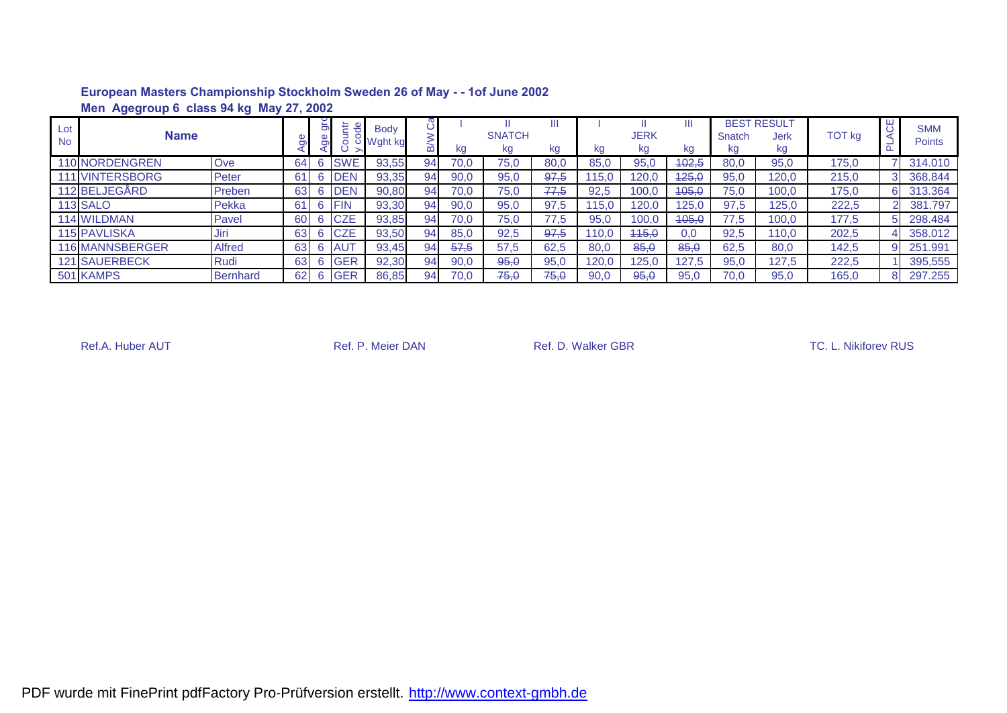|                  | Agegroup 6 class 94 kg May 27, 2002<br>Men |                 |    |   |             |                                 |    |      |                     |         |       |                   |         |              |                                  |               |   |                             |
|------------------|--------------------------------------------|-----------------|----|---|-------------|---------------------------------|----|------|---------------------|---------|-------|-------------------|---------|--------------|----------------------------------|---------------|---|-----------------------------|
| Lot<br><b>No</b> | <b>Name</b>                                |                 |    | ă | 는           | <b>Body</b><br><b>5 Wght kg</b> |    | kg   | <b>SNATCH</b><br>kg | Ш<br>kg | kg    | <b>JERK</b><br>kg | Ш<br>kg | Snatch<br>kg | <b>BEST RESULT</b><br>Jerk<br>kg | <b>TOT kg</b> | 5 | <b>SMM</b><br><b>Points</b> |
|                  | <b>110 NORDENGREN</b>                      | Ove             | 64 |   | <b>SWE</b>  | 93,55                           | 94 | 70.0 | 75,0                | 80,0    | 85.0  | 95,0              | 402,5   | 80.0         | 95,0                             | 175,0         |   | 314.010                     |
|                  | <b>VINTERSBORG</b>                         | Peter           | 61 | 6 | <b>DEN</b>  | 93,35                           | 94 | 90,0 | 95,0                | 97,5    | 15,0  | 120,0             | 125,0   | 95,0         | 120,0                            | 215,0         |   | 368.844                     |
|                  | 112 BELJEGÅRD                              | Preben          | 63 | 6 | <b>IDEN</b> | 90,80                           | 94 | 70.0 | 75.0                | 77.5    | 92,5  | 100,0             | 405,0   | 75.0         | 100.0                            | 175,0         |   | 313.364                     |
|                  | <b>113 SALO</b>                            | Pekka           | 61 | 6 | <b>IFIN</b> | 93,30                           | 94 | 90,0 | 95,0                | 97,5    | 15.0  | 120.0             | 125, C  | 97.5         | 125,0                            | 222,5         |   | 381.797                     |
|                  | <b>114 WILDMAN</b>                         | Pavel           | 60 |   | <b>CZE</b>  | 93,85                           | 94 | 70.0 | 75,0                | 77,5    | 95.0  | 100.0             | 405,0   | 77.5         | 100,0                            | 177,5         |   | 298,484                     |
|                  | <b>115 PAVLISKA</b>                        | Jiri            | 63 |   | <b>CZE</b>  | 93,50                           | 94 | 85,0 | 92,5                | 97,5    | 110.0 | 445.0             | 0.0     | 92,5         | 110.0                            | 202,5         |   | 358,012                     |
|                  | <b>116 MANNSBERGER</b>                     | Alfred          | 63 | 6 | <b>AUT</b>  | 93,45                           | 94 | 57,5 | 57,5                | 62,5    | 80,0  | 85,0              | 85,0    | 62,5         | 80,0                             | 142,5         |   | 251.991                     |
|                  | <b>121 SAUERBECK</b>                       | Rudi            | 63 | 6 | <b>GER</b>  | 92,30                           | 94 | 90,0 | 95,0                | 95,0    | 120.0 | 125.0             | 127.5   | 95,0         | 127.5                            | 222,5         |   | 395,555                     |
|                  | 501 KAMPS                                  | <b>Bernhard</b> | 62 | 6 | <b>GER</b>  | 86,85                           | 94 | 70,0 | 75,0                | 75,0    | 90,0  | 95,0              | 95,0    | 70.0         | 95,0                             | 165.0         |   | 297.255                     |

Ref.A. Huber AUT **Ref. P. Meier DAN** Ref. P. Meier DAN Ref. D. Walker GBR **Ref.A. Huber AUT** C. L. Nikiforev RUS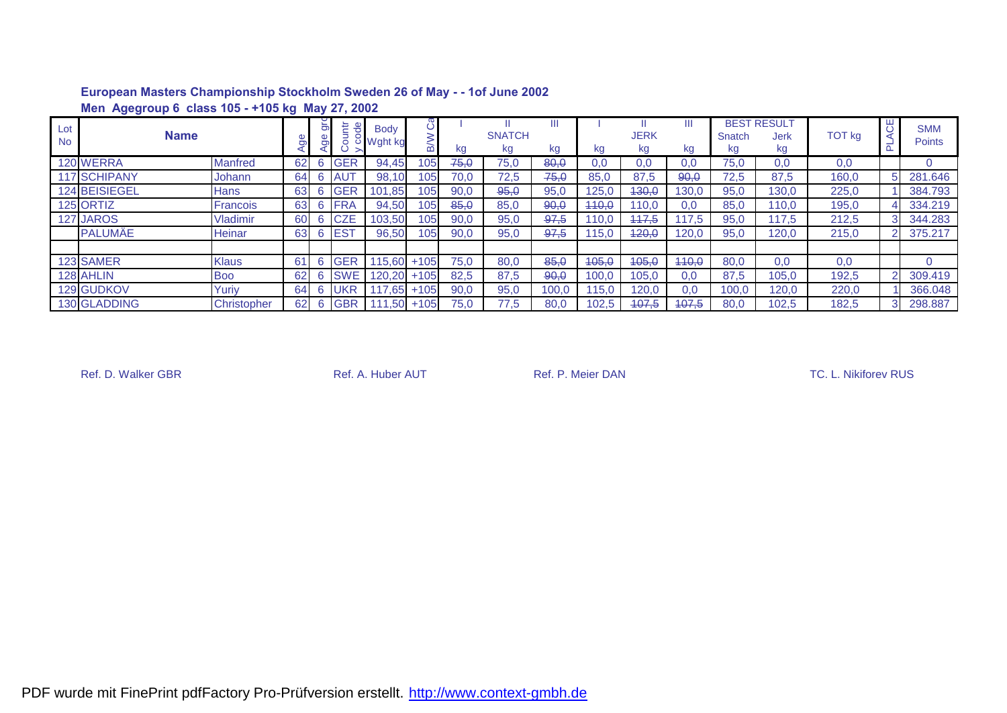|                  | Men Agegroup 6 class 105 - +105 kg May 27, 2002 |                 |    |        |            |                          |        |      |                     |         |       |                   |         |              |                                  |               |              |                             |
|------------------|-------------------------------------------------|-----------------|----|--------|------------|--------------------------|--------|------|---------------------|---------|-------|-------------------|---------|--------------|----------------------------------|---------------|--------------|-----------------------------|
| Lot<br><b>No</b> | <b>Name</b>                                     |                 |    | 5<br>Ō | te el      | <b>Body</b><br>ರ Wght kg |        | kg   | <b>SNATCH</b><br>kg | kg      | kg    | <b>JERK</b><br>kg | Ш<br>kg | Snatch<br>kg | <b>BEST RESULT</b><br>Jerk<br>kg | <b>TOT kg</b> | ₩            | <b>SMM</b><br><b>Points</b> |
|                  | 120 WERRA                                       | <b>Manfred</b>  | 62 | 6      | <b>GER</b> | 94.45                    | 105l   | 75,0 | 75,0                | 80,0    | 0.0   | 0.0               | 0.0     | 75,0         | 0.0                              | 0,0           |              |                             |
|                  | 117 SCHIPANY                                    | Johann          | 64 |        | <b>AUT</b> | 98,10                    | 105    | 70,0 | 72,5                | 75,0    | 85,0  | 87,5              | 90,0    | 72,5         | 87,5                             | 160,0         | 5.           | 281.646                     |
|                  | 124 BEISIEGEL                                   | <b>Hans</b>     | 63 | 6      | <b>GER</b> | 101,85                   | 105    | 90,0 | 95,0                | 95,0    | 125,0 | 430,0             | 130,0   | 95,0         | 130,0                            | 225,0         |              | 384.793                     |
|                  | 125 ORTIZ                                       | <b>Francois</b> | 63 | 6      | <b>FRA</b> | 94,50                    | 105    | 85,0 | 85,0                | 90,0    | 440,0 | 110,0             | 0.0     | 85,0         | 110,0                            | 195,0         |              | 334.219                     |
|                  | 127 JAROS                                       | <b>Vladimir</b> | 60 | 6      | <b>CZE</b> | 103,50                   | 105    | 90,0 | 95,0                | 97,5    | 110,0 | 117,5             | 117.5   | 95,0         | 17,5                             | 212,5         |              | 344.283                     |
|                  | <b>PALUMÄE</b>                                  | <b>Heinar</b>   | 63 | 6      | <b>EST</b> | 96,50                    | 105    | 90,0 | 95,0                | $-97,5$ | 15.0  | 420,0             | 120,0   | 95,0         | 120.0                            | 215,0         |              | 375.217                     |
|                  |                                                 |                 |    |        |            |                          |        |      |                     |         |       |                   |         |              |                                  |               |              |                             |
|                  | 123 SAMER                                       | <b>Klaus</b>    | 61 | 6      | <b>GER</b> | 115.60                   | $+105$ | 75.0 | 80,0                | 85,0    | 405,0 | 405,0             | 440,0   | 80,0         | 0,0                              | 0,0           |              | $\Omega$                    |
|                  | 128 AHLIN                                       | <b>Boo</b>      | 62 | 6      | <b>SWE</b> | 120.20                   | $+105$ | 82,5 | 87,5                | 90,0    | 100,0 | 105,0             | 0.0     | 87,5         | 105,0                            | 192,5         | $\mathbf{2}$ | 309.419                     |
|                  | 129 GUDKOV                                      | Yuriy           | 64 | 6      | <b>UKR</b> | .65                      | $+105$ | 90,0 | 95,0                | 100,0   | 15.0  | 120,0             | 0.0     | 100,0        | 120.0                            | 220,0         |              | 366.048                     |
|                  | 130 GLADDING                                    | Christopher     | 62 | 6      | <b>GBR</b> | ,50                      | $+105$ | 75.0 | 77,5                | 80,0    | 102,5 | 407.5             | 407,5   | 80,0         | 102.5                            | 182,5         | 3            | 298.887                     |

Ref. D. Walker GBR **Ref. A. Huber AUT** Ref. A. Huber AUT Ref. P. Meier DAN **Ref. D. Walker GBR** TC. L. Nikiforev RUS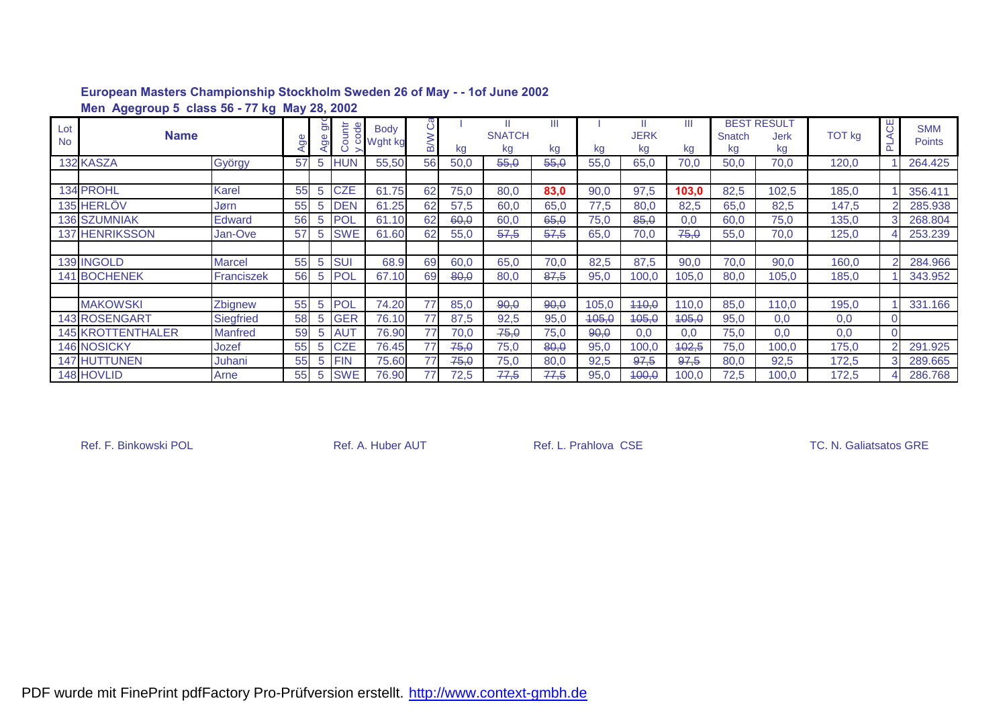|                  | Men Agegroup 5 class 56 - 77 kg May 28, 2002 |                  |    |                     |                                      |                                 |            |      |                          |         |       |                   |                  |              |                                  |               |         |                             |
|------------------|----------------------------------------------|------------------|----|---------------------|--------------------------------------|---------------------------------|------------|------|--------------------------|---------|-------|-------------------|------------------|--------------|----------------------------------|---------------|---------|-----------------------------|
| Lot<br><b>No</b> | <b>Name</b>                                  |                  | ත  | $\overline{5}$<br>ō | tt de<br>$\bigcap$<br>$\overline{5}$ | <b>Body</b><br><b>○ Wght kg</b> | <b>B/W</b> | Kg   | Ш<br><b>SNATCH</b><br>kg | Ш<br>kg | kg    | <b>JERK</b><br>kg | Ш<br>kg          | Snatch<br>kg | <b>BEST RESULT</b><br>Jerk<br>kg | <b>TOT kg</b> | ЯO<br>൨ | <b>SMM</b><br><b>Points</b> |
|                  | 132 KASZA                                    | György           | 57 | 5                   | <b>HUN</b>                           | 55,50                           | 56         | 50,0 | 55.0                     | 55,0    | 55.0  | 65,0              | 70,0             | 50,0         | 70,0                             | 120,0         |         | 264.425                     |
|                  |                                              |                  |    |                     |                                      |                                 |            |      |                          |         |       |                   |                  |              |                                  |               |         |                             |
|                  | <b>134 PROHL</b>                             | <b>Karel</b>     | 55 | 5                   | <b>CZE</b>                           | 61.75                           | 62         | 75,0 | 80,0                     | 83,0    | 90,0  | 97,5              | 103,0            | 82,5         | 102,5                            | 185,0         |         | 356.411                     |
|                  | <b>135 HERLOV</b>                            | Jørn             | 55 | 5                   | <b>DEN</b>                           | 61.25                           | 62         | 57,5 | 60,0                     | 65,0    | 77,5  | 80,0              | 82,5             | 65,0         | 82,5                             | 147,5         |         | 285.938                     |
|                  | <b>136 SZUMNIAK</b>                          | Edward           | 56 | 5                   | POL                                  | 61.10                           | 62         | 60,0 | 60,0                     | 65,0    | 75,0  | 85,0              | 0.0              | 60,0         | 75,0                             | 135,0         | 3       | 268.804                     |
|                  | <b>137 HENRIKSSON</b>                        | Jan-Ove          | 57 | 5                   | <b>SWE</b>                           | 61.60                           | 62         | 55,0 | 57,5                     | 57,5    | 65,0  | 70,0              | 75,0             | 55,0         | 70,0                             | 125,0         |         | 253.239                     |
|                  |                                              |                  |    |                     |                                      |                                 |            |      |                          |         |       |                   |                  |              |                                  |               |         |                             |
|                  | <b>139 INGOLD</b>                            | <b>Marcel</b>    | 55 | 5                   | <b>SU</b>                            | 68.9                            | 69         | 60,0 | 65,0                     | 70,0    | 82,5  | 87,5              | 90,0             | 70,0         | 90,0                             | 160,0         |         | 284.966                     |
|                  | <b>141 BOCHENEK</b>                          | Franciszek       | 56 | 5                   | <b>POL</b>                           | 67.10                           | 69         | 80,0 | 80,0                     | 87.5    | 95,0  | 100.0             | 105,0            | 80,0         | 105,0                            | 185,0         |         | 343.952                     |
|                  |                                              |                  |    |                     |                                      |                                 |            |      |                          |         |       |                   |                  |              |                                  |               |         |                             |
|                  | <b>MAKOWSKI</b>                              | Zbignew          | 55 | 5                   | <b>POL</b>                           | 74.20                           | 77         | 85,0 | 90,0                     | 90,0    | 105,0 | 440,0             | 110,0            | 85,0         | 110,0                            | 195,0         |         | 331.166                     |
|                  | 143 ROSENGART                                | <b>Siegfried</b> | 58 | -5                  | <b>GER</b>                           | 76.10                           | 77         | 87,5 | 92,5                     | 95,0    | 405,0 | 405,0             | <del>105.0</del> | 95,0         | 0,0                              | 0,0           |         |                             |
|                  | <b>145 KROTTENTHALER</b>                     | <b>Manfred</b>   | 59 | 5                   | <b>AUT</b>                           | 76.90                           | 77         | 70,0 | 75,0                     | 75,0    | 90,0  | 0,0               | 0.0              | 75,0         | 0,0                              | 0,0           |         |                             |
|                  | <b>146 NOSICKY</b>                           | Jozef            | 55 | 5                   | <b>CZE</b>                           | 76.45                           | 77         | 75,0 | 75,0                     | 80,0    | 95,0  | 100.0             | 102,5            | 75,0         | 100,0                            | 175,0         | 2       | 291.925                     |
|                  | 147 HUTTUNEN                                 | Juhani           | 55 | 5                   | <b>FIN</b>                           | 75.60                           | 77         | 75,0 | 75,0                     | 80,0    | 92,5  | 97,5              | 97,5             | 80,0         | 92,5                             | 172,5         | 3       | 289.665                     |
|                  | 148 HOVLID                                   | Arne             | 55 | 5                   | <b>SWE</b>                           | 76.90                           | 77         | 72,5 | 77,5                     | 77,5    | 95,0  | 400,0             | 100,0            | 72,5         | 100,0                            | 172,5         |         | 286.768                     |

Ref. F. Binkowski POL **Ref. A. Huber AUT** Ref. L. Prahlova CSE TC. N. Galiatsatos GRE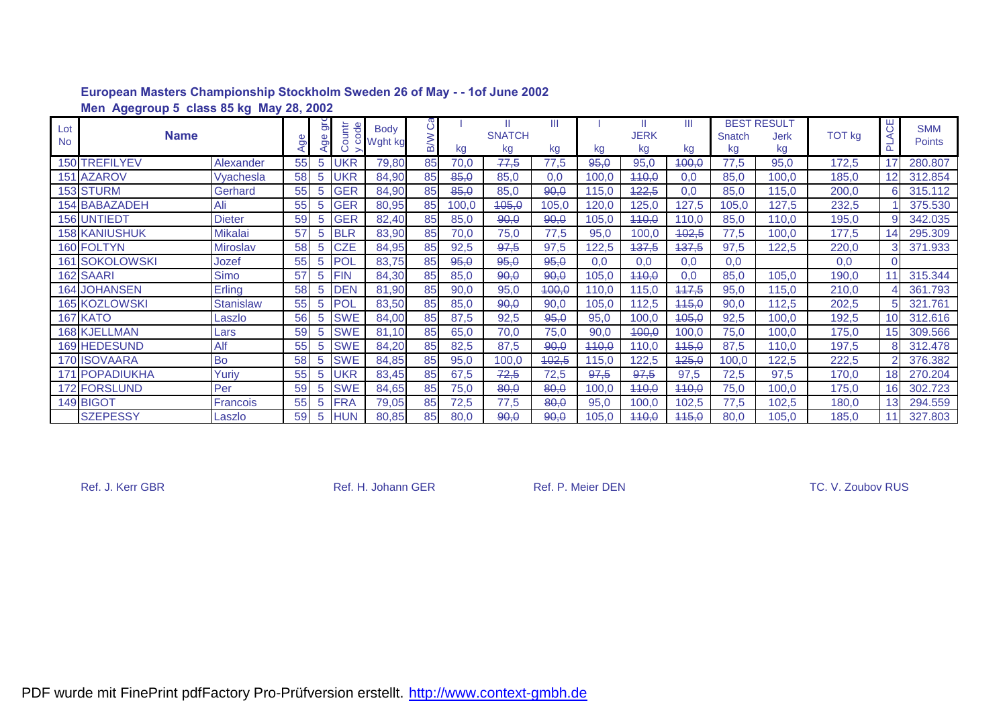|                  | Men Agegroup 5 class 85 kg May 28, 2002 |                  |    |          |                          |                          |                 |       |                          |         |       |                   |         |              |                                  |               |                 |                             |
|------------------|-----------------------------------------|------------------|----|----------|--------------------------|--------------------------|-----------------|-------|--------------------------|---------|-------|-------------------|---------|--------------|----------------------------------|---------------|-----------------|-----------------------------|
| Lot<br><b>No</b> | <b>Name</b>                             |                  | Ō  | 5<br>Age | 분 <sub>명</sub><br>ā<br>Ö | <b>Body</b><br>o Wght kg | ී<br><b>N/B</b> | kg    | Ш<br><b>SNATCH</b><br>kg | Ш<br>kg | kg    | <b>JERK</b><br>kg | Ш<br>kg | Snatch<br>kg | <b>BEST RESULT</b><br>Jerk<br>kg | <b>TOT kg</b> | ₩<br>A<br>P     | <b>SMM</b><br><b>Points</b> |
|                  | <b>150 TREFILYEV</b>                    | Alexander        | 55 | 5        | <b>UKR</b>               | 79,80                    | 85              | 70,0  | 77,5                     | 77,5    | 95,0  | 95,0              | 400,0   | 77,5         | 95,0                             | 172,5         | 17              | 280.807                     |
|                  | <b>151 AZAROV</b>                       | Vyachesla        | 58 | 5        | UKR                      | 84,90                    | 85              | 85,0  | 85,0                     | 0,0     | 100,0 | 440,0             | 0,0     | 85,0         | 100,0                            | 185,0         |                 | 312.854                     |
|                  | 153 STURM                               | Gerhard          | 55 | 5        | <b>GER</b>               | 84,90                    | 85              | 85,0  | 85,0                     | 90,0    | 115.0 | 422,5             | 0.0     | 85,0         | 115,0                            | 200,0         | 6               | 315.112                     |
|                  | <b>154 BABAZADEH</b>                    | Ali              | 55 | 5        | <b>GER</b>               | 80,95                    | 85              | 100,0 | 405,0                    | 105,0   | 120,0 | 125,0             | 127,5   | 105,0        | 127,5                            | 232,5         |                 | 375.530                     |
|                  | <b>156 UNTIEDT</b>                      | <b>Dieter</b>    | 59 | 5        | <b>GER</b>               | 82,40                    | 85              | 85,0  | 90,0                     | 90,0    | 105,0 | 440,0             | 110,0   | 85,0         | 110,0                            | 195,0         | 9               | 342.035                     |
|                  | <b>158 KANIUSHUK</b>                    | <b>Mikalai</b>   | 57 | 5        | <b>BLR</b>               | 83,90                    | 85              | 70,0  | 75,0                     | 77,5    | 95,0  | 100,0             | 402,5   | 77,5         | 100,0                            | 177,5         | 14              | 295.309                     |
|                  | 160 FOLTYN                              | Miroslav         | 58 | 5        | <b>CZE</b>               | 84,95                    | 85              | 92,5  | 97,5                     | 97,5    | 122,5 | 437,5             | 437,5   | 97,5         | 122,5                            | 220,0         | 3               | 371.933                     |
|                  | <b>161 SOKOLOWSKI</b>                   | Jozef            | 55 | 5        | <b>POL</b>               | 83,75                    | 85              | 95,0  | 95,0                     | 95,0    | 0,0   | 0,0               | 0,0     | 0,0          |                                  | 0,0           | $\Omega$        |                             |
|                  | 162 SAARI                               | <b>Simo</b>      | 57 | 5        | <b>FIN</b>               | 84,30                    | 85              | 85,0  | 90,0                     | 90,0    | 105,0 | 440,0             | 0,0     | 85,0         | 105,0                            | 190,0         |                 | 315.344                     |
|                  | <b>164 JOHANSEN</b>                     | Erling           | 58 | 5        | <b>DEN</b>               | 81,90                    | 85              | 90,0  | 95,0                     | 400,0   | 110.0 | 115,0             | 117,5   | 95,0         | 115,0                            | 210,0         |                 | 361.793                     |
|                  | <b>165 KOZLOWSKI</b>                    | <b>Stanislaw</b> | 55 | 5        | POL                      | 83,50                    | 85              | 85,0  | 90,0                     | 90,0    | 105,0 | 112,5             | 445,0   | 90,0         | 112,5                            | 202,5         | 5               | 321.761                     |
|                  | 167 KATO                                | Laszlo           | 56 | 5        | <b>SWE</b>               | 84,00                    | 85              | 87,5  | 92,5                     | 95,0    | 95,0  | 100,0             | 405,0   | 92,5         | 100,0                            | 192,5         | 10 <sup>1</sup> | 312.616                     |
|                  | <b>168 KJELLMAN</b>                     | Lars             | 59 | 5        | <b>SWE</b>               | 81,10                    | 85              | 65,0  | 70,0                     | 75,0    | 90,0  | 400,0             | 100,0   | 75,0         | 100,0                            | 175,0         | 15 <sup>1</sup> | 309.566                     |
|                  | 169 HEDESUND                            | Alf              | 55 | 5        | <b>SWE</b>               | 84,20                    | 85              | 82,5  | 87,5                     | 90,0    | 440,0 | 110,0             | 445,0   | 87,5         | 110,0                            | 197,5         | 8               | 312.478                     |
|                  | <b>170 ISOVAARA</b>                     | Bo               | 58 | 5        | <b>SWE</b>               | 84,85                    | 85              | 95,0  | 100,0                    | 402,5   | 115,0 | 122,5             | 425,0   | 100,0        | 122,5                            | 222,5         |                 | 376.382                     |
| 171              | <b>POPADIUKHA</b>                       | Yuriy            | 55 | 5        | UKR                      | 83,45                    | 85              | 67,5  | 72,5                     | 72,5    | 97,5  | 97,5              | 97,5    | 72,5         | 97,5                             | 170,0         | 18              | 270.204                     |
|                  | 172 FORSLUND                            | Per              | 59 | 5        | <b>SWE</b>               | 84,65                    | 85              | 75,0  | 80,0                     | 80,0    | 100,0 | 440,0             | 440,0   | 75,0         | 100,0                            | 175,0         | 16              | 302.723                     |
|                  | 149 BIGOT                               | Francois         | 55 | 5        | FRA                      | 79,05                    | 85              | 72,5  | 77,5                     | 80,0    | 95,0  | 100,0             | 102,5   | 77,5         | 102,5                            | 180,0         | 13              | 294.559                     |
|                  | <b>SZEPESSY</b>                         | Laszlo           | 59 | 5        | UN                       | 80,85                    | 85              | 80,0  | 90,0                     | 90,0    | 105,0 | 440,0             | 115,0   | 80,0         | 105,0                            | 185,0         |                 | 327.803                     |

Ref. J. Kerr GBR TC. V. Zoubov RUS Ref. H. Johann GER Ref. P. Meier DEN TC. V. Zoubov RUS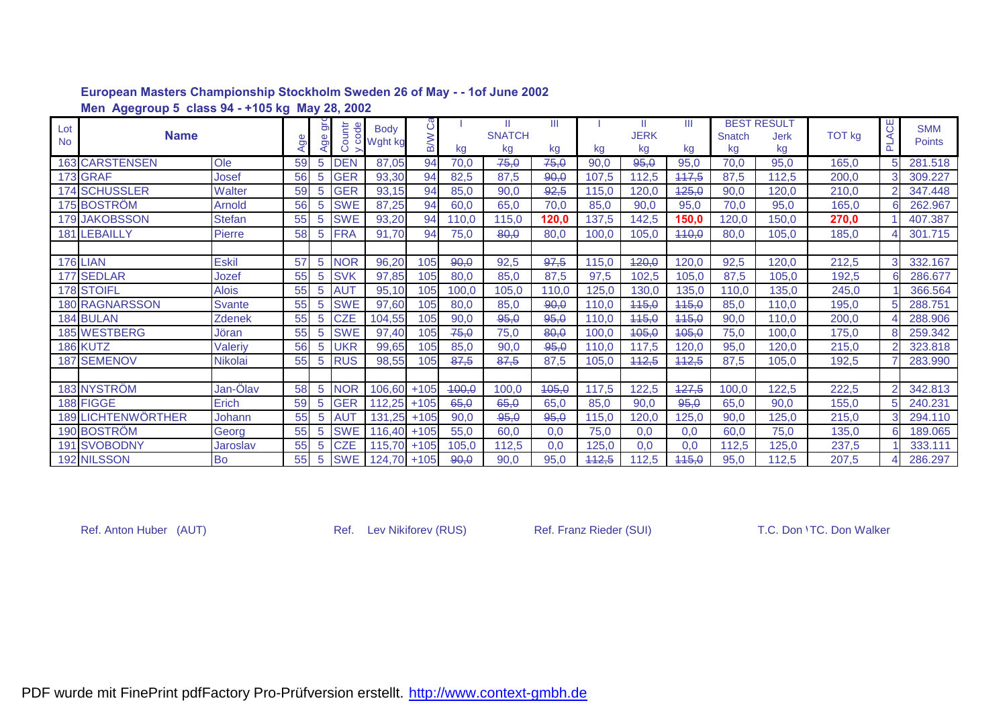|           | Men Agegroup 5 class 94 - +105 kg May 28, 2002 |                |     |     |               |             |            |       |               |       |       |             |       |        |                    |               |              |               |
|-----------|------------------------------------------------|----------------|-----|-----|---------------|-------------|------------|-------|---------------|-------|-------|-------------|-------|--------|--------------------|---------------|--------------|---------------|
| Lot       |                                                |                |     | 5   | $\frac{1}{2}$ | <b>Body</b> | ပိ         |       |               | Ш     |       | H.          | Ш     |        | <b>BEST RESULT</b> |               | <b>PLACE</b> | <b>SMM</b>    |
| <b>No</b> | <b>Name</b>                                    |                | Age | Age | Countr        | o Wght kg   | <b>B/W</b> |       | <b>SNATCH</b> |       |       | <b>JERK</b> |       | Snatch | <b>Jerk</b>        | <b>TOT kg</b> |              | <b>Points</b> |
|           |                                                |                |     |     |               |             |            | kg    | kg            | kg    | kg    | kg          | kg    | kg     | kg                 |               |              |               |
|           | <b>163 CARSTENSEN</b>                          | Ole            | 59  | 5   | <b>DEN</b>    | 87,05       | 94         | 70,0  | 75,0          | 75,0  | 90,0  | 95,0        | 95,0  | 70,0   | 95,0               | 165,0         |              | 281.518       |
|           | 173 GRAF                                       | Josef          | 56  | 5   | <b>GER</b>    | 93,30       | 94         | 82,5  | 87,5          | 90,0  | 107,5 | 112,5       | 117,5 | 87,5   | 112,5              | 200,0         |              | 309.227       |
|           | <b>174 SCHUSSLER</b>                           | <b>Walter</b>  | 59  | 5   | <b>GER</b>    | 93,15       | 94         | 85,0  | 90,0          | 92,5  | 115,0 | 120,0       | 125,0 | 90,0   | 120,0              | 210,0         |              | 347.448       |
|           | 175 BOSTRÖM                                    | Arnold         | 56  | 5   | <b>SWE</b>    | 87,25       | 94         | 60,0  | 65,0          | 70,0  | 85,0  | 90,0        | 95,0  | 70,0   | 95,0               | 165,0         |              | 262.967       |
|           | 179 JAKOBSSON                                  | <b>Stefan</b>  | 55  | 5   | <b>SWE</b>    | 93,20       | 94         | 110,0 | 115,0         | 120,0 | 137,5 | 142,5       | 150,0 | 120,0  | 150,0              | 270,0         |              | 407.387       |
|           | 181 LEBAILLY                                   | Pierre         | 58  | 5   | <b>FRA</b>    | 91,70       | 94         | 75,0  | 80,0          | 80,0  | 100,0 | 105,0       | 440,0 | 80,0   | 105,0              | 185,0         |              | 301.715       |
|           |                                                |                |     |     |               |             |            |       |               |       |       |             |       |        |                    |               |              |               |
|           | <b>176 LIAN</b>                                | <b>Eskil</b>   | 57  | 5   | <b>NOR</b>    | 96,20       | 105        | 90,0  | 92,5          | 97,5  | 115,0 | 420,0       | 120,0 | 92,5   | 120.0              | 212,5         |              | 332.167       |
|           | 177 SEDLAR                                     | Jozef          | 55  | 5   | <b>SVK</b>    | 97,85       | 105        | 80,0  | 85,0          | 87,5  | 97,5  | 102.5       | 105,0 | 87,5   | 105,0              | 192,5         |              | 286.677       |
|           | 178 STOIFL                                     | <b>Alois</b>   | 55  | 5   | <b>AUT</b>    | 95,10       | 105        | 100,0 | 105,0         | 110,0 | 125,0 | 130,0       | 135,0 | 110,0  | 135,0              | 245,0         |              | 366.564       |
|           | <b>180 RAGNARSSON</b>                          | <b>Svante</b>  | 55  | 5   | <b>SWE</b>    | 97,60       | 105        | 80,0  | 85,0          | 90,0  | 110,0 | 115,0       | 115,0 | 85,0   | 110,0              | 195,0         |              | 288.751       |
|           | 184 BULAN                                      | Zdenek         | 55  | 5   | <b>CZE</b>    | 104,55      | 105        | 90,0  | 95,0          | 95,0  | 110,0 | 445,0       | 445,0 | 90,0   | 110,0              | 200,0         |              | 288.906       |
|           | 185 WESTBERG                                   | Jöran          | 55  | 5   | <b>SWE</b>    | 97,40       | 105        | 75,0  | 75,0          | 80,0  | 100,0 | 105,0       | 405,0 | 75,0   | 100,0              | 175,0         |              | 259.342       |
|           | 186 KUTZ                                       | Valeriy        | 56  | 5   | UKR           | 99,65       | 105        | 85,0  | 90,0          | 95,0  | 110,0 | 117,5       | 120,0 | 95,0   | 120,0              | 215,0         |              | 323.818       |
|           | <b>187 SEMENOV</b>                             | <b>Nikolai</b> | 55  | 5   | <b>RUS</b>    | 98,55       | 105        | 87,5  | 87,5          | 87,5  | 105,0 | 442,5       | 442,5 | 87,5   | 105,0              | 192,5         |              | 283.990       |
|           |                                                |                |     |     |               |             |            |       |               |       |       |             |       |        |                    |               |              |               |
|           | 183 NYSTRÖM                                    | Jan-Ölav       | 58  | 5   | <b>NOR</b>    | 106,60      | $+105$     | 400,0 | 100,0         | 405,0 | 117,5 | 122,5       | 427,5 | 100,0  | 122,5              | 222,5         |              | 342.813       |
|           | 188 FIGGE                                      | Erich          | 59  | 5   | <b>GER</b>    | 112,25      | $+105$     | 65,0  | 65,0          | 65,0  | 85,0  | 90,0        | 95,0  | 65,0   | 90,0               | 155,0         |              | 240.231       |
|           | <b>189 LICHTENWÖRTHER</b>                      | Johann         | 55  | 5   | <b>AUT</b>    | 131,25      | $+105$     | 90,0  | 95,0          | 95,0  | 115,0 | 120,0       | 125,0 | 90,0   | 125,0              | 215,0         |              | 294.110       |
|           | 190 BOSTRÖM                                    | Georg          | 55  | 5   | <b>SWE</b>    | 116,40      | $+105$     | 55,0  | 60,0          | 0.0   | 75,0  | 0,0         | 0.0   | 60,0   | 75,0               | 135,0         |              | 189.065       |
|           | <b>191 SVOBODNY</b>                            | Jaroslav       | 55  | 5   | <b>CZE</b>    | 115.70      | $+105$     | 105,0 | 112,5         | 0,0   | 125,0 | 0,0         | 0,0   | 112,5  | 125,0              | 237,5         |              | 333.111       |
|           | 192 NILSSON                                    | Bo             | 55  | 5   | <b>SWE</b>    | 124,70      | $+105$     | 90,0  | 90,0          | 95,0  | 442,5 | 112,5       | 115,0 | 95,0   | 112,5              | 207,5         |              | 286.297       |

Ref. Anton Huber (AUT) **Ref. Lev Nikiforev (RUS)** Ref. Franz Rieder (SUI) T.C. Don 'TC. Don Walker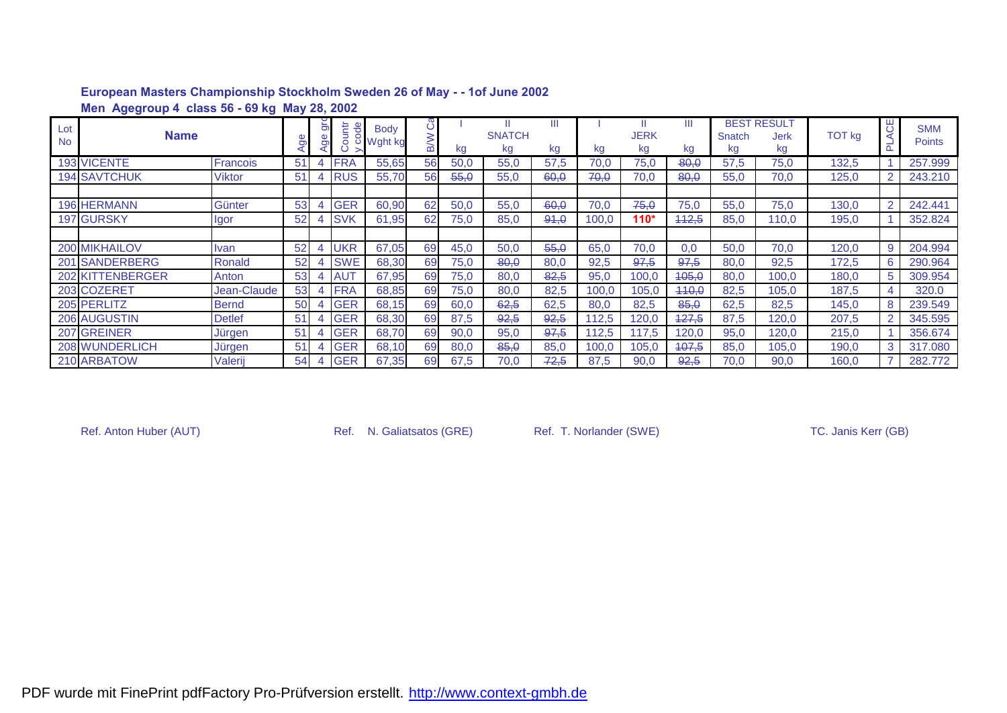|                  | Men Agegroup 4 class 56 - 69 kg May 28, 2002 |                 |    |          |                                       |                          |            |      |                     |         |       |                   |         |              |                                         |               |         |                             |
|------------------|----------------------------------------------|-----------------|----|----------|---------------------------------------|--------------------------|------------|------|---------------------|---------|-------|-------------------|---------|--------------|-----------------------------------------|---------------|---------|-----------------------------|
| Lot<br><b>No</b> | <b>Name</b>                                  |                 |    | ౚ<br>မ္တ | ŧ<br>$\overline{e}$<br>$\overline{a}$ | <b>Body</b><br>o Wght kg | ပိ<br>_ മ് | kg   | <b>SNATCH</b><br>kg | Ш<br>kg | kg    | <b>JERK</b><br>kg | Ш<br>kg | Snatch<br>kg | <b>BEST RESULT</b><br><b>Jerk</b><br>kg | <b>TOT kg</b> | ЪŐ<br>ᅌ | <b>SMM</b><br><b>Points</b> |
|                  | <b>193 VICENTE</b>                           | <b>Francois</b> | 51 |          | <b>FRA</b>                            | 55,65                    | 56         | 50,0 | 55,0                | 57,5    | 70.0  | 75,0              | $-80,0$ | 57,5         | 75,0                                    | 132,5         |         | 257.999                     |
|                  | <b>194 SAVTCHUK</b>                          | <b>Viktor</b>   | 51 |          | <b>RUS</b>                            | 55,70                    | 56         | 55,0 | 55,0                | 60,0    | 70,0  | 70,0              | 80,0    | 55,0         | 70,0                                    | 125,0         |         | 243.210                     |
|                  |                                              |                 |    |          |                                       |                          |            |      |                     |         |       |                   |         |              |                                         |               |         |                             |
|                  | <b>196 HERMANN</b>                           | Günter          | 53 |          | <b>GER</b>                            | 60,90                    | 62         | 50,0 | 55,0                | 60,0    | 70,0  | 75,0              | 75,0    | 55,0         | 75,0                                    | 130,0         | 2       | 242.441                     |
|                  | 197 GURSKY                                   | Igor            | 52 |          | <b>SVK</b>                            | 61,95                    | 62         | 75,0 | 85,0                | 91,0    | 100,0 | $110*$            | 112,5   | 85,0         | 110,0                                   | 195,0         |         | 352.824                     |
|                  |                                              |                 |    |          |                                       |                          |            |      |                     |         |       |                   |         |              |                                         |               |         |                             |
|                  | 200 MIKHAILOV                                | Ivan            | 52 |          | <b>UKR</b>                            | 67,05                    | 69         | 45,0 | 50,0                | 55,0    | 65,0  | 70.0              | 0,0     | 50,0         | 70,0                                    | 120,0         | 9       | 204.994                     |
|                  | 201 SANDERBERG                               | Ronald          | 52 |          | <b>SWE</b>                            | 68,30                    | 69         | 75,0 | 80,0                | 80,0    | 92,5  | 97,5              | 97,5    | 80,0         | 92,5                                    | 172,5         | 6       | 290.964                     |
|                  | 202 KITTENBERGER                             | Anton           | 53 |          | <b>AUT</b>                            | 67,95                    | 69         | 75,0 | 80,0                | 82,5    | 95,0  | 100,0             | 405,0   | 80,0         | 100,0                                   | 180,0         | 5       | 309.954                     |
|                  | 203 COZERET                                  | Jean-Claude     | 53 |          | <b>FRA</b>                            | 68,85                    | 69         | 75,0 | 80,0                | 82,5    | 100,0 | 105,0             | 440,0   | 82,5         | 105,0                                   | 187,5         |         | 320.0                       |
|                  | 205 PERLITZ                                  | <b>Bernd</b>    | 50 |          | <b>GER</b>                            | 68,15                    | 69         | 60,0 | 62,5                | 62,5    | 80,0  | 82,5              | 85,0    | 62,5         | 82,5                                    | 145,0         |         | 239.549                     |
|                  | 206 AUGUSTIN                                 | <b>Detlef</b>   | 51 |          | <b>GER</b>                            | 68,30                    | 69         | 87,5 | 92,5                | 92,5    | 112,5 | 120,0             | 427,5   | 87,5         | 120,0                                   | 207,5         |         | 345.595                     |
|                  | 207 GREINER                                  | Jürgen          | 51 |          | <b>GER</b>                            | 68,70                    | 69         | 90,0 | 95,0                | 97,5    | 112.5 | 117.5             | 120,0   | 95,0         | 120,0                                   | 215,0         |         | 356.674                     |
|                  | 208 WUNDERLICH                               | Jürgen          | 51 |          | <b>GER</b>                            | 68,10                    | 69         | 80,0 | 85,0                | 85,0    | 100,0 | 105,0             | 107,5   | 85,0         | 105,0                                   | 190,0         | 3       | 317.080                     |
|                  | 210 ARBATOW                                  | Valerij         | 54 |          | <b>GER</b>                            | 67,35                    | 69         | 67,5 | 70,0                | 72,5    | 87,5  | 90,0              | 92,5    | 70,0         | 90,0                                    | 160,0         |         | 282.772                     |

Ref. Anton Huber (AUT) Ref. N. Galiatsatos (GRE) Ref. T. Norlander (SWE) TC. Janis Kerr (GB)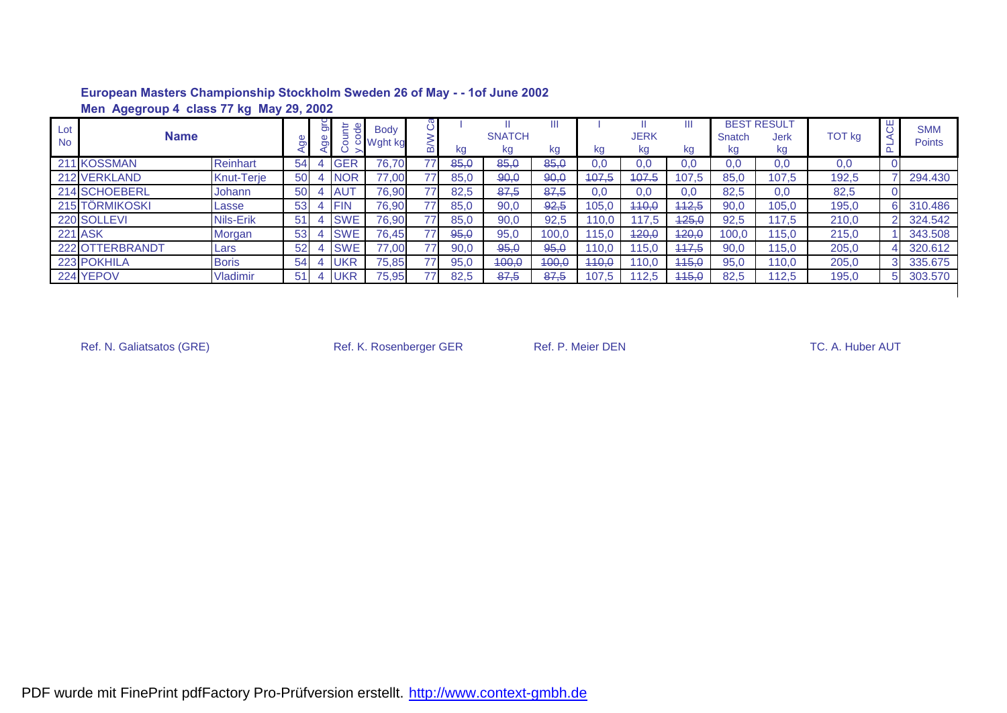|                  | Men Agegroup 4 class 77 kg May 29, 2002 |              |    |   |                             |                          |                 |      |                     |       |       |            |       |                             |                                    |        |    |                             |
|------------------|-----------------------------------------|--------------|----|---|-----------------------------|--------------------------|-----------------|------|---------------------|-------|-------|------------|-------|-----------------------------|------------------------------------|--------|----|-----------------------------|
| Lot<br><b>No</b> | <b>Name</b>                             |              |    | ౚ | untr<br>$\overline{d}$<br>ō | <b>Body</b><br>o Wght kg |                 | kg   | <b>SNATCH</b><br>kg | kg    | kg    | JERK<br>kg | kg    | <b>BEST</b><br>Snatch<br>κg | <b>RESULT</b><br><b>Jerk</b><br>kg | TOT kg | щ  | <b>SMM</b><br><b>Points</b> |
|                  | 211 KOSSMAN                             | Reinhart     | 54 |   | <b>GER</b>                  | 76.70                    | 77              | 85,0 | 85,0                | 85,0  | 0.0   | 0,0        | 0,0   | 0,0                         | 0,0                                | 0,0    |    |                             |
|                  | 212 VERKLAND                            | Knut-Terje   | 50 |   | <b>NOR</b>                  | 77,00                    | 77              | 85,0 | 90,0                | 90,0  | 407,5 | 407.5      | 107,5 | 85,0                        | 107,5                              | 192,5  |    | 294.430                     |
|                  | 214 SCHOEBERL                           | Johann       | 50 |   | <b>AUT</b>                  | 76,90                    | 77              | 82.5 | 87.5                | 87.5  | 0.0   | 0.0        | 0,0   | 82,5                        | 0,0                                | 82,5   |    |                             |
|                  | 215 TÖRMIKOSKI                          | Lasse        | 53 |   | <b>FIN</b>                  | 76,90                    | 77 <sub>1</sub> | 85,0 | 90,0                | 92,5  | 105,0 | 440,0      | 442,5 | 90,0                        | 105,0                              | 195,0  | 61 | 310.486                     |
|                  | 220 SOLLEVI                             | Nils-Erik    | 51 |   | <b>SWE</b>                  | 76,90                    | 77              | 85,0 | 90,0                | 92,5  | 110.0 | 117,5      | 425,0 | 92,5                        | 117.5                              | 210,0  | າເ | 324.542                     |
| <b>221 ASK</b>   |                                         | Morgan       | 53 |   | <b>SWE</b>                  | 76.45                    | 77              | 95.0 | 95,0                | 100,0 | 115.0 | 420,0      | 420,0 | 100.0                       | 115.0                              | 215,0  |    | 343.508                     |
|                  | 222 OTTERBRANDT                         | Lars         | 52 |   | <b>SWE</b>                  | 77,00                    | 77              | 90,0 | 95,0                | 95,0  | 110,0 | 115.0      | 447,5 | 90,0                        | 115,0                              | 205,0  |    | 320.612                     |
|                  | 223 POKHILA                             | <b>Boris</b> | 54 |   | <b>UKR</b>                  | 75,85                    | 77 <sub>1</sub> | 95,0 | 400,0               | 400,0 | 440,0 | 110,0      | 445,0 | 95,0                        | 110,0                              | 205,0  | ЗI | 335.675                     |
|                  | 224 YEPOV                               | Vladimir     | 51 |   | <b>UKR</b>                  | 75,95                    | 77              | 82,5 | 87,5                | 87,5  | 107,5 | 112,5      | 445,0 | 82,5                        | 112,5                              | 195,0  | 51 | 303.570                     |
|                  |                                         |              |    |   |                             |                          |                 |      |                     |       |       |            |       |                             |                                    |        |    |                             |

Ref. N. Galiatsatos (GRE) **Ref. K. Rosenberger GER** Ref. P. Meier DEN TC. A. Huber AUT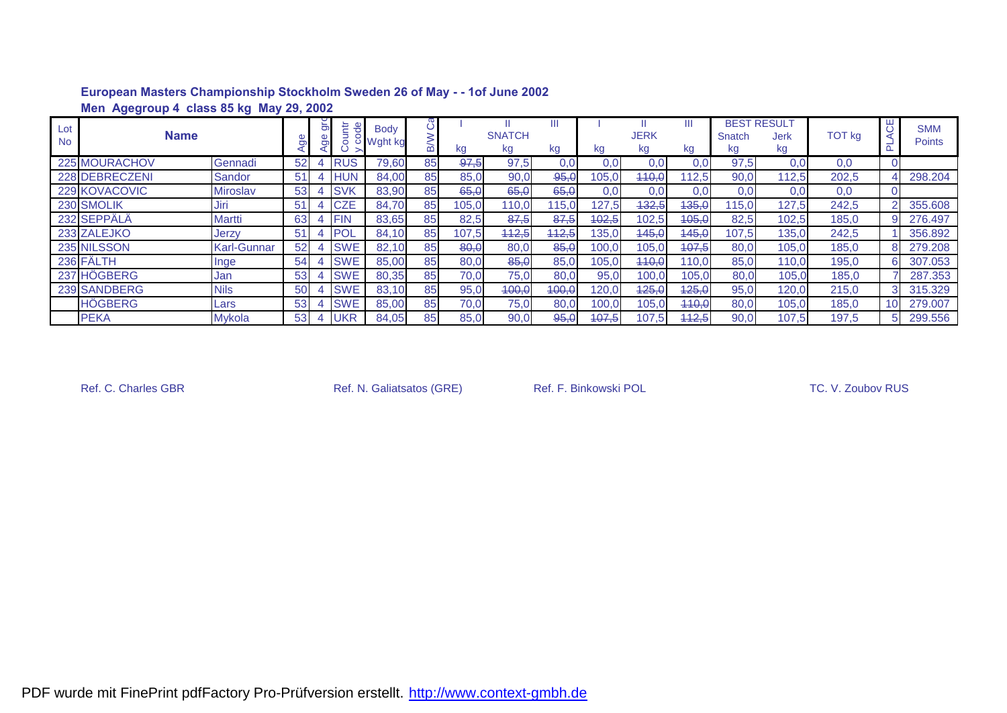|                  | Men Agegroup 4 class 85 kg May 29, 2002 |                    |                 |                |                               |                        |    |       |                     |       |       |                   |         |              |                                  |               |                 |                             |
|------------------|-----------------------------------------|--------------------|-----------------|----------------|-------------------------------|------------------------|----|-------|---------------------|-------|-------|-------------------|---------|--------------|----------------------------------|---------------|-----------------|-----------------------------|
| Lot<br><b>No</b> | <b>Name</b>                             |                    |                 | $\overline{5}$ | tr<br>$\frac{1}{\alpha}$<br>ā | <b>Body</b><br>Wght kg |    | kg    | <b>SNATCH</b><br>kg | kg    | kg    | <b>JERK</b><br>kg | Ш<br>kg | Snatch<br>kg | <b>BEST RESULT</b><br>Jerk<br>kg | <b>TOT kg</b> | ଞ               | <b>SMM</b><br><b>Points</b> |
|                  | 225 MOURACHOV                           | Gennadi            | 52              |                | <b>RUS</b>                    | 79,60                  | 85 | 97,5  | 97,5                | 0,0   | 0.01  | 0.0               | 0.0     | 97,5         | 0,0                              | 0,0           |                 |                             |
|                  | 228 DEBRECZENI                          | Sandor             | 51              |                | <b>HUN</b>                    | 84,00                  | 85 | 85,0  | 90,0                | 95,0  | 105,0 | 440,0             | 12,5    | 90,0         | 112.5                            | 202,5         |                 | 298.204                     |
|                  | 229 KOVACOVIC                           | <b>Miroslav</b>    | 53              |                | <b>SVK</b>                    | 83,90                  | 85 | 65,0  | 65,0                | 65,0  | 0,0   | 0.0               | 0,0     | 0,0          | 0,0                              | 0,0           |                 |                             |
|                  | 230 SMOLIK                              | Jiri               | 51              |                | <b>CZE</b>                    | 84,70                  | 85 | 105,0 | 110,0               | 115,0 | 127,5 | 432,5             | 435,0   | 15,0         | 127,5                            | 242,5         |                 | 355.608                     |
|                  | 232 SEPPÄLÄ                             | Martti             | 63              |                | <b>FIN</b>                    | 83,65                  | 85 | 82,5  | 87,5                | 87,5  | 402,5 | 102,5             | 105,0   | 82,5         | 102,5                            | 185,0         |                 | 276,497                     |
|                  | 233 ZALEJKO                             | Jerzy              | 51              |                | <b>POL</b>                    | 84,10                  | 85 | 107,5 | 442,5               | 442,5 | 135,0 | 145,0             | 445,0   | 107,5        | 135,0                            | 242,5         |                 | 356.892                     |
|                  | 235 NILSSON                             | <b>Karl-Gunnar</b> | 52              |                | <b>SWE</b>                    | 82,10                  | 85 | 80,0  | 80,0                | 85,0  | 100,0 | 105,0             | 407,5   | 80,0         | 105,0                            | 185,0         |                 | 279.208                     |
|                  | 236 FÄLTH                               | Inge               | 54              |                | <b>SWE</b>                    | 85,00                  | 85 | 80,0  | 85,0                | 85,0  | 105,0 | 440,0             | 110,0   | 85,0         | 110,0                            | 195,0         | 6               | 307.053                     |
|                  | 237 HÖGBERG                             | Jan                | 53              |                | <b>SWE</b>                    | 80,35                  | 85 | 70,0  | 75,0                | 80,0  | 95,0  | 100,0             | 105,0   | 80,0         | 105,0                            | 185,0         |                 | 287.353                     |
|                  | 239 SANDBERG                            | <b>Nils</b>        | 50              |                | <b>SWE</b>                    | 83,10                  | 85 | 95,0  | 400,0               | 400,0 | 120,0 | 125,0             | 125,0   | 95,0         | 120,0                            | 215,0         | 3               | 315.329                     |
|                  | <b>HÖGBERG</b>                          | Lars               | 53              |                | <b>SWE</b>                    | 85,00                  | 85 | 70,0  | 75,0                | 80,0  | 100,0 | 105,0             | 440,0   | 80,0         | 105,0                            | 185,0         | 10 <sup>1</sup> | 279.007                     |
|                  | <b>PEKA</b>                             | <b>Mykola</b>      | 53 <sub>l</sub> |                | <b>UKR</b>                    | 84,05                  | 85 | 85,0  | 90,0                | 95,0  | 107,5 | 107,5             | 442,5   | 90.0         | 107.5                            | 197,5         | 5               | 299.556                     |

Ref. C. Charles GBR **Ref. N. Galiatsatos (GRE)** Ref. F. Binkowski POL **Ref. C. Charles GBR** TC. V. Zoubov RUS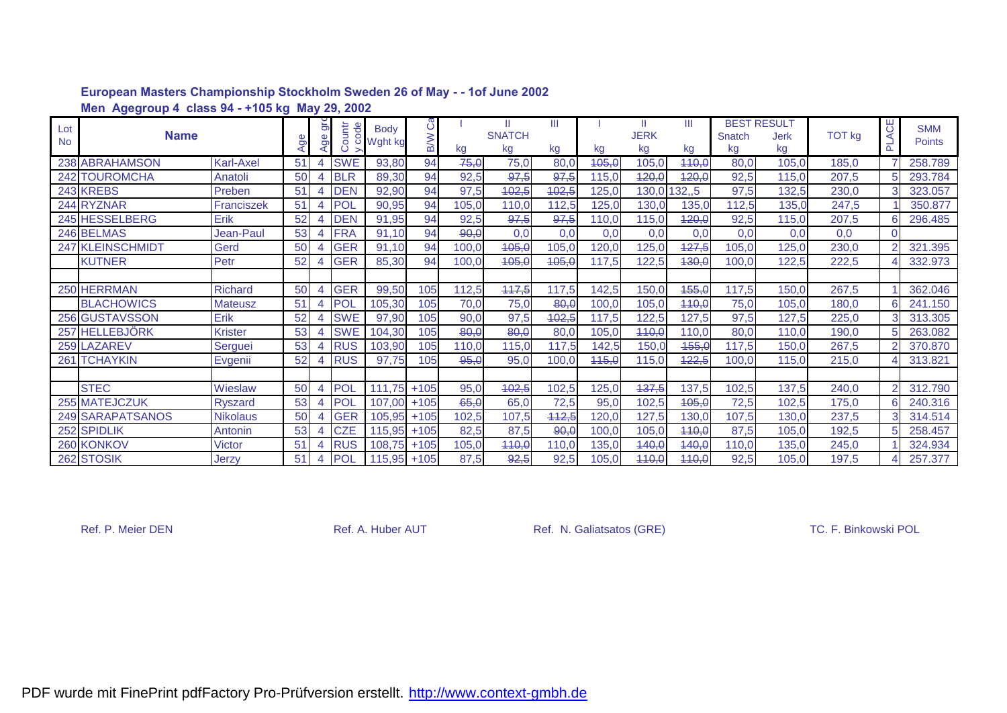|           | Men Agegroup 4 class 94 - +105 kg May 29, 2002 |                  |                |                |            |             |            |       |               |       |       |             |        |                    |             |        |          |               |
|-----------|------------------------------------------------|------------------|----------------|----------------|------------|-------------|------------|-------|---------------|-------|-------|-------------|--------|--------------------|-------------|--------|----------|---------------|
| Lot       |                                                |                  |                | $\overline{5}$ | ode        | <b>Body</b> | ပိ         |       | Ш             | Ш     |       | Ш           | Ш      | <b>BEST RESULT</b> |             |        |          | <b>SMM</b>    |
| <b>No</b> | <b>Name</b>                                    |                  |                | ge             | Countr     | o Wght kg   | <b>B/W</b> |       | <b>SNATCH</b> |       |       | <b>JERK</b> |        | Snatch             | <b>Jerk</b> | TOT kg | PLACE    | <b>Points</b> |
|           |                                                |                  | $\overline{P}$ |                |            |             |            | kg    | kg            | kg    | kg    | kg          | kg     | kg                 | kg          |        |          |               |
|           | 238 ABRAHAMSON                                 | <b>Karl-Axel</b> | 51             | 4              | <b>SWE</b> | 93,80       | 94         | 75,0  | 75,0          | 80,0  | 105,0 | 105,        | 440,0  | 80,0               | 105,0       | 185,0  |          | 258.789       |
|           | <b>242 TOUROMCHA</b>                           | Anatoli          | 50             |                | <b>BLR</b> | 89,30       | 94         | 92,5  | 97,5          | 97,5  | 115,0 | 120,0       | 420,0  | 92,5               | 115,0       | 207,5  |          | 293.784       |
|           | 243 KREBS                                      | Preben           | 5 <sub>1</sub> |                | <b>DEN</b> | 92,90       | 94         | 97,5  | 102,5         | 402,5 | 125,0 | 130,0       | 132, 5 | 97,5               | 132,5       | 230,0  |          | 323.057       |
|           | 244 RYZNAR                                     | Franciszek       | 51             |                | <b>POL</b> | 90,95       | 94         | 105,0 | 110,0         | 112,5 | 125,0 | 130,0       | 135,0  | 112,5              | 135,0       | 247,5  |          | 350.877       |
|           | 245 HESSELBERG                                 | Erik             | 52             |                | <b>DEN</b> | 91,95       | 94         | 92,5  | 97,5          | 97,5  | 110,0 | 115,0       | 120,0  | 92,5               | 115,0       | 207,5  |          | 296.485       |
|           | 246 BELMAS                                     | Jean-Paul        | 53             |                | <b>FRA</b> | 91,10       | 94         | 90,0  | 0,0           | 0,0   | 0,0   | 0,0         | 0,0    | 0,0                | 0,0         | 0,0    | $\Omega$ |               |
|           | 247 KLEINSCHMIDT                               | Gerd             | 50             |                | <b>GER</b> | 91.10       | 94         | 100.0 | 405,0         | 105,0 | 120,0 | 125,0       | 427,5  | 105,0              | 125,0       | 230,0  |          | 321.395       |
|           | <b>KUTNER</b>                                  | Petr             | 52             |                | <b>GER</b> | 85,30       | 94         | 100,0 | 105,0         | 405,0 | 117,5 | 122,5       | 430,0  | 100,0              | 122,5       | 222,5  |          | 332.973       |
|           |                                                |                  |                |                |            |             |            |       |               |       |       |             |        |                    |             |        |          |               |
|           | 250 HERRMAN                                    | <b>Richard</b>   | 50             |                | <b>GER</b> | 99,50       | 105        | 112,5 | 117,5         | 117,5 | 142,5 | 150,0       | 455,0  | 117,5              | 150,0       | 267,5  |          | 362.046       |
|           | <b>BLACHOWICS</b>                              | <b>Mateusz</b>   | 51             |                | POI        | 105,30      | 105        | 70,0  | 75,0          | 80,0  | 100,0 | 105,0       | 440,0  | 75,0               | 105,0       | 180,0  |          | 241.150       |
|           | 256 GUSTAVSSON                                 | Erik             | 52             |                | <b>SWE</b> | 97,90       | 105        | 90,0  | 97,5          | 402,5 | 117,5 | 122,5       | 127.5  | 97,5               | 127.5       | 225,0  |          | 313.305       |
|           | 257 HELLEBJÖRK                                 | <b>Krister</b>   | 53             |                | <b>SWE</b> | 104,30      | 105        | 80,0  | 80,0          | 80,0  | 105,0 | 110,0       | 110,0  | 80,0               | 110,0       | 190,0  |          | 263.082       |
|           | 259 LAZAREV                                    | Serguei          | 53             |                | <b>RUS</b> | 103,90      | 105        | 110,0 | 115,0         | 117,5 | 142,5 | 150,0       | 455,0  | 117,5              | 150,0       | 267,5  |          | 370.870       |
|           | 261 TCHAYKIN                                   | Evgenii          | 52             |                | <b>RUS</b> | 97,75       | 105        | 95,0  | 95,0          | 100,0 | 115,0 | 115,0       | 422,5  | 100,0              | 115,0       | 215,0  |          | 313.821       |
|           |                                                |                  |                |                |            |             |            |       |               |       |       |             |        |                    |             |        |          |               |
|           | <b>STEC</b>                                    | Wieslaw          | 50             |                | <b>POL</b> | 111.75      | $+105$     | 95,0  | 402,5         | 102,5 | 125,0 | 137,5       | 137,5  | 102,5              | 137,5       | 240,0  |          | 312.790       |
|           | 255 MATEJCZUK                                  | <b>Ryszard</b>   | 53             |                | POI        | 107,00      | $+105$     | 65,0  | 65,0          | 72,5  | 95,0  | 102,5       | 405,0  | 72,5               | 102,5       | 175,0  | 6        | 240.316       |
|           | 249 SARAPATSANOS                               | <b>Nikolaus</b>  | 50             |                | <b>GER</b> | 105,95      | $+105$     | 102,5 | 107,5         | 442,5 | 120,0 | 127,5       | 130,0  | 107,5              | 130,0       | 237,5  |          | 314.514       |
|           | 252 SPIDLIK                                    | Antonin          | 53             |                | <b>CZE</b> | 115,95      | $+105$     | 82,5  | 87,5          | 90,0  | 100,0 | 105,0       | 440,0  | 87,5               | 105,0       | 192,5  |          | 258.457       |
|           | 260 KONKOV                                     | Victor           | 51             |                | <b>RUS</b> | 108.75      | $+105$     | 105,0 | 110,0         | 110,0 | 135,0 | 140,0       | 440,0  | 110.0              | 135,0       | 245,0  |          | 324.934       |
|           | 262 STOSIK                                     | Jerzy            | 51             |                | POI        | 115,95      | $+105$     | 87,5  | 92,5          | 92,5  | 105,0 | 440,0       | 440,0  | 92,5               | 105,0       | 197,5  |          | 257.377       |

Ref. P. Meier DEN Ref. A. Huber AUT Ref. N. Galiatsatos (GRE) TC. F. Binkowski POL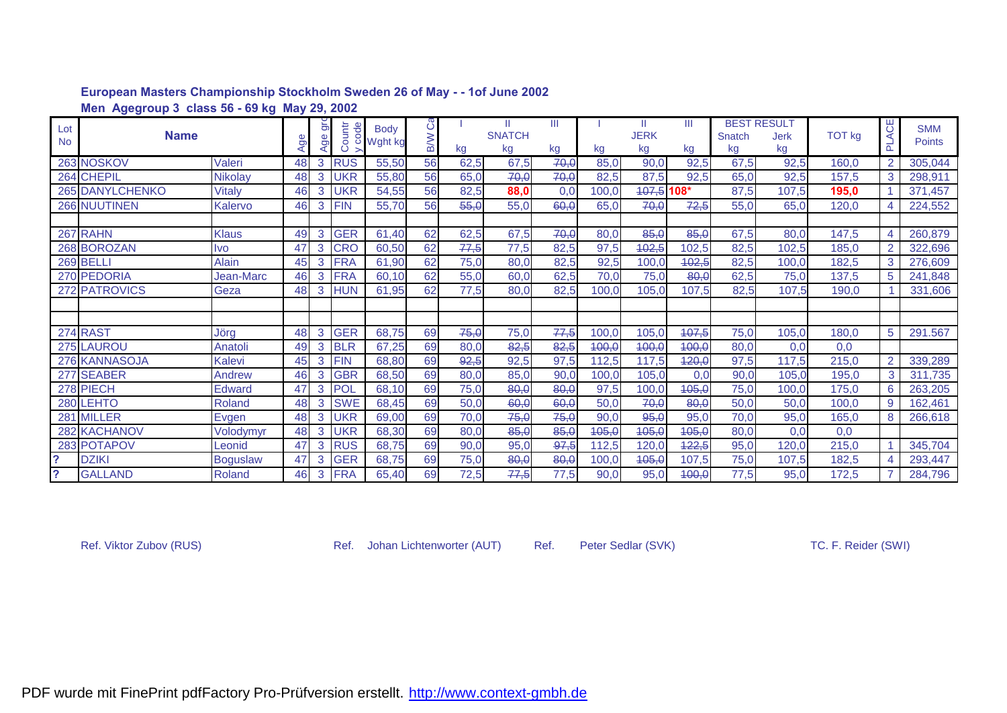|                | Men Agegroup 3 class 56 - 69 kg May 29, 2002 |                 |    |     |            |             |     |      |               |      |       |             |       |        |                    |               |                          |               |
|----------------|----------------------------------------------|-----------------|----|-----|------------|-------------|-----|------|---------------|------|-------|-------------|-------|--------|--------------------|---------------|--------------------------|---------------|
| Lot            |                                              |                 |    | ັອ  | ෪          | <b>Body</b> | õ   |      |               | Ш    |       | Ш.          | Ш     |        | <b>BEST RESULT</b> |               | PLACE                    | <b>SMM</b>    |
| <b>No</b>      | <b>Name</b>                                  |                 | جّ | Age | Countr     | U Wght kg   | B/W |      | <b>SNATCH</b> |      |       | <b>JERK</b> |       | Snatch | <b>Jerk</b>        | <b>TOT kg</b> |                          | <b>Points</b> |
|                |                                              |                 |    |     |            |             |     | kg   | kg            | kg   | kg    | kg          | kg    | kg     | kg                 |               |                          |               |
|                | 263 NOSKOV                                   | Valeri          | 48 | 3   | <b>RUS</b> | 55,50       | 56  | 62,5 | 67,5          | 70,0 | 85,0  | 90,0        | 92,5  | 67,5   | 92,5               | 160,0         | $\mathcal{P}$            | 305,044       |
|                | 264 CHEPIL                                   | Nikolay         | 48 | 3   | UKR        | 55,80       | 56  | 65,0 | 70,0          | 70,0 | 82,5  | 87,5        | 92,5  | 65,0   | 92,5               | 157,5         | 3                        | 298,911       |
|                | <b>265 DANYLCHENKO</b>                       | <b>Vitaly</b>   | 46 | 3   | <b>UKR</b> | 54,55       | 56  | 82,5 | 88,0          | 0,0  | 100,0 | 107,5 108*  |       | 87,5   | 107,5              | 195,0         |                          | 371,457       |
|                | <b>266 NUUTINEN</b>                          | Kalervo         | 46 | 3   | <b>FIN</b> | 55,70       | 56  | 55,0 | 55,0          | 60,0 | 65,0  | 70,0        | 72,5  | 55,0   | 65,0               | 120,0         |                          | 224,552       |
|                |                                              |                 |    |     |            |             |     |      |               |      |       |             |       |        |                    |               |                          |               |
|                | 267 RAHN                                     | <b>Klaus</b>    | 49 | 3   | <b>GER</b> | 61,40       | 62  | 62,5 | 67,5          | 70,0 | 80,0  | 85,0        | 85,0  | 67,5   | 80,0               | 147,5         |                          | 260,879       |
|                | 268 BOROZAN                                  | <b>Ivo</b>      | 47 | 3   | <b>CRO</b> | 60,50       | 62  | 77,5 | 77,5          | 82,5 | 97,5  | 402,5       | 102,5 | 82,5   | 102,5              | 185,0         | 2                        | 322,696       |
|                | 269 BELLI                                    | Alain           | 45 | 3   | <b>FRA</b> | 61,90       | 62  | 75,0 | 80,0          | 82,5 | 92,5  | 100,0       | 402,5 | 82,5   | 100.0              | 182,5         | 3                        | 276,609       |
|                | 270 PEDORIA                                  | Jean-Marc       | 46 | 3   | <b>FRA</b> | 60,10       | 62  | 55,0 | 60,0          | 62,5 | 70,0  | 75,0        | 80,0  | 62,5   | 75,0               | 137,5         | 5                        | 241,848       |
|                | 272 PATROVICS                                | Geza            | 48 | 3   | <b>HUN</b> | 61,95       | 62  | 77,5 | 80,0          | 82,5 | 100,0 | 105,0       | 107.5 | 82,5   | 107.5              | 190,0         |                          | 331,606       |
|                |                                              |                 |    |     |            |             |     |      |               |      |       |             |       |        |                    |               |                          |               |
|                |                                              |                 |    |     |            |             |     |      |               |      |       |             |       |        |                    |               |                          |               |
|                | 274 RAST                                     | Jörg            | 48 | 3   | <b>GER</b> | 68,75       | 69  | 75,0 | 75,0          | 77,5 | 100,0 | 105,0       | 407,5 | 75,0   | 105,0              | 180,0         | 5                        | 291.567       |
|                | <b>275 LAUROU</b>                            | Anatoli         | 49 | 3   | <b>BLR</b> | 67,25       | 69  | 80,0 | 82,5          | 82,5 | 100,0 | 100,0       | 400,0 | 80,0   | 0,0                | 0,0           |                          |               |
|                | 276 KANNASOJA                                | Kalevi          | 45 | 3   | <b>FIN</b> | 68,80       | 69  | 92,5 | 92,5          | 97,5 | 112,5 | 117,5       | 420,0 | 97,5   | 117,5              | 215,0         | $\overline{\mathcal{L}}$ | 339,289       |
|                | 277 SEABER                                   | Andrew          | 46 | 3   | <b>GBR</b> | 68,50       | 69  | 80,0 | 85,0          | 90,0 | 100,0 | 105,0       | 0,0   | 90,0   | 105,0              | 195,0         | 3                        | 311,735       |
|                | 278 PIECH                                    | <b>Edward</b>   | 47 | 3   | POL        | 68,10       | 69  | 75,0 | 80,0          | 80,0 | 97,5  | 100,0       | 405,0 | 75,0   | 100.0              | 175,0         | 6                        | 263,205       |
|                | 280 LEHTO                                    | Roland          | 48 | 3   | <b>SWE</b> | 68,45       | 69  | 50,0 | 60,0          | 60,0 | 50,0  | 70,0        | 80,0  | 50,0   | 50,0               | 100,0         | 9                        | 162,461       |
|                | 281 MILLER                                   | Evgen           | 48 | 3   | UKR        | 69.00       | 69  | 70.0 | 75,0          | 75,0 | 90,0  | 95,0        | 95,0  | 70.0   | 95,0               | 165,0         | 8                        | 266,618       |
|                | <b>282 KACHANOV</b>                          | Volodymyr       | 48 | 3   | <b>UKR</b> | 68,30       | 69  | 80,0 | 85,0          | 85,0 | 405,0 | 405,0       | 405,0 | 80,0   | 0,0                | 0,0           |                          |               |
|                | 283 POTAPOV                                  | Leonid          | 47 | 3   | <b>RUS</b> | 68,75       | 69  | 90,0 | 95,0          | 97,5 | 112,5 | 120,0       | 422,5 | 95,0   | 120,0              | 215,0         |                          | 345,704       |
| $\overline{?}$ | <b>DZIKI</b>                                 | <b>Boguslaw</b> | 47 | 3   | <b>GER</b> | 68,75       | 69  | 75,0 | 80,0          | 80,0 | 100,0 | 405,0       | 107,5 | 75,0   | 107,5              | 182,5         |                          | 293,447       |
| ?              | <b>GALLAND</b>                               | <b>Roland</b>   | 46 | 3   | <b>FRA</b> | 65,40       | 69  | 72,5 | 77,5          | 77,5 | 90,0  | 95,0        | 100,0 | 77,5   | 95,0               | 172,5         |                          | 284,796       |

Ref. Viktor Zubov (RUS) **Ref. Johan Lichtenworter (AUT)** Ref. Peter Sedlar (SVK) TC. F. Reider (SWI)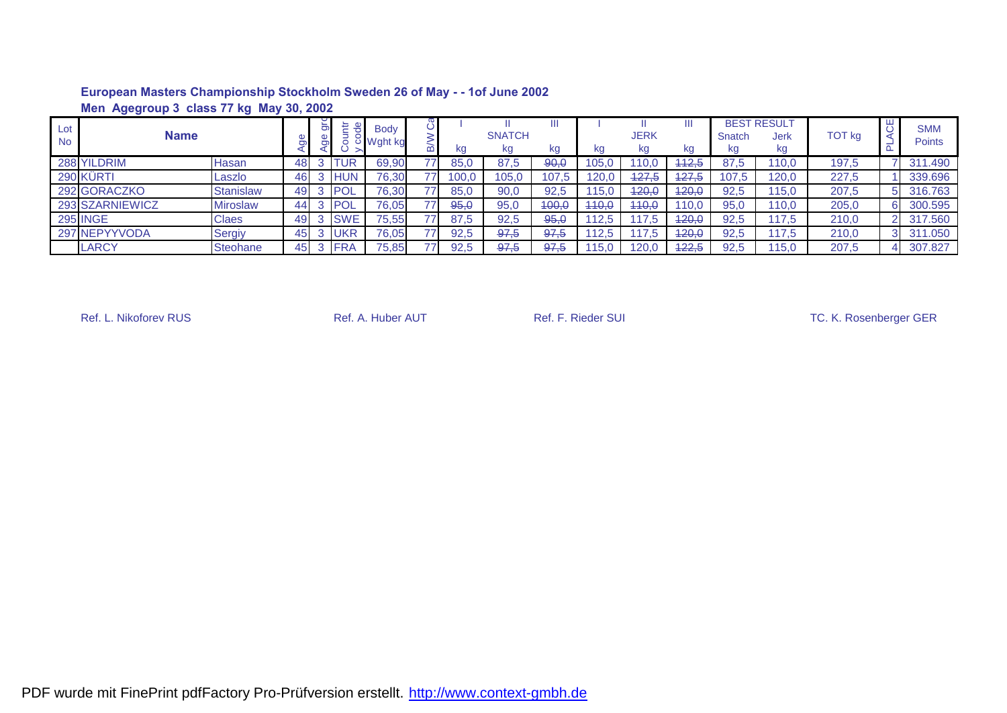|                  | Men Agegroup 3 class 77 kg May 30, 2002 |                  |    |   |             |                          |                 |       |                     |         |       |                  |         |              |                                         |               |                             |
|------------------|-----------------------------------------|------------------|----|---|-------------|--------------------------|-----------------|-------|---------------------|---------|-------|------------------|---------|--------------|-----------------------------------------|---------------|-----------------------------|
| Lot<br><b>No</b> | <b>Name</b>                             |                  |    | ă | 뇬           | <b>Body</b><br>Wght kg د |                 | kg    | <b>SNATCH</b><br>kg | Ш<br>kg | kg    | JERK<br>kg       | Ш<br>kg | Snatch<br>kg | <b>BEST RESULT</b><br><b>Jerk</b><br>kg | <b>TOT kg</b> | <b>SMM</b><br><b>Points</b> |
|                  | 288 YILDRIM                             | Hasan            | 48 |   | UR          | 69,90                    | 77 <sub>1</sub> | 85,0  | 87,5                | 90,0    | 105,0 | 110.0            | 442,5   | 87,5         | 110,0                                   | 197,5         | 311.490                     |
|                  | 290 KÜRTI                               | Laszlo           | 46 |   | <b>HUN</b>  | 76,30                    | 77              | 100,0 | 105,0               | 107,5   | 20.0  | 127.5            | 427,5   | 107.5        | 120,0                                   | 227,5         | 339.696                     |
|                  | 292 GORACZKO                            | <b>Stanislaw</b> | 49 |   | <b>IPOL</b> | 76,30                    | 77.             | 85,0  | 90,0                | 92,5    | 15.0  | <del>120,0</del> | 420,0   | 92,5         | 115,0                                   | 207,5         | 316.763                     |
|                  | 293 SZARNIEWICZ                         | Miroslaw         | 44 |   | POL         | 76,05                    | 77              | 95,0  | 95,0                | 400,0   | 440.0 | 440,0            | 110.0   | 95.0         | 110,0                                   | 205,0         | 300.595                     |
|                  | <b>295 INGE</b>                         | Claes            | 49 |   | <b>SWE</b>  | 75,55                    | 77              | 87,5  | 92,5                | 95,0    | 12.5  | 117.5            | 120.0   | 92,5         | 117,5                                   | 210,0         | 317.560                     |
|                  | 297 NEPYYVODA                           | Sergiy           | 45 |   | <b>UKR</b>  | 76,05                    | 771             | 92,5  | 97,5                | 97,5    | 12.5  | 117.5            | 420,0   | 92,5         | 17.5                                    | 210,0         | 311.050                     |
|                  | <b>LARCY</b>                            | <b>Steohane</b>  | 45 |   | <b>FRA</b>  | 75,85                    | 77              | 92.5  | 97,5                | 97,5    | 115.0 | 120,0            | 122,5   | 92,5         | 15,0                                    | 207,5         | 307.827                     |

Ref. L. Nikoforev RUS **Ref. A. Huber AUT** Ref. F. Rieder SUI Ref. F. Rieder SUI Ref. L. Nikoforev RUS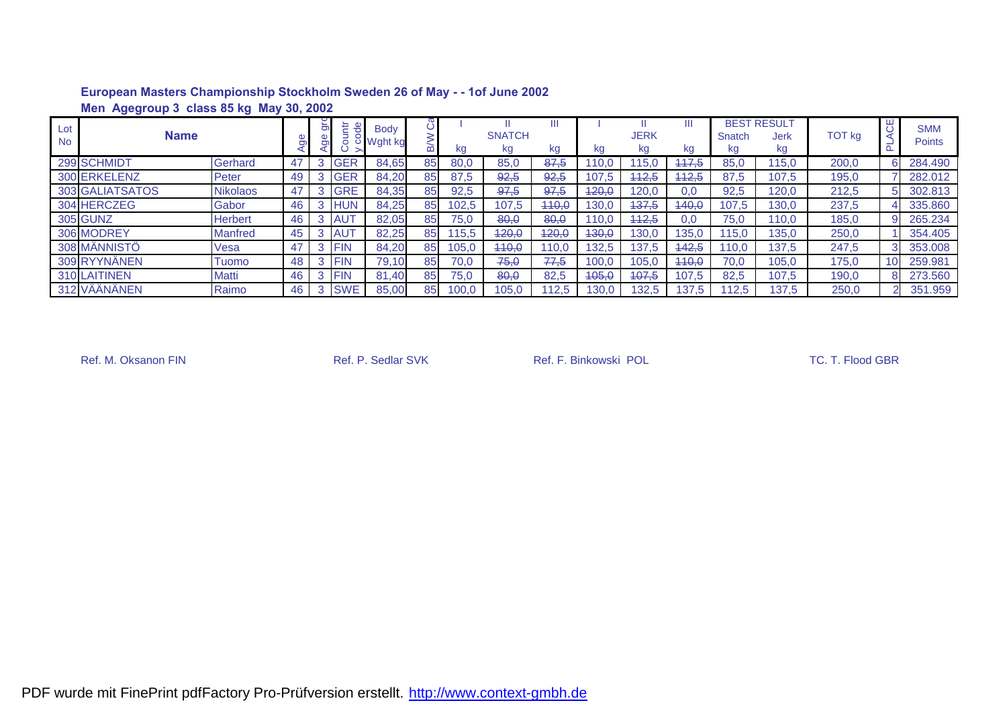|                  | Men Agegroup 3 class 85 kg May 30, 2002 |                 |    |     |            |                                     |    |       |                     |         |       |                  |       |              |                                         |               |        |                      |
|------------------|-----------------------------------------|-----------------|----|-----|------------|-------------------------------------|----|-------|---------------------|---------|-------|------------------|-------|--------------|-----------------------------------------|---------------|--------|----------------------|
| Lot<br><b>No</b> | <b>Name</b>                             |                 |    | grc | 는          | <b>Body</b><br><sup>う</sup> Wght kg |    | kg    | <b>SNATCH</b><br>kg | Ш<br>kg | kg    | JERK<br>kg       | kg    | Snatch<br>kg | <b>BEST RESULT</b><br><b>Jerk</b><br>kg | <b>TOT</b> kg | 出<br>O | <b>SMM</b><br>Points |
|                  | 299 SCHMIDT                             | Gerhard         | 47 | 3   | <b>GER</b> | 84,65                               | 85 | 80,0  | 85,0                | 87,5    | 10.0  | 15. <sub>C</sub> | 447.5 | 85,0         | 115.0                                   | 200,0         | 6      | 284.490              |
|                  | 300 ERKELENZ                            | Peter           | 49 | 3   | <b>GER</b> | 84,20                               | 85 | 87,5  | 92,5                | 92,5    | 107.5 | 412.5            | 112,5 | 87,5         | 107.5                                   | 195,0         |        | 282.012              |
|                  | <b>303 GALIATSATOS</b>                  | <b>Nikolaos</b> | 47 | 3   | <b>GRE</b> | 84,35                               | 85 | 92,5  | 97,5                | 97.5    | 420,0 | 120,0            | 0.0   | 92,5         | 120,0                                   | 212,5         | 5      | 302.813              |
|                  | 304 HERCZEG                             | Gabor           | 46 | 3   | <b>HUN</b> | 84,25                               | 85 | 102,5 | 107,5               | 440,0   | 130.0 | 437,5            | 440,0 | 107.5        | 130.0                                   | 237,5         | 4      | 335.860              |
|                  | <b>305 GUNZ</b>                         | <b>Herbert</b>  | 46 | 3   | <b>AUT</b> | 82,05                               | 85 | 75,0  | 80,0                | 80,0    | 110,0 | 442.5            | 0,0   | 75,0         | 110.0                                   | 185,0         |        | 265.234              |
|                  | 306 MODREY                              | <b>Manfred</b>  | 45 | 3   | <b>AUT</b> | 82,25                               | 85 | 15,5  | <del>120,0</del>    | 420,0   | 430,0 | 130.0            | 135.0 | 15.0         | 135,0                                   | 250,0         |        | 354,405              |
|                  | 308 MÄNNISTÖ                            | Vesa            | 47 | 3   | <b>FIN</b> | 84,20                               | 85 | 105,0 | 440,0               | 110,0   | 132,5 | 137,5            | 442,5 | 110,0        | 137.5                                   | 247,5         |        | 353.008              |
|                  | 309 RYYNÄNEN                            | Tuomo           | 48 |     | <b>FIN</b> | 79,10                               | 85 | 70,0  | 75,0                | 77,5    | 100,0 | 105.0            | 440,0 | 70,0         | 105,0                                   | 175,0         | 10     | 259.981              |
|                  | 310 LAITINEN                            | Matti           | 46 | 3   | <b>FIN</b> | 81.40                               | 85 | 75.0  | 80.0                | 82,5    | 405,0 | 407.5            | 107.5 | 82.5         | 107.5                                   | 190,0         |        | 273,560              |
|                  | 312 VÄÄNÄNEN                            | Raimo           | 46 | 3   | <b>SWE</b> | 85.00                               | 85 | 100.0 | 105.0               | 112.5   | 130.0 | 132.5            | 137.5 | 12.5         | 137.5                                   | 250,0         |        | 351.959              |

Ref. M. Oksanon FIN Ref. P. Sedlar SVK Ref. F. Binkowski POL Ref. M. Oksanon FIN TC. T. Flood GBR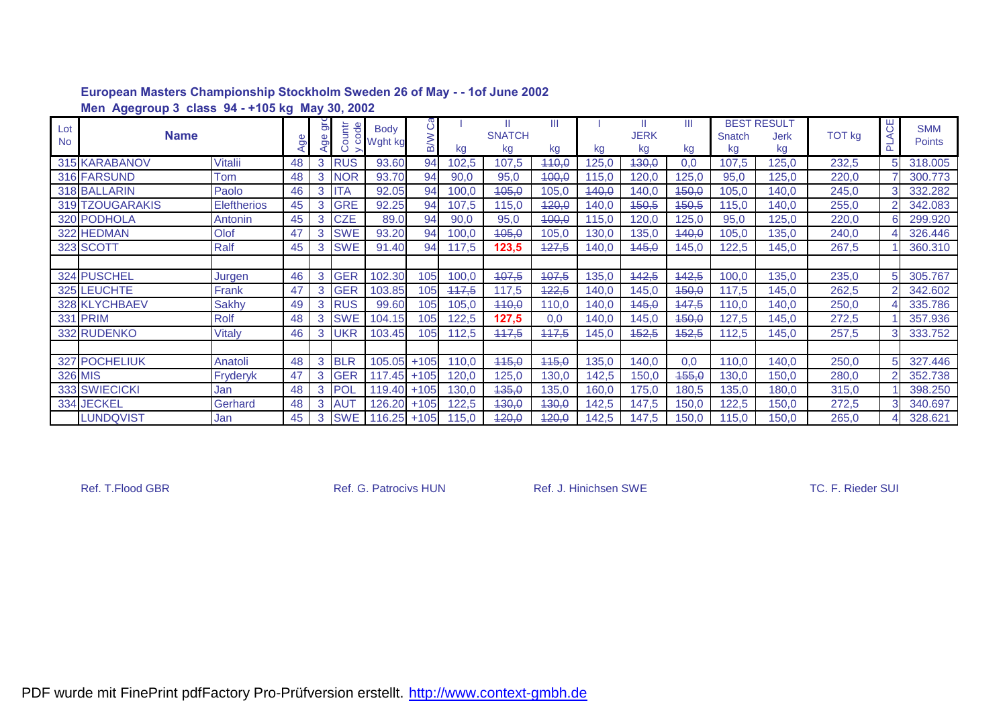|                  | Men Agegroup 3 class 94 - +105 kg May 30, 2002 |                    |    |                            |                             |                          |                 |       |                          |         |       |                   |         |              |                                  |               |                   |                             |
|------------------|------------------------------------------------|--------------------|----|----------------------------|-----------------------------|--------------------------|-----------------|-------|--------------------------|---------|-------|-------------------|---------|--------------|----------------------------------|---------------|-------------------|-----------------------------|
| Lot<br><b>No</b> | <b>Name</b>                                    |                    | ත  | $\breve{\mathbf{5}}$<br>ge | tr<br>ode<br>$\overline{5}$ | <b>Body</b><br>U Wght kg | ී<br><b>B/W</b> | kg    | Ш<br><b>SNATCH</b><br>kg | Ш<br>kg | kg    | <b>JERK</b><br>kg | Ш<br>kg | Snatch<br>kg | <b>BEST RESULT</b><br>Jerk<br>kg | <b>TOT kg</b> | ₩<br>$\mathbb{A}$ | <b>SMM</b><br><b>Points</b> |
|                  | 315 KARABANOV                                  | <b>Vitalii</b>     | 48 | 3                          | <b>RUS</b>                  | 93.60                    | 94              | 102,5 | 107,5                    | 440,0   | 125,0 | 430,0             | 0.0     | 107,5        | 125,0                            | 232,5         |                   | 318.005                     |
|                  | 316 FARSUND                                    | Tom                | 48 | 3                          | <b>NOR</b>                  | 93.70                    | 94              | 90,0  | 95,0                     | 400,0   | 115,0 | 120,0             | 125,0   | 95,0         | 125,0                            | 220,0         |                   | 300.773                     |
|                  | 318 BALLARIN                                   | Paolo              | 46 | 3                          | ITA                         | 92.05                    | 94              | 100,0 | 405,0                    | 105,0   | 440,0 | 140,0             | 450,0   | 105,0        | 140,0                            | 245,0         | 3                 | 332.282                     |
|                  | 319 TZOUGARAKIS                                | <b>Eleftherios</b> | 45 | 3                          | <b>GRE</b>                  | 92.25                    | 94              | 107,5 | 115,0                    | 420,0   | 140,0 | 450,5             | 450,5   | 115,0        | 140.0                            | 255,0         |                   | 342.083                     |
|                  | 320 PODHOLA                                    | Antonin            | 45 | 3                          | <b>CZE</b>                  | 89.0                     | 94              | 90,0  | 95,0                     | 400,0   | 115,0 | 120,0             | 125,0   | 95,0         | 125,0                            | 220,0         |                   | 299.920                     |
|                  | 322 HEDMAN                                     | Olof               | 47 | 3                          | <b>SWE</b>                  | 93.20                    | 94              | 100,0 | 405,0                    | 105,0   | 130,0 | 135,0             | 140,0   | 105,0        | 135,0                            | 240,0         |                   | 326.446                     |
|                  | 323 SCOTT                                      | Ralf               | 45 | 3                          | <b>SWE</b>                  | 91.40                    | 94              | 117,5 | 123,5                    | 427.5   | 140.0 | 445.0             | 145.0   | 122.5        | 145.0                            | 267,5         |                   | 360,310                     |
|                  |                                                |                    |    |                            |                             |                          |                 |       |                          |         |       |                   |         |              |                                  |               |                   |                             |
|                  | 324 PUSCHEL                                    | Jurgen             | 46 | 3                          | <b>GER</b>                  | 102.30                   | 105             | 100,0 | 407,5                    | 407,5   | 135,0 | 442,5             | 442,5   | 100,0        | 135,0                            | 235,0         | 5                 | 305.767                     |
|                  | 325 LEUCHTE                                    | Frank              | 47 | 3                          | <b>GER</b>                  | 103.85                   | 105             | 447,5 | 117,5                    | 422,5   | 140,0 | 145,0             | 450,0   | 117,5        | 145,0                            | 262,5         | $\mathcal{P}$     | 342.602                     |
|                  | 328 KLYCHBAEV                                  | <b>Sakhy</b>       | 49 | 3                          | <b>RUS</b>                  | 99.60                    | 105             | 105,0 | 440,0                    | 110,0   | 140,0 | 145,0             | 147,5   | 110,0        | 140,0                            | 250,0         |                   | 335.786                     |
|                  | <b>331 PRIM</b>                                | <b>Rolf</b>        | 48 | 3                          | <b>SWE</b>                  | 104.15                   | 105             | 122,5 | 127,5                    | 0,0     | 140,0 | 145,0             | 450,0   | 127,5        | 145,0                            | 272,5         |                   | 357.936                     |
|                  | 332 RUDENKO                                    | Vitaly             | 46 | 3                          | <b>UKR</b>                  | 103.45                   | 105             | 112,5 | 447,5                    | 447,5   | 145,0 | 452,5             | 452,5   | 12,5         | 145,0                            | 257,5         | 3                 | 333.752                     |
|                  |                                                |                    |    |                            |                             |                          |                 |       |                          |         |       |                   |         |              |                                  |               |                   |                             |
|                  | 327 POCHELIUK                                  | Anatoli            | 48 | 3                          | <b>BLR</b>                  | 105.05                   | $+105$          | 110,0 | 445,0                    | 445,0   | 135,0 | 140,0             | 0,0     | 110,0        | 140,0                            | 250,0         | 5                 | 327.446                     |
|                  | <b>326 MIS</b>                                 | Fryderyk           | 47 | 3                          | <b>GER</b>                  | 117.45                   | $+105$          | 120,0 | 125,0                    | 130,0   | 142,5 | 150,0             | 455,0   | 130,0        | 150,0                            | 280,0         |                   | 352.738                     |
|                  | 333 SWIECICKI                                  | Jan                | 48 | 3                          | <b>POL</b>                  | 119.40                   | $+105$          | 130,0 | 435,0                    | 135,0   | 160,0 | 175,0             | 180,5   | 135,0        | 180,0                            | 315,0         |                   | 398.250                     |
|                  | 334 JECKEL                                     | Gerhard            | 48 | 3                          | <b>AUT</b>                  | 126.20                   | $+105$          | 122,5 | 430,0                    | 430,0   | 142,5 | 147,5             | 150,0   | 122,5        | 150,0                            | 272,5         | 3                 | 340.697                     |
|                  | <b>LUNDQVIST</b>                               | Jan                | 45 | 3                          | <b>SWE</b>                  |                          | 116.25 +105     | 115,0 | 420,0                    | 420,0   | 142,5 | 147,5             | 150,0   | 15,0         | 150,0                            | 265,0         |                   | 328.621                     |

Ref. T.Flood GBR **Ref. G. Patrocivs HUN** Ref. J. Hinichsen SWE **Ref. T.Flood GBR** TC. F. Rieder SUI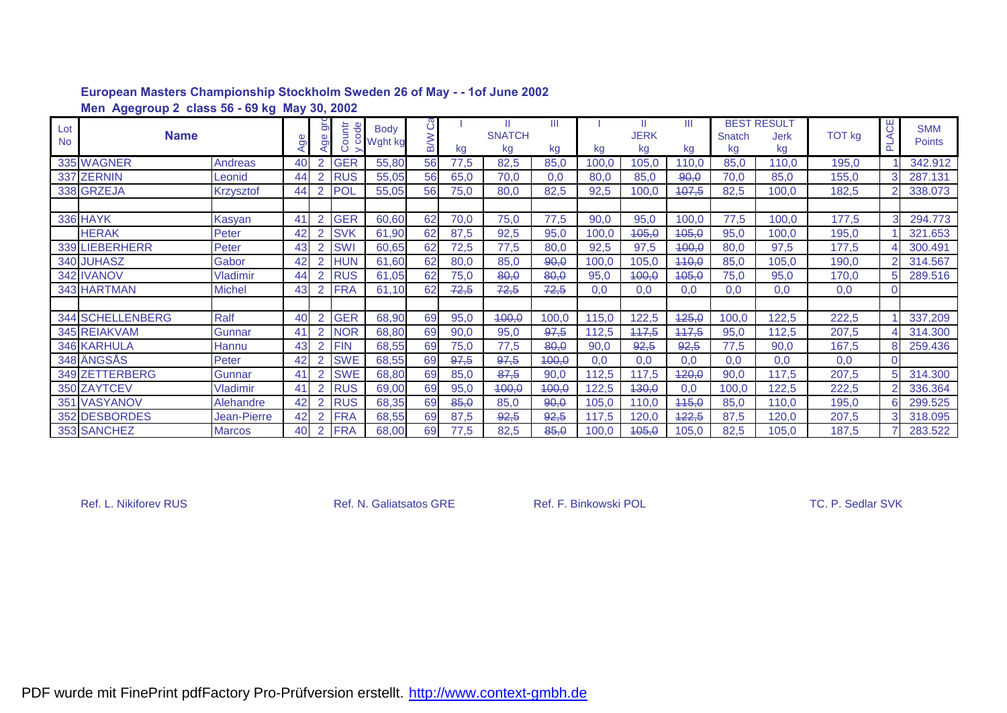|                  | Men Agegroup 2 class 56 - 69 kg May 30, 2002 |                  |     |                            |              |                          |                  |      |                          |         |       |                   |         |              |                                         |               |               |                             |
|------------------|----------------------------------------------|------------------|-----|----------------------------|--------------|--------------------------|------------------|------|--------------------------|---------|-------|-------------------|---------|--------------|-----------------------------------------|---------------|---------------|-----------------------------|
| Lot<br><b>No</b> | <b>Name</b>                                  |                  | Age | $\breve{\mathbf{5}}$<br>ō. | ountr<br>ode | <b>Body</b><br>U Wght kg | ပီ<br><b>B/W</b> | kg   | Ш<br><b>SNATCH</b><br>kg | Ш<br>kg | kg    | <b>JERK</b><br>kg | Ш<br>kg | Snatch<br>kg | <b>BEST RESULT</b><br><b>Jerk</b><br>kg | <b>TOT kg</b> | ₩<br>⋖<br>군   | <b>SMM</b><br><b>Points</b> |
|                  | 335 WAGNER                                   | Andreas          | 40  | 2                          | <b>GER</b>   | 55,80                    | 56               | 77,5 | 82,5                     | 85,0    | 100,0 | 105,0             | 110,0   | 85,0         | 110,0                                   | 195,0         |               | 342.912                     |
|                  | 337 ZERNIN                                   | Leonid           | 44  | 2                          | <b>RUS</b>   | 55,05                    | 56               | 65,0 | 70,0                     | 0,0     | 80,0  | 85,0              | 90,0    | 70,0         | 85,0                                    | 155,0         | 3             | 287.131                     |
|                  | 338 GRZEJA                                   | <b>Krzysztof</b> | 44  |                            | <b>POL</b>   | 55,05                    | 56               | 75,0 | 80,0                     | 82,5    | 92,5  | 100,0             | 407,5   | 82,5         | 100.0                                   | 182,5         |               | 338.073                     |
|                  |                                              |                  |     |                            |              |                          |                  |      |                          |         |       |                   |         |              |                                         |               |               |                             |
|                  | <b>336 HAYK</b>                              | Kasyan           | 41  | $\overline{2}$             | <b>GER</b>   | 60,60                    | 62               | 70,0 | 75,0                     | 77,5    | 90,0  | 95,0              | 100,0   | 77,5         | 100,0                                   | 177,5         |               | 294.773                     |
|                  | <b>HERAK</b>                                 | Peter            | 42  | 2                          | <b>SVK</b>   | 61,90                    | 62               | 87,5 | 92,5                     | 95,0    | 100,0 | 405,0             | 405,0   | 95,0         | 100,0                                   | 195,0         |               | 321.653                     |
|                  | 339 LIEBERHERR                               | Peter            | 43  | 2                          | <b>SWI</b>   | 60,65                    | 62               | 72,5 | 77,5                     | 80,0    | 92,5  | 97,5              | 400,0   | 80,0         | 97,5                                    | 177,5         |               | 300.491                     |
|                  | 340 JUHASZ                                   | Gabor            | 42  | 2                          | <b>HUN</b>   | 61,60                    | 62               | 80,0 | 85,0                     | 90,0    | 100,0 | 105,0             | 440,0   | 85,0         | 105,0                                   | 190,0         | $\mathcal{P}$ | 314.567                     |
|                  | 342 IVANOV                                   | <b>Vladimir</b>  | 44  | 2                          | <b>RUS</b>   | 61,05                    | 62               | 75,0 | 80,0                     | 80,0    | 95,0  | 400,0             | 405,0   | 75,0         | 95,0                                    | 170,0         | 5             | 289.516                     |
|                  | 343 HARTMAN                                  | <b>Michel</b>    | 43  |                            | <b>FRA</b>   | 61,10                    | 62               | 72,5 | 72,5                     | 72,5    | 0.0   | 0.0               | 0.0     | 0.0          | 0.0                                     | 0,0           |               |                             |
|                  |                                              |                  |     |                            |              |                          |                  |      |                          |         |       |                   |         |              |                                         |               |               |                             |
|                  | 344 SCHELLENBERG                             | Ralf             | 40  | 2                          | <b>GER</b>   | 68,90                    | 69               | 95,0 | 400,0                    | 100,0   | 115,0 | 122,5             | 425,0   | 100,0        | 122,5                                   | 222,5         |               | 337.209                     |
|                  | 345 REIAKVAM                                 | Gunnar           | 41  |                            | <b>NOR</b>   | 68,80                    | 69               | 90,0 | 95,0                     | 97,5    | 112,5 | 117,5             | 117,5   | 95,0         | 112,5                                   | 207,5         |               | 314.300                     |
|                  | <b>346 KARHULA</b>                           | Hannu            | 43  | 2                          | <b>FIN</b>   | 68,55                    | 69               | 75,0 | 77,5                     | 80,0    | 90,0  | 92,5              | 92,5    | 77,5         | 90,0                                    | 167,5         |               | 259.436                     |
|                  | 348 ÄNGSÅS                                   | Peter            | 42  | 2                          | <b>SWE</b>   | 68,55                    | 69               | 97,5 | 97,5                     | 400,0   | 0,0   | 0,0               | 0,0     | 0,0          | 0,0                                     | 0,0           |               |                             |
|                  | 349 ZETTERBERG                               | Gunnar           | 41  | $\overline{2}$             | <b>SWE</b>   | 68,80                    | 69               | 85,0 | 87,5                     | 90,0    | 112,5 | 117,5             | 420,0   | 90,0         | 117,5                                   | 207,5         | 5             | 314.300                     |
|                  | 350 ZAYTCEV                                  | Vladimir         | 41  | 2                          | <b>RUS</b>   | 69,00                    | 69               | 95,0 | 400,0                    | 400,0   | 122,5 | 430,0             | 0.0     | 100,0        | 122,5                                   | 222,5         |               | 336.364                     |
|                  | 351 VASYANOV                                 | Alehandre        |     | 2                          | <b>RUS</b>   | 68,35                    | 69               | 85,0 | 85,0                     | 90,0    | 105,0 | 110,0             | 445,0   | 85,0         | 110.0                                   | 195,0         |               | 299.525                     |
|                  | 352 DESBORDES                                | Jean-Pierre      | 42  | 2                          | <b>FRA</b>   | 68,55                    | 69               | 87,5 | 92,5                     | 92,5    | 117,5 | 120,0             | 422,5   | 87,5         | 120,0                                   | 207,5         | $\mathcal{R}$ | 318.095                     |
|                  | 353 SANCHEZ                                  | <b>Marcos</b>    | 40  | 2                          | <b>FRA</b>   | 68,00                    | 69               | 77,5 | 82,5                     | 85,0    | 100,0 | 405,0             | 105,0   | 82,5         | 105,0                                   | 187,5         |               | 283.522                     |

Ref. L. Nikiforev RUS **Ref. N. Galiatsatos GRE** Ref. F. Binkowski POL TC. P. Sedlar SVK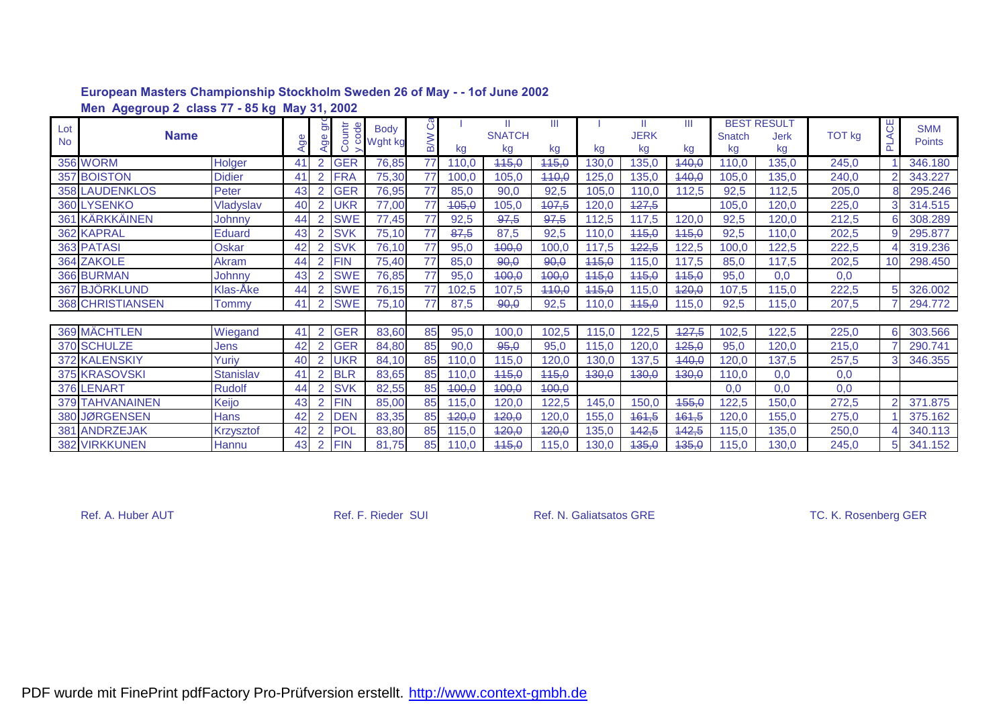|           | Men Agegroup 2 class 77 - 85 kg May 31, 2002 |                  |    |                |            |             |            |       |               |       |       |              |          |        |                    |               |                |               |
|-----------|----------------------------------------------|------------------|----|----------------|------------|-------------|------------|-------|---------------|-------|-------|--------------|----------|--------|--------------------|---------------|----------------|---------------|
| Lot       |                                              |                  |    | $\frac{1}{9}$  | ode        | <b>Body</b> | ပိ         |       | Ш             | Ш     |       |              | Ш        |        | <b>BEST RESULT</b> |               | ෪              | <b>SMM</b>    |
| <b>No</b> | <b>Name</b>                                  |                  | 9o | ge             | ountr      | o Wght kg   | <b>M/B</b> |       | <b>SNATCH</b> |       |       | <b>JERK</b>  |          | Snatch | <b>Jerk</b>        | <b>TOT kg</b> |                | <b>Points</b> |
|           |                                              |                  |    |                |            |             |            | kg    | kg            | kg    | kg    | kg           | kg       | kg     | kg                 |               | ௳              |               |
|           | <b>356 WORM</b>                              | Holger           | 41 | 2              | <b>GER</b> | 76,85       | 77         | 110,0 | 445,0         | 445,0 | 30,0  | 135,0        | 440,0    | 110,0  | 135,0              | 245,0         |                | 346.180       |
|           | 357 BOISTON                                  | <b>Didier</b>    | 41 |                | <b>FRA</b> | 75,30       | 77         | 100,0 | 105,0         | 440,0 | 125,0 | 135,0        | 140,0    | 105,0  | 135,0              | 240,0         |                | 343.227       |
|           | <b>358 LAUDENKLOS</b>                        | Peter            | 43 |                | <b>GER</b> | 76,95       | 77         | 85,0  | 90,0          | 92,5  | 105,0 | 110,0        | 112,5    | 92,5   | 112,5              | 205,0         |                | 295.246       |
|           | 360 LYSENKO                                  | Vladyslav        | 40 |                | UKR        | 77,00       | 77         | 405,0 | 105,0         | 407,5 | 120,0 | 427,5        |          | 105,0  | 120,0              | 225,0         | 3              | 314.515       |
|           | 361 KÄRKKÄINEN                               | Johnny           | 44 |                | <b>SWE</b> | 77,45       | 77         | 92,5  | 97,5          | 97,5  | 112,5 | 117,5        | 120,0    | 92,5   | 120,0              | 212,5         | 6              | 308.289       |
|           | <b>362 KAPRAL</b>                            | Eduard           | 43 | 2              | <b>SVK</b> | 75,10       | 77         | 87,5  | 87,5          | 92,5  | 110,0 | 445,0        | 445,0    | 92,5   | 110,0              | 202,5         | 9              | 295.877       |
|           | 363 PATASI                                   | Oskar            | 42 |                | <b>SVK</b> | 76,10       | 77         | 95,0  | 400,0         | 100,0 | 117,5 | 422,5        | 122,5    | 100,0  | 122,5              | 222,5         |                | 319.236       |
|           | 364 ZAKOLE                                   | Akram            | 44 |                | <b>FIN</b> | 75,40       | 77         | 85,0  | 90,0          | 90,0  | 445,0 | 115,0        | 117,5    | 85,0   | 117,5              | 202,5         | 10             | 298.450       |
|           | 366 BURMAN                                   | Johnny           | 43 |                | <b>SWE</b> | 76,85       | 77         | 95,0  | 400,0         | 400,0 | 445,0 | 445,0        | 445,0    | 95,0   | 0,0                | 0,0           |                |               |
|           | 367 BJÖRKLUND                                | Klas-Åke         | 44 | 2              | <b>SWE</b> | 76,15       | 77         | 102,5 | 107,5         | 440,0 | 115,0 | 115,0        | 420,0    | 107,5  | 115,0              | 222,5         | 5              | 326.002       |
|           | 368 CHRISTIANSEN                             | <b>Tommy</b>     | 41 | 2              | <b>SWE</b> | 75,10       | 77         | 87,5  | 90,0          | 92,5  | 110.0 | 445,0        | 115,0    | 92,5   | 115,0              | 207,5         |                | 294.772       |
|           |                                              |                  |    |                |            |             |            |       |               |       |       |              |          |        |                    |               |                |               |
|           | 369 MÄCHTLEN                                 | Wiegand          | 41 |                | <b>GER</b> | 83,60       | 85         | 95,0  | 100,0         | 102,5 | 115,0 | 122,5        | 427,5    | 102,5  | 122,5              | 225,0         | 6              | 303.566       |
|           | 370 SCHULZE                                  | Jens             | 42 | 2              | <b>GER</b> | 84,80       | 85         | 90,0  | 95,0          | 95,0  | 115,0 | 120,0        | 425,0    | 95,0   | 120,0              | 215,0         |                | 290.741       |
|           | 372 KALENSKIY                                | Yuriy            | 40 | 2              | UKR        | 84,10       | 85         | 110,0 | 115,0         | 120,0 | 130,0 | 137,5        | $-440,0$ | 120,0  | 137,5              | 257,5         | 3              | 346.355       |
|           | 375 KRASOVSKI                                | <b>Stanislav</b> | 41 | 2              | <b>BLR</b> | 83,65       | 85         | 110,0 | 445,0         | 445,0 | 430,0 | 430,0        | 430,0    | 110,0  | 0,0                | 0,0           |                |               |
|           | 376 LENART                                   | <b>Rudolf</b>    | 44 | $\overline{2}$ | <b>SVK</b> | 82,55       | 85         | 400,0 | 400,0         | 400,0 |       |              |          | 0,0    | 0,0                | 0,0           |                |               |
|           | <b>379 TAHVANAINEN</b>                       | Keijo            | 43 | 2              | <b>FIN</b> | 85,00       | 85         | 115,0 | 120,0         | 122,5 | 145,0 | 150,0        | 455,0    | 122,5  | 150,0              | 272,5         | $\overline{2}$ | 371.875       |
|           | 380 JØRGENSEN                                | Hans             | 42 |                | <b>DEN</b> | 83,35       | 85         | 420,0 | 420,0         | 120,0 | 155,0 | <b>461,5</b> | 161,5    | 120,0  | 155,0              | 275,0         |                | 375.162       |
|           | 381 ANDRZEJAK                                | <b>Krzysztof</b> | 42 | $\overline{2}$ | POL        | 83,80       | 85         | 115,0 | 420,0         | 420,0 | 135,0 | 442,5        | 442,5    | 115,0  | 135,0              | 250,0         |                | 340.113       |
|           | <b>382 VIRKKUNEN</b>                         | Hannu            | 43 |                | 2 FIN      | 81,75       | 85         | 110,0 | 115,0         | 115,0 | 130,0 | 135,0        | 135,0    | 115,0  | 130,0              | 245,0         | 5 <sub>5</sub> | 341.152       |

Ref. A. Huber AUT **Ref. F. Rieder SUI** Ref. N. Galiatsatos GRE TC. K. Rosenberg GER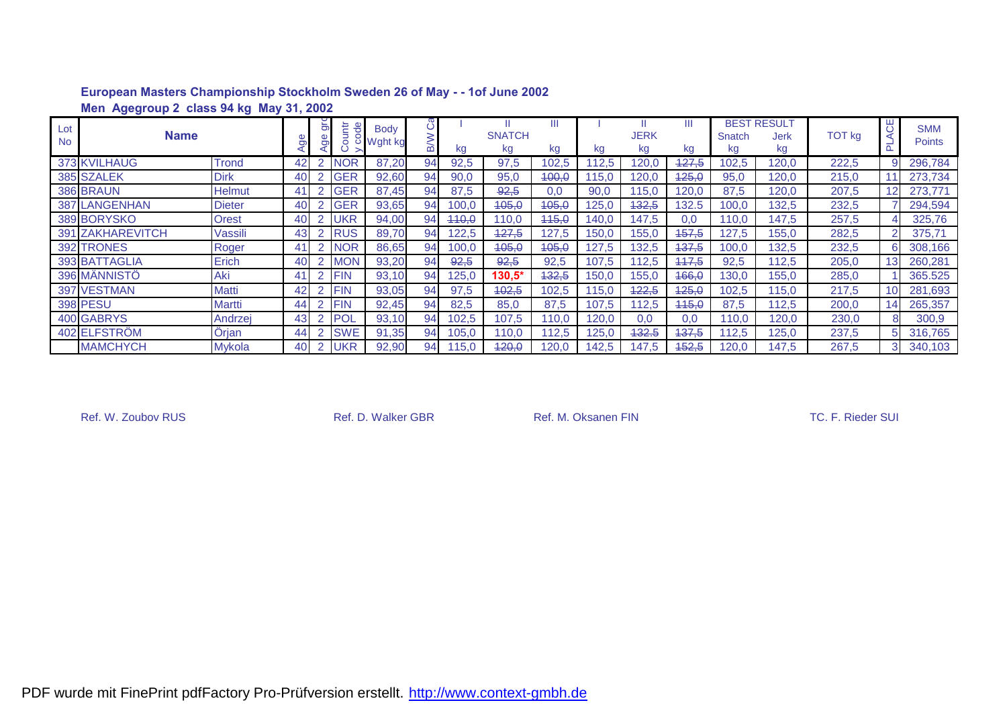|                  | Men Agegroup 2 class 94 kg May 31, 2002 |               |    |                     |                           |                        |               |       |                     |       |       |                   |          |              |                                  |               |                 |                             |
|------------------|-----------------------------------------|---------------|----|---------------------|---------------------------|------------------------|---------------|-------|---------------------|-------|-------|-------------------|----------|--------------|----------------------------------|---------------|-----------------|-----------------------------|
| Lot<br><b>No</b> | <b>Name</b>                             |               |    | $\overline{5}$<br>Ō | ŧ<br>$\overline{e}$<br>Po | <b>Body</b><br>Wght kg | $\circ$<br>മ് | kg    | <b>SNATCH</b><br>kg | kg    | kg    | <b>JERK</b><br>kg | Ш<br>kg  | Snatch<br>kg | <b>BEST RESULT</b><br>Jerk<br>kg | <b>TOT</b> kg | 50              | <b>SMM</b><br><b>Points</b> |
|                  | 373 KVILHAUG                            | <b>Trond</b>  | 42 | $\overline{2}$      | <b>NOR</b>                | 87,20                  | 94            | 92,5  | 97,5                | 102,5 | 12,5  | 120,0             | $-127,5$ | 102,5        | 120,0                            | 222,5         |                 | 296,784                     |
|                  | 385 SZALEK                              | <b>Dirk</b>   | 40 | $\overline{2}$      | <b>GER</b>                | 92,60                  | 94            | 90,0  | 95,0                | 400,0 | 115.0 | 120,0             | 425,0    | 95,0         | 120,0                            | 215,0         |                 | 273,734                     |
|                  | 386 BRAUN                               | <b>Helmut</b> | 41 |                     | <b>GER</b>                | 87,45                  | 94            | 87,5  | 92,5                | 0,0   | 90,0  | 115,0             | 120,0    | 87,5         | 120,0                            | 207,5         | 12              | 273,771                     |
|                  | <b>387 LANGENHAN</b>                    | <b>Dieter</b> | 40 |                     | <b>GER</b>                | 93,65                  | 94            | 100,0 | 405,0               | 405,0 | 125,0 | 432,5             | 132.5    | 100,0        | 132,5                            | 232,5         |                 | 294,594                     |
|                  | 389 BORYSKO                             | <b>Orest</b>  | 40 | $\cap$              | <b>UKR</b>                | 94,00                  | 94            | 440,0 | 110,0               | 115,0 | 140,0 | 147,5             | 0.0      | 10,0         | 147,5                            | 257,5         |                 | 325,76                      |
|                  | 391 ZAKHAREVITCH                        | Vassili       | 43 | 2                   | RUS                       | 89,70                  | 94            | 122,5 | 427,5               | 127,5 | 150,0 | 155,0             | 457,5    | 127,5        | 155,0                            | 282,5         |                 | 375,71                      |
|                  | 392 TRONES                              | Roger         | 41 | 2                   | <b>NOR</b>                | 86,65                  | 94            | 100,0 | 405,0               | 405,0 | 127.5 | 132,5             | 437,5    | 100,0        | 132,5                            | 232,5         | 6               | 308,166                     |
|                  | 393 BATTAGLIA                           | Erich         | 40 |                     | MON                       | 93,20                  | 94            | 92,5  | 92,5                | 92,5  | 107.5 | 112,5             | 447,5    | 92,5         | 112,5                            | 205,0         | 13 <sup>l</sup> | 260,281                     |
|                  | 396 MÄNNISTÖ                            | <b>Aki</b>    | 41 | 2                   | <b>FIN</b>                | 93,10                  | 94            | 125,0 | $130,5*$            | 132,5 | 150,0 | 155,0             | 466,0    | 130,0        | 155,0                            | 285,0         |                 | 365.525                     |
|                  | 397 VESTMAN                             | Matti         | 42 | $\overline{2}$      | <b>FIN</b>                | 93,05                  | 94            | 97,5  | 402,5               | 102,5 | 15.0  | 422,5             | 425,0    | 102,5        | 115,0                            | 217,5         | 10 <sup>1</sup> | 281,693                     |
|                  | <b>398 PESU</b>                         | Martti        | 44 | 2                   | <b>FIN</b>                | 92,45                  | 94            | 82,5  | 85,0                | 87,5  | 107.5 | 112.5             | 445,0    | 87,5         | 12,5                             | 200,0         | 14              | 265,357                     |
|                  | 400 GABRYS                              | Andrzej       | 43 |                     | <b>POL</b>                | 93,10                  | 94            | 102,5 | 107,5               | 110,0 | 120,0 | 0.0               | 0.0      | 10.0         | 120,0                            | 230,0         |                 | 300,9                       |
|                  | 402 ELFSTRÖM                            | Örjan         | 44 |                     | <b>SWE</b>                | 91,35                  | 94            | 105,0 | 110,0               | 112,5 | 25,0  | 432.5             | 437,5    | 12,5         | 25,0                             | 237,5         | 5               | 316,765                     |
|                  | <b>MAMCHYCH</b>                         | <b>Mykola</b> | 40 |                     | <b>UKR</b>                | 92,90                  | 94            | 115,0 | 120,0               | 120,0 | 142.5 | 147,5             | 452,5    | 120,0        | 147.5                            | 267,5         | 3.              | 340,103                     |

Ref. W. Zoubov RUS **Ref. D. Walker GBR** Ref. M. Oksanen FIN TC. F. Rieder SUI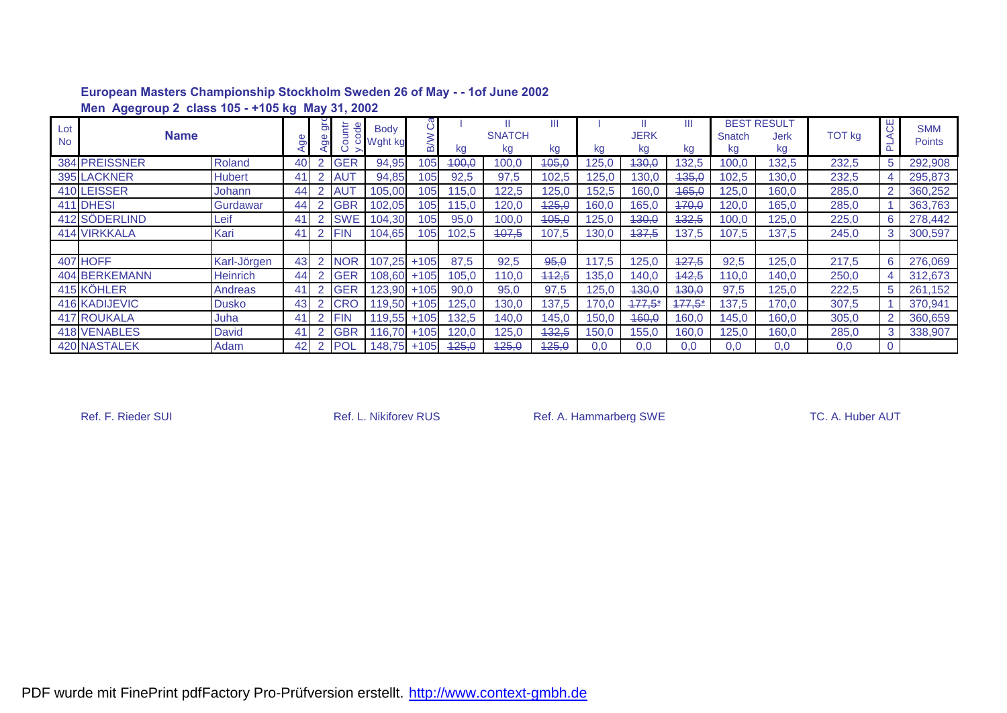|                  | Men Agegroup 2 class 105 - +105 kg May 31, 2002 |                 |          |                     |                 |                          |         |       |                     |       |       |                   |          |              |                                         |               |             |                      |
|------------------|-------------------------------------------------|-----------------|----------|---------------------|-----------------|--------------------------|---------|-------|---------------------|-------|-------|-------------------|----------|--------------|-----------------------------------------|---------------|-------------|----------------------|
| Lot<br><b>No</b> | <b>Name</b>                                     |                 | $\sigma$ | $\overline{5}$<br>ත | ŧ<br>ā          | <b>Body</b><br>o Wght kg | $\circ$ | kg    | <b>SNATCH</b><br>kg | kg    | kg    | <b>JERK</b><br>kg | Ш<br>kg  | Snatch<br>kg | <b>BEST RESULT</b><br><b>Jerk</b><br>kg | <b>TOT kg</b> | ₩<br>௳      | <b>SMM</b><br>Points |
|                  | 384 PREISSNER                                   | Roland          | 40       | $\overline{2}$      | <b>GER</b>      | 94,95                    | 105     | 400,0 | 100,0               | 405,0 | 125,0 | 430,0             | 132,5    | 100.0        | 132,5                                   | 232,5         | 5           | 292,908              |
|                  | 395 LACKNER                                     | <b>Hubert</b>   | 41       | $\overline{2}$      | <b>AUT</b>      | 94,85                    | 105     | 92,5  | 97,5                | 102,5 | 25,0  | 130,0             | -135.0   | 102,5        | 130.0                                   | 232,5         |             | 295,873              |
|                  | 410 LEISSER                                     | Johann          | 44       |                     | AU <sub>1</sub> | 105,00                   | 105     | 115,0 | 122,5               | 125,0 | 52,5  | 160,0             | 465,0    | 125,0        | 160,0                                   | 285,0         |             | 360,252              |
|                  | 411 DHESI                                       | Gurdawar        | 44       | 2                   | <b>GBR</b>      | 102,05                   | 105     | 115,0 | 120,0               | 425,0 | 160,0 | 165,0             | 470,0    | 120,0        | 165,0                                   | 285,0         |             | 363,763              |
|                  | 412 SÖDERLIND                                   | Leif            | 41       | 2                   | <b>SWE</b>      | 104,30                   | 105     | 95,0  | 100,0               | 405,0 | 125,0 | 130,0             | 132,5    | 100,0        | 125,0                                   | 225,0         | 6           | 278,442              |
|                  | <b>414 VIRKKALA</b>                             | Kari            | 41       | 2                   | <b>FIN</b>      | 104,65                   | 105     | 102,5 | 407,5               | 107,5 | 30.0  | 437,5             | 137,5    | 107,5        | 137.5                                   | 245,0         | 3           | 300,597              |
|                  |                                                 |                 |          |                     |                 |                          |         |       |                     |       |       |                   |          |              |                                         |               |             |                      |
|                  | 407 HOFF                                        | Karl-Jörgen     | 43       | $\mathcal{P}$       | <b>NOR</b>      | 107,25                   | $+105$  | 87,5  | 92,5                | 95,0  | 117,5 | 125,0             | 427,5    | 92,5         | 125,0                                   | 217,5         | 6           | 276,069              |
|                  | 404 BERKEMANN                                   | <b>Heinrich</b> | 44       |                     | <b>GER</b>      | 108,60                   | $+105$  | 105,0 | 110,0               | 442,5 | 135,0 | 140,0             | 442,5    | 110,0        | 140.0                                   | 250,0         | 4           | 312,673              |
|                  | 415 KÖHLER                                      | Andreas         | 41       | 2                   | <b>GER</b>      | $123,90 + 105$           |         | 90,0  | 95,0                | 97,5  | 125,0 | 430,0             | 130,0    | 97,5         | 125,0                                   | 222,5         | $5^{\circ}$ | 261,152              |
|                  | <b>416 KADIJEVIC</b>                            | <b>Dusko</b>    | 43       | $\overline{2}$      | <b>CRO</b>      | 119,50                   | $+105$  | 125,0 | 130,0               | 137,5 | 70,0  | 477,5'            | $177,5*$ | 137,5        | 170,0                                   | 307,5         |             | 370,941              |
|                  | <b>417 ROUKALA</b>                              | Juha            | 41       |                     | <b>FIN</b>      | 119,55                   | $+105$  | 132,5 | 140,0               | 145,0 | 150,0 | 460,0             | 160,0    | 145,0        | 160.0                                   | 305,0         |             | 360,659              |
|                  | <b>418 VENABLES</b>                             | <b>David</b>    | 41       |                     | <b>GBR</b>      | 116.70                   | $+105$  | 120,0 | 125,0               | 432,5 | 150,0 | 155,0             | 160,0    | 25,0         | 160,0                                   | 285,0         | 3           | 338,907              |
|                  | <b>420 NASTALEK</b>                             | Adam            | 42       | 2                   | <b>POL</b>      | 148,75                   | $+105$  | 425,0 | 425,0               | 425,0 | 0,0   | 0,0               | 0,0      | 0,0          | 0,0                                     | 0,0           | 0           |                      |

Ref. F. Rieder SUI **Ref. L. Nikiforev RUS** Ref. A. Hammarberg SWE TC. A. Huber AUT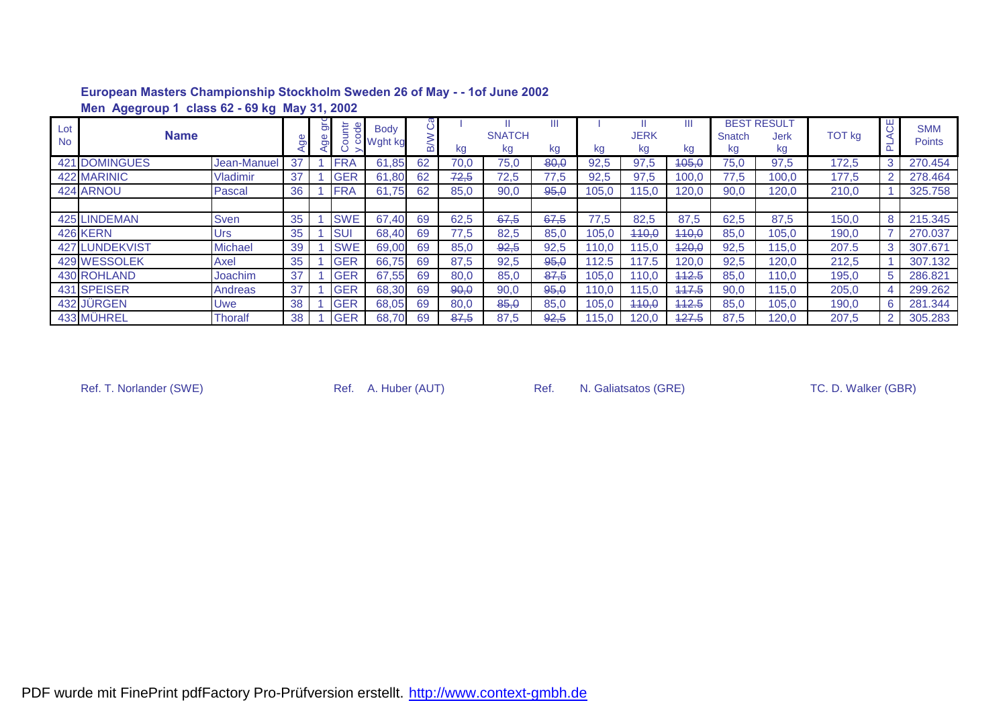|                  | Men Agegroup 1 class 62 - 69 kg May 31, 2002 |                 |    |    |                     |                        |    |      |                     |       |       |                   |         |              |                                  |               |                |                             |
|------------------|----------------------------------------------|-----------------|----|----|---------------------|------------------------|----|------|---------------------|-------|-------|-------------------|---------|--------------|----------------------------------|---------------|----------------|-----------------------------|
| Lot<br><b>No</b> | <b>Name</b>                                  |                 |    | క్ | the<br>ā<br>$\circ$ | <b>Body</b><br>Wght kg |    | kg   | <b>SNATCH</b><br>kg | kg    | kg    | <b>JERK</b><br>kg | Ш<br>kg | Snatch<br>kg | <b>BEST RESULT</b><br>Jerk<br>kg | <b>TOT kg</b> | 50             | <b>SMM</b><br><b>Points</b> |
| 421              | <b>IDOMINGUES</b>                            | Jean-Manuel     | 37 |    | <b>FRA</b>          | 61,85                  | 62 | 70,0 | 75,0                | -80,0 | 92,5  | 97,5              | 405,0   | 75,0         | 97,5                             | 172,5         | 3              | 270.454                     |
|                  | 422 MARINIC                                  | <b>Vladimir</b> | 37 |    | <b>GER</b>          | 61,80                  | 62 | 72,5 | 72,5                | 77,5  | 92,5  | 97,5              | 100,0   | 77,5         | 100,0                            | 177,5         | 2 <sup>1</sup> | 278,464                     |
|                  | 424 ARNOU                                    | Pascal          | 36 |    | <b>FRA</b>          | 61.75                  | 62 | 85,0 | 90,0                | 95,0  | 105,0 | 115,0             | 120.0   | 90,0         | 120,0                            | 210,0         |                | 325,758                     |
|                  |                                              |                 |    |    |                     |                        |    |      |                     |       |       |                   |         |              |                                  |               |                |                             |
|                  | <b>425 LINDEMAN</b>                          | <b>Sven</b>     | 35 |    | <b>SWE</b>          | 67,40                  | 69 | 62,5 | 67,5                | 67,5  | 77,5  | 82,5              | 87,5    | 62,5         | 87,5                             | 150,0         | 8              | 215.345                     |
|                  | <b>426 KERN</b>                              | Urs             | 35 |    | <b>SUI</b>          | 68,40                  | 69 | 77,5 | 82,5                | 85,0  | 105,0 | 440,0             | 440,0   | 85,0         | 105,0                            | 190,0         |                | 270.037                     |
|                  | 427 LUNDEKVIST                               | <b>Michael</b>  | 39 |    | <b>SWE</b>          | 69,00                  | 69 | 85,0 | 92,5                | 92,5  | 110.0 | 115.0             | 420,0   | 92,5         | 115,0                            | 207.5         | 3              | 307.671                     |
|                  | 429 WESSOLEK                                 | Axel            | 35 |    | <b>GER</b>          | 66,75                  | 69 | 87,5 | 92,5                | 95,0  | 112.5 | 117.5             | 120,0   | 92,5         | 120,0                            | 212,5         |                | 307.132                     |
|                  | 430 ROHLAND                                  | Joachim         | 37 |    | <b>GER</b>          | 67,55                  | 69 | 80,0 | 85,0                | 87,5  | 105,0 | 110.0             | 442.5   | 85,0         | 110.0                            | 195,0         | 5.             | 286.821                     |
|                  | 431 SPEISER                                  | Andreas         | 37 |    | <b>GER</b>          | 68,30                  | 69 | 90,0 | 90,0                | 95,0  | 110.0 | 115.0             | 447.5   | 90,0         | 115,0                            | 205,0         | 4              | 299.262                     |
|                  | 432 JÜRGEN                                   | Uwe             | 38 |    | <b>GER</b>          | 68,05                  | 69 | 80,0 | 85,0                | 85,0  | 105,0 | 440,0             | 442.5   | 85,0         | 105,0                            | 190,0         | 6              | 281.344                     |
|                  | 433 MÜHREL                                   | Thoralf         | 38 |    | <b>GER</b>          | 68,70                  | 69 | 87,5 | 87,5                | 92,5  | 115.0 | 120.0             | 427.5   | 87,5         | 120,0                            | 207,5         | $\mathbf{2}$   | 305.283                     |

Ref. T. Norlander (SWE) Ref. A. Huber (AUT) Ref. N. Galiatsatos (GRE) TC. D. Walker (GBR)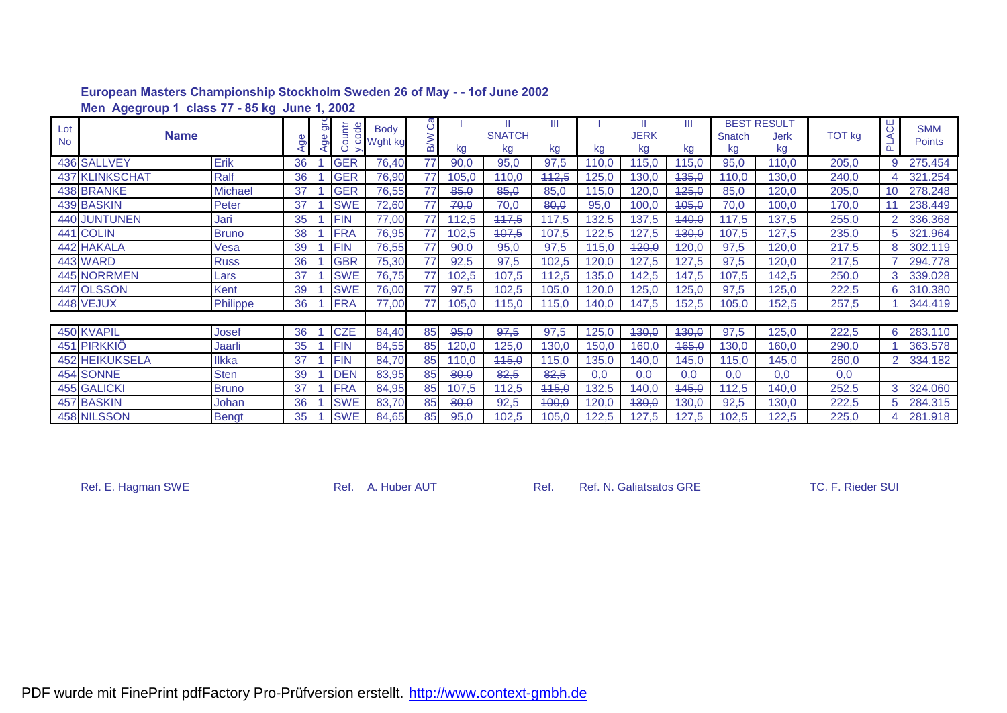|                  | Men Agegroup 1 class 77 - 85 kg June 1, 2002 |              |    |                      |                                   |                          |                 |            |                    |            |       |             |             |            |                                   |               |                 |                             |
|------------------|----------------------------------------------|--------------|----|----------------------|-----------------------------------|--------------------------|-----------------|------------|--------------------|------------|-------|-------------|-------------|------------|-----------------------------------|---------------|-----------------|-----------------------------|
| Lot<br><b>No</b> | <b>Name</b>                                  |              | Ō  | $\overline{5}$<br>9e | tr<br><u>e</u><br>Cour<br>$\circ$ | <b>Body</b><br>o Wght kg | ී<br><b>M/B</b> |            | Ш<br><b>SNATCH</b> | Ш          |       | <b>JERK</b> | Ш           | Snatch     | <b>BEST RESULT</b><br><b>Jerk</b> | <b>TOT kg</b> | ₩<br>군          | <b>SMM</b><br><b>Points</b> |
|                  | 436 SALLVEY                                  | Erik         | 36 |                      | <b>GER</b>                        | 76,40                    | 77              | kg<br>90,0 | kg<br>95,0         | kg<br>97,5 | kg    | kg<br>115,0 | kg<br>115,0 | kg<br>95,0 | kg<br>110,0                       |               | 9               | 275.454                     |
|                  |                                              |              |    |                      |                                   |                          |                 |            |                    |            | 110,0 |             |             |            |                                   | 205,0         |                 |                             |
|                  | 437 KLINKSCHAT                               | Ralf         | 36 |                      | <b>GER</b>                        | 76,90                    | 77              | 105,0      | 110,0              | 442,5      | 125,0 | 130,0       | 435,0       | 110,0      | 130,0                             | 240,0         |                 | 321.254                     |
|                  | <b>438 BRANKE</b>                            | Michael      | 37 |                      | <b>GER</b>                        | 76,55                    | 77              | 85,0       | 85,0               | 85,0       | 115,0 | 120,0       | 425,0       | 85,0       | 120,0                             | 205,0         | 10 <sup>1</sup> | 278.248                     |
|                  | 439 BASKIN                                   | Peter        | 37 |                      | <b>SWE</b>                        | 72,60                    | 77              | 70,0       | 70,0               | 80,0       | 95,0  | 100,0       | 405,0       | 70,0       | 100,0                             | 170,0         |                 | 238.449                     |
|                  | <b>440 JUNTUNEN</b>                          | Jari         | 35 |                      | <b>FIN</b>                        | 77,00                    | 77              | 112,5      | 117,5              | 117,5      | 132,5 | 137,5       | 440,0       | 117,5      | 137,5                             | 255,0         |                 | 336.368                     |
|                  | 441 COLIN                                    | <b>Bruno</b> | 38 |                      | <b>FRA</b>                        | 76,95                    | 77              | 102,5      | 407,5              | 107,5      | 122,5 | 127,5       | 430,0       | 107,5      | 127,5                             | 235,0         | 5               | 321.964                     |
|                  | 442 HAKALA                                   | Vesa         | 39 |                      | <b>FIN</b>                        | 76,55                    | 77              | 90,0       | 95,0               | 97,5       | 115,0 | 420,0       | 120,0       | 97,5       | 120,0                             | 217,5         |                 | 302.119                     |
|                  | 443 WARD                                     | <b>Russ</b>  | 36 |                      | <b>GBR</b>                        | 75,30                    | 77              | 92,5       | 97,5               | 402,5      | 120,0 | 427,5       | 427,5       | 97,5       | 120,0                             | 217,5         |                 | 294.778                     |
|                  | 445 NORRMEN                                  | Lars         | 37 |                      | <b>SWE</b>                        | 76,75                    | 77              | 102,5      | 107,5              | 442,5      | 35,0  | 142,5       | 447,5       | 107,5      | 142,5                             | 250,0         |                 | 339.028                     |
|                  | 447 OLSSON                                   | Kent         | 39 |                      | <b>SWE</b>                        | 76,00                    | 77              | 97,5       | 402,5              | 405,0      | 420,0 | 425,0       | 125,0       | 97,5       | 125,0                             | 222,5         | 6               | 310.380                     |
|                  | 448 VEJUX                                    | Philippe     | 36 |                      | <b>FRA</b>                        | 77,00                    | 77              | 105,0      | 445,0              | 445,0      | 140,0 | 147,5       | 152,5       | 105,0      | 152,5                             | 257,5         |                 | 344.419                     |
|                  |                                              |              |    |                      |                                   |                          |                 |            |                    |            |       |             |             |            |                                   |               |                 |                             |
|                  | 450 KVAPIL                                   | Josef        | 36 |                      | <b>CZE</b>                        | 84,40                    | 85              | 95,0       | 97,5               | 97,5       | 125,0 | 130,0       | 130,0       | 97,5       | 125,0                             | 222,5         | 6               | 283.110                     |
|                  | 451 PIRKKIÖ                                  | Jaarli       | 35 |                      | <b>FIN</b>                        | 84,55                    | 85              | 120,0      | 125,0              | 130,0      | 150,0 | 160,0       | 465,0       | 130,0      | 160,0                             | 290,0         |                 | 363.578                     |
|                  | <b>452 HEIKUKSELA</b>                        | llkka        | 37 |                      | <b>FIN</b>                        | 84,70                    | 85              | 110,0      | 445,0              | 115,0      | 135,0 | 140.0       | 145,0       | 115,0      | 145,0                             | 260,0         |                 | 334.182                     |
|                  | 454 SONNE                                    | <b>Sten</b>  | 39 |                      | <b>DEN</b>                        | 83,95                    | 85              | 80,0       | 82,5               | 82,5       | 0,0   | 0,0         | 0.0         | 0,0        | 0,0                               | 0,0           |                 |                             |
|                  | <b>455 GALICKI</b>                           | <b>Bruno</b> | 37 |                      | <b>FRA</b>                        | 84,95                    | 85              | 107,5      | 112,5              | 445,0      | 132,5 | 140,0       | 145,0       | 112,5      | 140,0                             | 252,5         |                 | 324.060                     |
|                  | <b>457 BASKIN</b>                            | Johan        | 36 |                      | <b>SWE</b>                        | 83,70                    | 85              | 80,0       | 92,5               | 400,0      | 120,0 | 430,0       | 130,0       | 92,5       | 130,0                             | 222,5         |                 | 284.315                     |
|                  | 458 NILSSON                                  | <b>Bengt</b> | 35 |                      | <b>SWE</b>                        | 84,65                    | 85              | 95,0       | 102,5              | 405,0      | 122,5 | 427,5       | 427,5       | 102,5      | 122,5                             | 225,0         |                 | 281.918                     |

Ref. E. Hagman SWE **Ref. A. Huber AUT** Ref. Ref. Ref. Ref. Ref. N. Galiatsatos GRE TC. F. Rieder SUI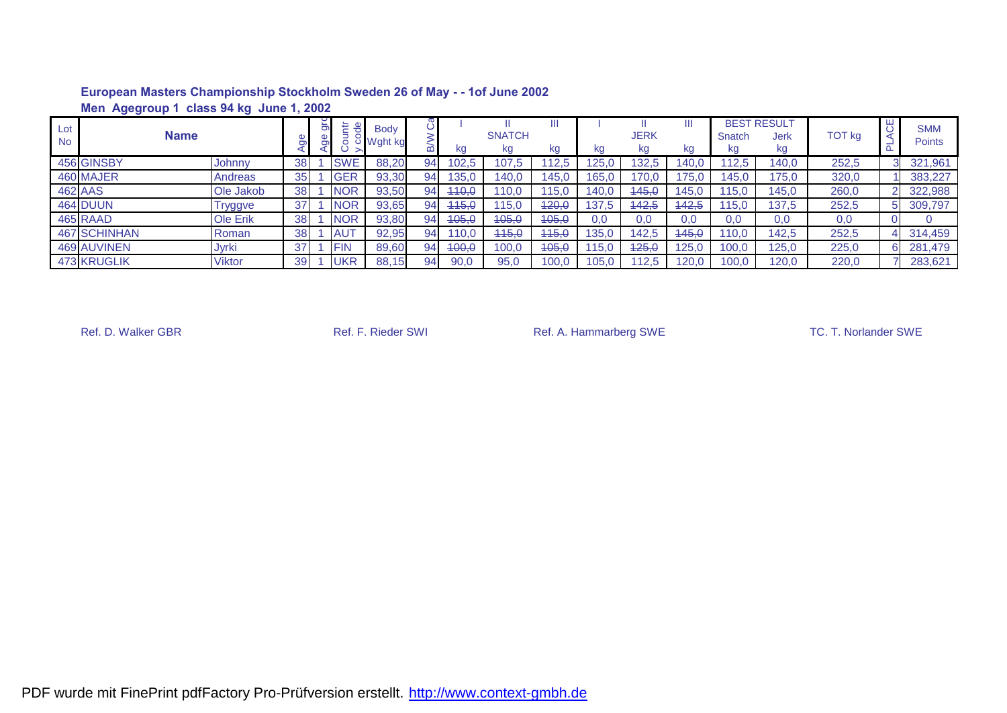|                  | class 94 kg June 1, 2002<br><b>Men Agegroup 1</b> |                |    |    |            |                        |    |       |                     |         |       |            |       |              |                                         |               |  |                             |
|------------------|---------------------------------------------------|----------------|----|----|------------|------------------------|----|-------|---------------------|---------|-------|------------|-------|--------------|-----------------------------------------|---------------|--|-----------------------------|
| Lot<br><b>No</b> | <b>Name</b>                                       |                |    | සි | 는          | <b>Body</b><br>Wght kg |    | kg    | <b>SNATCH</b><br>kg | Ш<br>kg | kg    | JERK<br>Kg | kg    | Snatch<br>kg | <b>BEST RESULT</b><br><b>Jerk</b><br>kg | <b>TOT kg</b> |  | <b>SMM</b><br><b>Points</b> |
|                  | 456 GINSBY                                        | Johnny         | 38 |    | <b>SWE</b> | 88,20                  | 94 | 102,5 | 107,5               | 12,5    | 25.0  | 132.5      | 140.0 | 12.5         | 140,0                                   | 252,5         |  | 321,961                     |
|                  | 460 MAJER                                         | Andreas        | 35 |    | <b>GER</b> | 93,30                  | 94 | 135,0 | 140.0               | 145,0   | 165.0 | 170.0      | 175.0 | 145,0        | 175.0                                   | 320,0         |  | 383,227                     |
|                  | <b>462 AAS</b>                                    | Ole Jakob      | 38 |    | <b>NOR</b> | 93,50                  | 94 | 440,0 | 110.0               | 15.0    | 140.0 | 445.0      | 145.0 | 15.0         | 145.0                                   | 260,0         |  | 322,988                     |
|                  | <b>464 DUUN</b>                                   | <b>Tryggve</b> | 37 |    | <b>NOR</b> | 93,65                  | 94 | 445,0 | 115.0               | 420,0   | 137.5 | 442.5      | 442,5 | 15,0         | 137.5                                   | 252,5         |  | 309,797                     |
|                  | 465 RAAD                                          | Ole Erik       | 38 |    | <b>NOR</b> | 93,80                  | 94 | 405,0 | 105,0               | 405,0   | 0.0   | 0.0        | 0.0   | 0,0          | 0,0                                     | 0,0           |  |                             |
|                  | <b>467 SCHINHAN</b>                               | Roman          | 38 |    | <b>AUT</b> | 92,95                  | 94 | 10,0  | 445,0               | 445,0   | 135.0 | 142.5      | 445,0 | 10.0         | 142.5                                   | 252,5         |  | 314,459                     |
|                  | <b>469 AUVINEN</b>                                | <b>Jyrki</b>   | 37 |    | <b>FIN</b> | 89,60                  | 94 | 400,0 | 100,0               | 405,0   | 15.0  | 125.0      | 125.0 | 100.0        | 125,0                                   | 225,0         |  | 281,479                     |
|                  | <b>473 KRUGLIK</b>                                | <b>Viktor</b>  | 39 |    | <b>UKR</b> | 88,15                  | 94 | 90,0  | 95,0                | 100,0   | 05.0  | 112.5      | 120.0 | 100.0        | 120.0                                   | 220,0         |  | 283,621                     |

Ref. D. Walker GBR **Ref. F. Rieder SWI** Ref. A. Hammarberg SWE TC. T. Norlander SWE